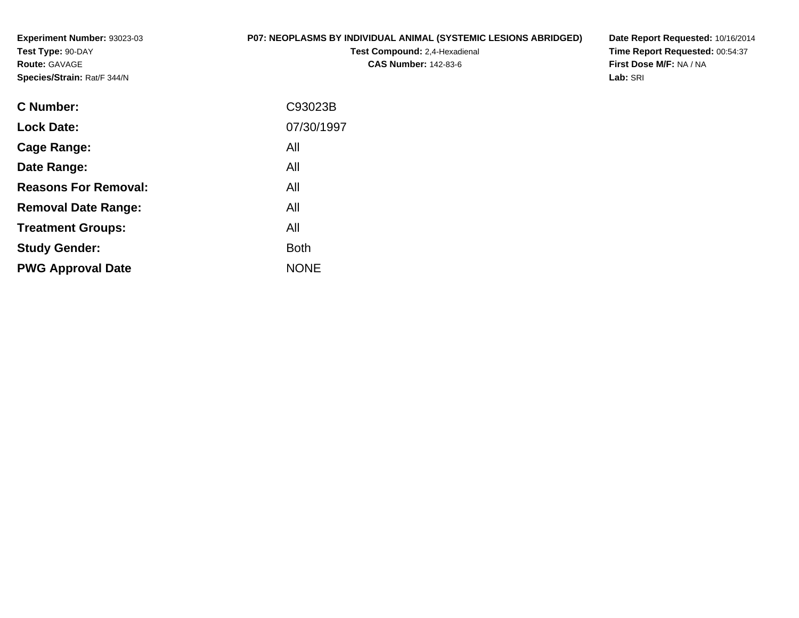**Experiment Number:** 93023-03**Test Type:** 90-DAY**Route:** GAVAGE**Species/Strain:** Rat/F 344/N

#### **P07: NEOPLASMS BY INDIVIDUAL ANIMAL (SYSTEMIC LESIONS ABRIDGED)**

**Test Compound:** 2,4-Hexadienal **CAS Number:** 142-83-6

**Date Report Requested:** 10/16/2014 **Time Report Requested:** 00:54:37**First Dose M/F:** NA / NA**Lab:** SRI

| <b>C</b> Number:            | C93023B     |
|-----------------------------|-------------|
| <b>Lock Date:</b>           | 07/30/1997  |
| Cage Range:                 | All         |
| Date Range:                 | All         |
| <b>Reasons For Removal:</b> | All         |
| <b>Removal Date Range:</b>  | All         |
| <b>Treatment Groups:</b>    | All         |
| <b>Study Gender:</b>        | <b>Both</b> |
| <b>PWG Approval Date</b>    | <b>NONE</b> |
|                             |             |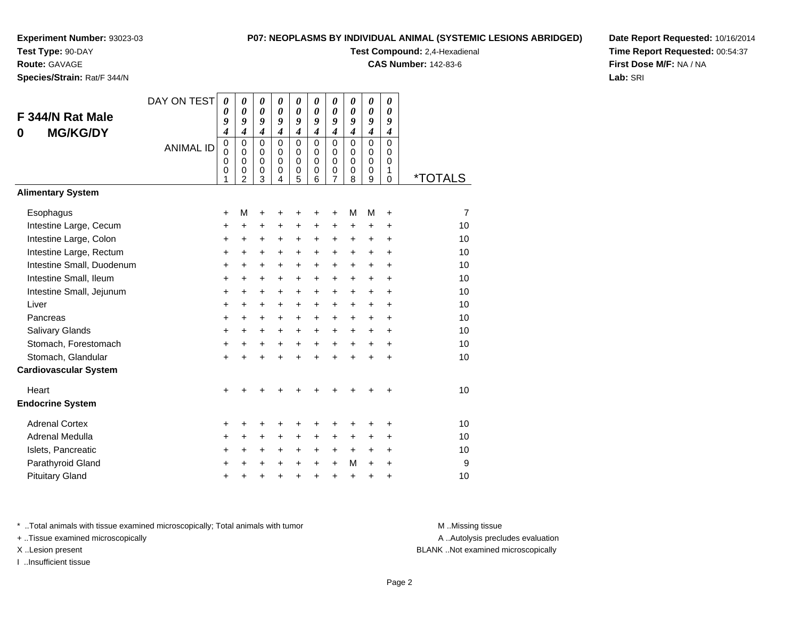**Test Type:** 90-DAY

**Route:** GAVAGE

**Species/Strain:** Rat/F 344/N

#### **P07: NEOPLASMS BY INDIVIDUAL ANIMAL (SYSTEMIC LESIONS ABRIDGED)**

**Test Compound:** 2,4-Hexadienal

**CAS Number:** 142-83-6

**Date Report Requested:** 10/16/2014**Time Report Requested:** 00:54:37**First Dose M/F:** NA / NA**Lab:** SRI

| F 344/N Rat Male<br><b>MG/KG/DY</b><br>0<br><b>Alimentary System</b> | DAY ON TEST<br><b>ANIMAL ID</b> | $\boldsymbol{\theta}$<br>0<br>9<br>4<br>0<br>$\mathbf 0$<br>0<br>0<br>1 | 0<br>$\boldsymbol{\theta}$<br>9<br>$\boldsymbol{4}$<br>$\mathbf 0$<br>$\Omega$<br>$\Omega$<br>0<br>$\overline{2}$ | $\boldsymbol{\theta}$<br>$\boldsymbol{\theta}$<br>9<br>$\boldsymbol{4}$<br>$\mathbf 0$<br>$\mathbf 0$<br>$\mathbf 0$<br>$\pmb{0}$<br>3 | 0<br>0<br>9<br>$\boldsymbol{4}$<br>$\mathbf 0$<br>$\Omega$<br>$\Omega$<br>0<br>4 | 0<br>0<br>9<br>4<br>0<br>0<br>0<br>0<br>5 | 0<br>0<br>9<br>$\overline{\boldsymbol{4}}$<br>$\mathbf 0$<br>0<br>$\Omega$<br>0<br>6 | 0<br>0<br>9<br>$\boldsymbol{4}$<br>$\mathbf 0$<br>$\mathbf 0$<br>0<br>0<br>7 | 0<br>0<br>9<br>$\boldsymbol{4}$<br>$\mathbf 0$<br>0<br>$\mathbf 0$<br>0<br>8 | $\boldsymbol{\theta}$<br>$\boldsymbol{\theta}$<br>9<br>$\boldsymbol{4}$<br>$\Omega$<br>0<br>$\Omega$<br>$\mathbf 0$<br>9 | $\boldsymbol{\theta}$<br>$\boldsymbol{\theta}$<br>9<br>$\boldsymbol{4}$<br>$\mathbf 0$<br>0<br>$\Omega$<br>1<br>$\mathbf 0$ | <i><b>*TOTALS</b></i> |
|----------------------------------------------------------------------|---------------------------------|-------------------------------------------------------------------------|-------------------------------------------------------------------------------------------------------------------|----------------------------------------------------------------------------------------------------------------------------------------|----------------------------------------------------------------------------------|-------------------------------------------|--------------------------------------------------------------------------------------|------------------------------------------------------------------------------|------------------------------------------------------------------------------|--------------------------------------------------------------------------------------------------------------------------|-----------------------------------------------------------------------------------------------------------------------------|-----------------------|
|                                                                      |                                 |                                                                         |                                                                                                                   |                                                                                                                                        |                                                                                  |                                           |                                                                                      |                                                                              |                                                                              |                                                                                                                          |                                                                                                                             |                       |
| Esophagus                                                            |                                 | $\ddot{}$                                                               | М                                                                                                                 | +                                                                                                                                      | +                                                                                | +                                         | +                                                                                    | +                                                                            | M                                                                            | M                                                                                                                        | +                                                                                                                           | $\overline{7}$        |
| Intestine Large, Cecum                                               |                                 | $\ddot{}$                                                               | +                                                                                                                 | +                                                                                                                                      | $\ddot{}$                                                                        | +                                         | +                                                                                    | $\ddot{}$                                                                    | $\ddot{}$                                                                    | $\ddot{}$                                                                                                                | +                                                                                                                           | 10                    |
| Intestine Large, Colon                                               |                                 | +                                                                       | +                                                                                                                 | +                                                                                                                                      | +                                                                                | +                                         | +                                                                                    | +                                                                            | $\ddot{}$                                                                    | +                                                                                                                        | $\ddot{}$                                                                                                                   | 10                    |
| Intestine Large, Rectum                                              |                                 | $\ddot{}$                                                               | $\ddot{}$                                                                                                         | $\ddot{}$                                                                                                                              | $\ddot{}$                                                                        | $\ddot{}$                                 | $\ddot{}$                                                                            | $\ddot{}$                                                                    | $\ddot{}$                                                                    | $\ddot{}$                                                                                                                | $\ddot{}$                                                                                                                   | 10                    |
| Intestine Small, Duodenum                                            |                                 | $\ddot{}$                                                               | $\ddot{}$                                                                                                         | $\ddot{}$                                                                                                                              | $\ddot{}$                                                                        | $\ddot{}$                                 | $\ddot{}$                                                                            | +                                                                            | $\ddot{}$                                                                    | $\ddot{}$                                                                                                                | $\ddot{}$                                                                                                                   | 10                    |
| Intestine Small, Ileum                                               |                                 | +                                                                       | +                                                                                                                 | +                                                                                                                                      | +                                                                                | +                                         | +                                                                                    | +                                                                            | +                                                                            | +                                                                                                                        | +                                                                                                                           | 10                    |
| Intestine Small, Jejunum                                             |                                 | $\ddot{}$                                                               | +                                                                                                                 | $\ddot{}$                                                                                                                              | $\ddot{}$                                                                        | +                                         | $\ddot{}$                                                                            | $\ddot{}$                                                                    | +                                                                            | $\ddot{}$                                                                                                                | $\ddot{}$                                                                                                                   | 10                    |
| Liver                                                                |                                 | $\ddot{}$                                                               | $\ddot{}$                                                                                                         | $\ddot{}$                                                                                                                              | $\ddot{}$                                                                        | $\ddot{}$                                 | +                                                                                    | +                                                                            | $\ddot{}$                                                                    | $\ddot{}$                                                                                                                | +                                                                                                                           | 10                    |
| Pancreas                                                             |                                 | $\ddot{}$                                                               | $\ddot{}$                                                                                                         | $\ddot{}$                                                                                                                              | $\ddot{}$                                                                        | +                                         | $\ddot{}$                                                                            | $\ddot{}$                                                                    | $\ddot{}$                                                                    | $\ddot{}$                                                                                                                | $\ddot{}$                                                                                                                   | 10                    |
| Salivary Glands                                                      |                                 | $\ddot{}$                                                               | +                                                                                                                 | $\ddot{}$                                                                                                                              | $\ddot{}$                                                                        | $\ddot{}$                                 | +                                                                                    | +                                                                            | $\ddot{}$                                                                    | +                                                                                                                        | $\ddot{}$                                                                                                                   | 10<br>10              |
| Stomach, Forestomach<br>Stomach, Glandular                           |                                 | +                                                                       | +                                                                                                                 | $\ddot{}$                                                                                                                              | $\ddot{}$                                                                        | $\ddot{}$                                 | $\ddot{}$                                                                            | $+$                                                                          | $\ddot{}$                                                                    | +                                                                                                                        | +                                                                                                                           | 10                    |
| <b>Cardiovascular System</b>                                         |                                 | $\ddot{}$                                                               | $\ddot{}$                                                                                                         | $\ddot{}$                                                                                                                              | $\ddot{}$                                                                        | $\ddot{}$                                 | $\ddot{}$                                                                            | $\ddot{}$                                                                    | ÷                                                                            | $\ddot{}$                                                                                                                | $\ddot{}$                                                                                                                   |                       |
| Heart                                                                |                                 | +                                                                       |                                                                                                                   |                                                                                                                                        |                                                                                  |                                           |                                                                                      |                                                                              |                                                                              |                                                                                                                          | +                                                                                                                           | 10                    |
| <b>Endocrine System</b>                                              |                                 |                                                                         |                                                                                                                   |                                                                                                                                        |                                                                                  |                                           |                                                                                      |                                                                              |                                                                              |                                                                                                                          |                                                                                                                             |                       |
| <b>Adrenal Cortex</b>                                                |                                 | +                                                                       | +                                                                                                                 | +                                                                                                                                      | +                                                                                | +                                         | +                                                                                    | +                                                                            | +                                                                            | +                                                                                                                        | +                                                                                                                           | 10                    |
| Adrenal Medulla                                                      |                                 | +                                                                       | +                                                                                                                 | +                                                                                                                                      | +                                                                                | +                                         | +                                                                                    | +                                                                            | +                                                                            | +                                                                                                                        | +                                                                                                                           | 10                    |
| Islets, Pancreatic                                                   |                                 | +                                                                       | +                                                                                                                 | +                                                                                                                                      | $\ddot{}$                                                                        | $\ddot{}$                                 | +                                                                                    | $\ddot{}$                                                                    | +                                                                            | +                                                                                                                        | +                                                                                                                           | 10                    |
| Parathyroid Gland                                                    |                                 | +                                                                       | +                                                                                                                 | $\ddot{}$                                                                                                                              | $\ddot{}$                                                                        | $\ddot{}$                                 | $\ddot{}$                                                                            | $\ddot{}$                                                                    | M                                                                            | $\ddot{}$                                                                                                                | +                                                                                                                           | 9                     |
| <b>Pituitary Gland</b>                                               |                                 | +                                                                       | +                                                                                                                 | +                                                                                                                                      | +                                                                                | +                                         | +                                                                                    | +                                                                            | +                                                                            | +                                                                                                                        | +                                                                                                                           | 10                    |

\* ..Total animals with tissue examined microscopically; Total animals with tumor **M** . Missing tissue M ..Missing tissue

+ ..Tissue examined microscopically

I ..Insufficient tissue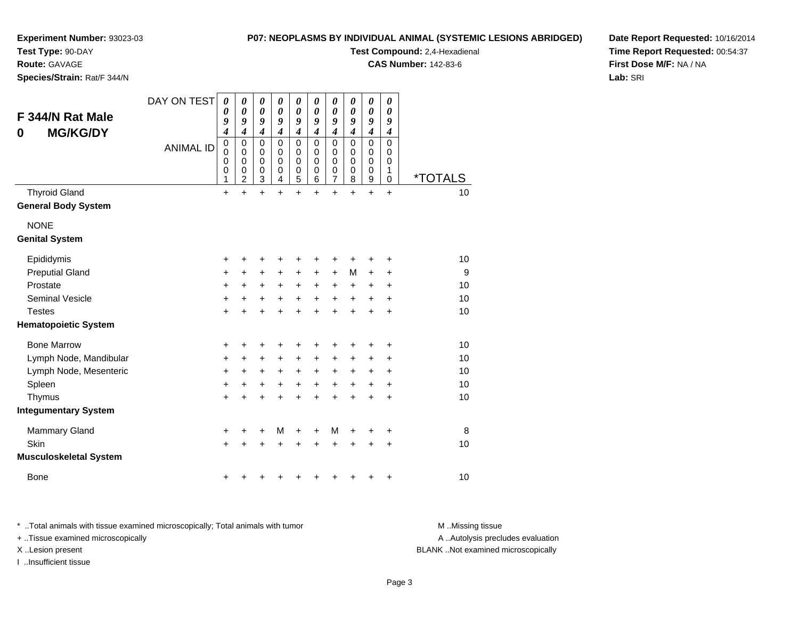#### **P07: NEOPLASMS BY INDIVIDUAL ANIMAL (SYSTEMIC LESIONS ABRIDGED)**

**Experiment Number:** 93023-03

**Test Type:** 90-DAY

**Route:** GAVAGE

**Species/Strain:** Rat/F 344/N

**Test Compound:** 2,4-Hexadienal

**CAS Number:** 142-83-6

**Date Report Requested:** 10/16/2014**Time Report Requested:** 00:54:37**First Dose M/F:** NA / NA**Lab:** SRI

| F 344/N Rat Male<br><b>MG/KG/DY</b><br>0 | DAY ON TEST      | 0<br>0<br>9<br>4              | 0<br>0<br>9<br>4                             | $\boldsymbol{\theta}$<br>0<br>9<br>$\boldsymbol{4}$ | 0<br>$\boldsymbol{\theta}$<br>9<br>$\boldsymbol{4}$           | $\boldsymbol{\theta}$<br>$\boldsymbol{\theta}$<br>9<br>$\boldsymbol{4}$  | 0<br>$\boldsymbol{\theta}$<br>9<br>$\boldsymbol{4}$ | 0<br>$\boldsymbol{\theta}$<br>9<br>$\boldsymbol{4}$                      | 0<br>$\boldsymbol{\theta}$<br>9<br>$\boldsymbol{4}$           | 0<br>$\boldsymbol{\theta}$<br>9<br>$\boldsymbol{4}$ | 0<br>0<br>9<br>4                              |                       |
|------------------------------------------|------------------|-------------------------------|----------------------------------------------|-----------------------------------------------------|---------------------------------------------------------------|--------------------------------------------------------------------------|-----------------------------------------------------|--------------------------------------------------------------------------|---------------------------------------------------------------|-----------------------------------------------------|-----------------------------------------------|-----------------------|
|                                          | <b>ANIMAL ID</b> | $\pmb{0}$<br>0<br>0<br>0<br>1 | 0<br>$\mathbf 0$<br>0<br>0<br>$\overline{2}$ | 0<br>$\mathbf 0$<br>$\mathbf 0$<br>0<br>3           | $\mathbf 0$<br>$\mathbf 0$<br>$\mathbf 0$<br>$\mathbf 0$<br>4 | $\mathsf 0$<br>$\mathbf 0$<br>$\mathbf 0$<br>$\pmb{0}$<br>$\overline{5}$ | $\mathbf 0$<br>$\mathbf 0$<br>$\mathbf 0$<br>0<br>6 | $\pmb{0}$<br>$\mathbf 0$<br>$\mathbf 0$<br>$\mathbf 0$<br>$\overline{7}$ | $\mathbf 0$<br>$\mathbf 0$<br>$\mathbf 0$<br>$\mathbf 0$<br>8 | $\mathbf 0$<br>$\mathbf 0$<br>0<br>0<br>9           | $\Omega$<br>$\Omega$<br>0<br>1<br>$\mathbf 0$ | <i><b>*TOTALS</b></i> |
| <b>Thyroid Gland</b>                     |                  | $+$                           | $\ddot{}$                                    | $\ddot{}$                                           | $\ddot{}$                                                     | $\ddot{}$                                                                | $\ddot{}$                                           | $+$                                                                      | $\ddot{}$                                                     | $\ddot{}$                                           | $\ddot{}$                                     | 10                    |
| <b>General Body System</b>               |                  |                               |                                              |                                                     |                                                               |                                                                          |                                                     |                                                                          |                                                               |                                                     |                                               |                       |
| <b>NONE</b>                              |                  |                               |                                              |                                                     |                                                               |                                                                          |                                                     |                                                                          |                                                               |                                                     |                                               |                       |
| <b>Genital System</b>                    |                  |                               |                                              |                                                     |                                                               |                                                                          |                                                     |                                                                          |                                                               |                                                     |                                               |                       |
| Epididymis                               |                  | +                             | +                                            | +                                                   | +                                                             | +                                                                        | +                                                   | +                                                                        | +                                                             | +                                                   | +                                             | 10                    |
| <b>Preputial Gland</b>                   |                  | $\ddot{}$                     | +                                            | +                                                   | +                                                             | $\ddot{}$                                                                | $\ddot{}$                                           | $\ddot{}$                                                                | M                                                             | +                                                   | $\ddot{}$                                     | 9                     |
| Prostate                                 |                  | +                             | $\ddot{}$                                    | +                                                   | $\ddot{}$                                                     | $\ddot{}$                                                                | $\ddot{}$                                           | +                                                                        | $\ddot{}$                                                     | +                                                   | +                                             | 10                    |
| <b>Seminal Vesicle</b>                   |                  | +                             | $\ddot{}$                                    | +                                                   | $\ddot{}$                                                     | $\ddot{}$                                                                | $\ddot{}$                                           | $\ddot{}$                                                                | $\ddot{}$                                                     | +                                                   | $\ddot{}$                                     | 10                    |
| <b>Testes</b>                            |                  | $\ddot{}$                     | +                                            | +                                                   | +                                                             | $\ddot{}$                                                                | +                                                   | $\ddot{}$                                                                | +                                                             | $\ddot{}$                                           | +                                             | 10                    |
| <b>Hematopoietic System</b>              |                  |                               |                                              |                                                     |                                                               |                                                                          |                                                     |                                                                          |                                                               |                                                     |                                               |                       |
| <b>Bone Marrow</b>                       |                  | +                             | +                                            | +                                                   | +                                                             | +                                                                        |                                                     | +                                                                        |                                                               | +                                                   | +                                             | 10                    |
| Lymph Node, Mandibular                   |                  | +                             | +                                            | +                                                   | $\ddot{}$                                                     | $\ddot{}$                                                                | $\ddot{}$                                           | +                                                                        | +                                                             | +                                                   | +                                             | 10                    |
| Lymph Node, Mesenteric                   |                  | +                             | +                                            | +                                                   | +                                                             | $\ddot{}$                                                                | $\ddot{}$                                           | +                                                                        | $\ddot{}$                                                     | +                                                   | +                                             | 10                    |
| Spleen                                   |                  | +                             | +                                            | +                                                   | +                                                             | $\ddot{}$                                                                | +                                                   | $\ddot{}$                                                                | +                                                             | +                                                   | +                                             | 10                    |
| Thymus                                   |                  | +                             |                                              | $\ddot{}$                                           |                                                               | $\ddot{}$                                                                |                                                     | $\ddot{}$                                                                |                                                               | Ŧ.                                                  | $\ddot{}$                                     | 10                    |
| <b>Integumentary System</b>              |                  |                               |                                              |                                                     |                                                               |                                                                          |                                                     |                                                                          |                                                               |                                                     |                                               |                       |
| <b>Mammary Gland</b>                     |                  | +                             | +                                            | +                                                   | M                                                             | +                                                                        | +                                                   | M                                                                        | +                                                             | +                                                   | +                                             | 8                     |
| Skin                                     |                  | $\ddot{}$                     |                                              | +                                                   | +                                                             | +                                                                        |                                                     | +                                                                        |                                                               | ٠                                                   | +                                             | 10                    |
| <b>Musculoskeletal System</b>            |                  |                               |                                              |                                                     |                                                               |                                                                          |                                                     |                                                                          |                                                               |                                                     |                                               |                       |
| Bone                                     |                  | +                             |                                              |                                                     |                                                               |                                                                          |                                                     |                                                                          |                                                               | +                                                   | +                                             | 10                    |

\* ..Total animals with tissue examined microscopically; Total animals with tumor **M** . Missing tissue M ..Missing tissue

+ ..Tissue examined microscopically

I ..Insufficient tissue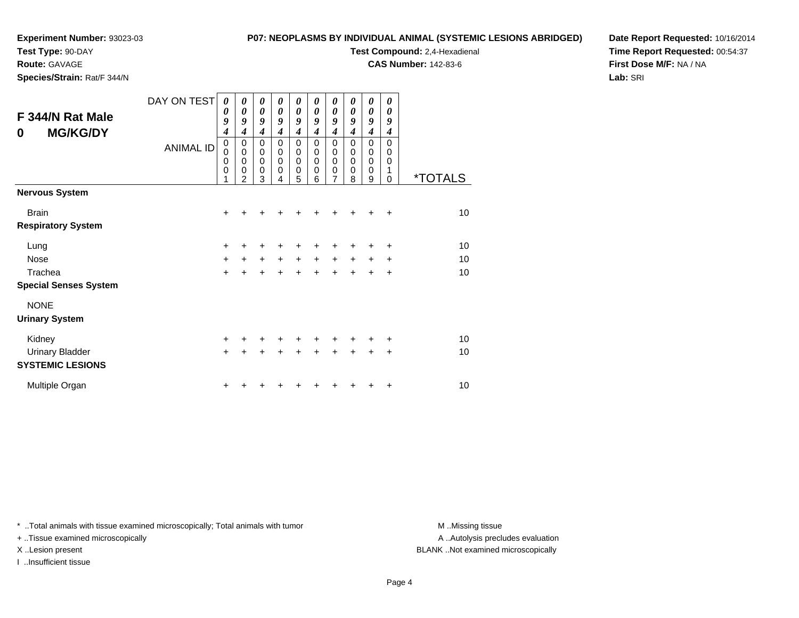**Test Type:** 90-DAY

**Route:** GAVAGE

**Species/Strain:** Rat/F 344/N

#### **P07: NEOPLASMS BY INDIVIDUAL ANIMAL (SYSTEMIC LESIONS ABRIDGED)**

**Test Compound:** 2,4-Hexadienal

**CAS Number:** 142-83-6

**Date Report Requested:** 10/16/2014**Time Report Requested:** 00:54:37**First Dose M/F:** NA / NA**Lab:** SRI

| F 344/N Rat Male<br><b>MG/KG/DY</b><br>0 | DAY ON TEST<br><b>ANIMAL ID</b> | 0<br>0<br>9<br>$\boldsymbol{4}$<br>$\pmb{0}$<br>$\mathbf 0$<br>$\mathbf 0$<br>$\mathbf 0$<br>1 | 0<br>$\boldsymbol{\theta}$<br>9<br>4<br>$\mathbf 0$<br>$\mathbf 0$<br>$\mathbf 0$<br>$\mathbf 0$<br>$\overline{2}$ | 0<br>$\boldsymbol{\theta}$<br>9<br>$\boldsymbol{4}$<br>$\pmb{0}$<br>$\mathbf 0$<br>$\pmb{0}$<br>$\mathbf 0$<br>3 | 0<br>0<br>9<br>4<br>$\mathbf 0$<br>$\mathbf 0$<br>$\mathbf 0$<br>$\mathbf 0$<br>4 | 0<br>0<br>9<br>4<br>$\mathbf 0$<br>$\mathbf 0$<br>$\mathbf 0$<br>0<br>5 | 0<br>0<br>9<br>4<br>$\Omega$<br>0<br>$\mathbf 0$<br>$\mathbf 0$<br>6 | 0<br>0<br>9<br>4<br>0<br>0<br>0<br>0<br>7 | 0<br>0<br>9<br>4<br>$\Omega$<br>0<br>$\Omega$<br>0<br>8 | 0<br>0<br>9<br>$\boldsymbol{4}$<br>$\mathbf 0$<br>0<br>$\mathbf 0$<br>$\mathbf 0$<br>9 | 0<br>0<br>9<br>4<br>$\Omega$<br>0<br>0<br>1<br>$\Omega$ | <i><b>*TOTALS</b></i> |
|------------------------------------------|---------------------------------|------------------------------------------------------------------------------------------------|--------------------------------------------------------------------------------------------------------------------|------------------------------------------------------------------------------------------------------------------|-----------------------------------------------------------------------------------|-------------------------------------------------------------------------|----------------------------------------------------------------------|-------------------------------------------|---------------------------------------------------------|----------------------------------------------------------------------------------------|---------------------------------------------------------|-----------------------|
| <b>Nervous System</b>                    |                                 |                                                                                                |                                                                                                                    |                                                                                                                  |                                                                                   |                                                                         |                                                                      |                                           |                                                         |                                                                                        |                                                         |                       |
| <b>Brain</b>                             |                                 | $\ddot{}$                                                                                      |                                                                                                                    |                                                                                                                  |                                                                                   |                                                                         |                                                                      |                                           |                                                         | +                                                                                      | $\div$                                                  | 10                    |
| <b>Respiratory System</b>                |                                 |                                                                                                |                                                                                                                    |                                                                                                                  |                                                                                   |                                                                         |                                                                      |                                           |                                                         |                                                                                        |                                                         |                       |
| Lung                                     |                                 | $\ddot{}$                                                                                      |                                                                                                                    |                                                                                                                  |                                                                                   |                                                                         |                                                                      | +                                         |                                                         | +                                                                                      | ٠                                                       | 10                    |
| <b>Nose</b>                              |                                 | $\ddot{}$                                                                                      | $\ddot{}$                                                                                                          | $\ddot{}$                                                                                                        | $+$                                                                               | $\ddot{}$                                                               | $\ddot{}$                                                            | $\ddot{}$                                 | $\ddot{}$                                               | $\ddot{}$                                                                              | $\ddot{}$                                               | 10                    |
| Trachea                                  |                                 | $\ddot{}$                                                                                      |                                                                                                                    | $\ddot{}$                                                                                                        |                                                                                   | $\ddot{}$                                                               | $\ddotmark$                                                          | $\ddot{}$                                 | $+$                                                     | $\ddot{}$                                                                              | $+$                                                     | 10                    |
| <b>Special Senses System</b>             |                                 |                                                                                                |                                                                                                                    |                                                                                                                  |                                                                                   |                                                                         |                                                                      |                                           |                                                         |                                                                                        |                                                         |                       |
| <b>NONE</b>                              |                                 |                                                                                                |                                                                                                                    |                                                                                                                  |                                                                                   |                                                                         |                                                                      |                                           |                                                         |                                                                                        |                                                         |                       |
| <b>Urinary System</b>                    |                                 |                                                                                                |                                                                                                                    |                                                                                                                  |                                                                                   |                                                                         |                                                                      |                                           |                                                         |                                                                                        |                                                         |                       |
| Kidney                                   |                                 | $\ddot{}$                                                                                      |                                                                                                                    |                                                                                                                  |                                                                                   | ٠                                                                       | +                                                                    | +                                         | +                                                       | +                                                                                      | ٠                                                       | 10                    |
| <b>Urinary Bladder</b>                   |                                 | $\ddot{}$                                                                                      |                                                                                                                    |                                                                                                                  |                                                                                   |                                                                         |                                                                      | $\ddot{}$                                 | $\ddot{}$                                               | $\ddot{}$                                                                              | $\ddot{}$                                               | 10                    |
| <b>SYSTEMIC LESIONS</b>                  |                                 |                                                                                                |                                                                                                                    |                                                                                                                  |                                                                                   |                                                                         |                                                                      |                                           |                                                         |                                                                                        |                                                         |                       |
| Multiple Organ                           |                                 | +                                                                                              |                                                                                                                    |                                                                                                                  |                                                                                   |                                                                         |                                                                      |                                           |                                                         |                                                                                        | ٠                                                       | 10                    |

\* ..Total animals with tissue examined microscopically; Total animals with tumor **M** . Missing tissue M ..Missing tissue

+ ..Tissue examined microscopically

I ..Insufficient tissue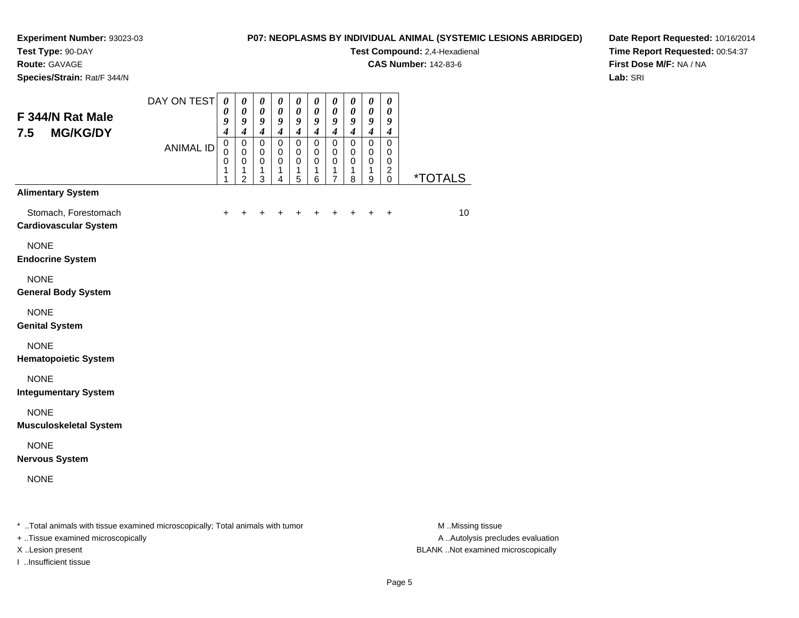**Test Type:** 90-DAY

**Route:** GAVAGE

**Species/Strain:** Rat/F 344/N

### **P07: NEOPLASMS BY INDIVIDUAL ANIMAL (SYSTEMIC LESIONS ABRIDGED)**

**Test Compound:** 2,4-Hexadienal

**CAS Number:** 142-83-6

**Date Report Requested:** 10/16/2014**Time Report Requested:** 00:54:37**First Dose M/F:** NA / NA**Lab:** SRI

| F 344/N Rat Male<br><b>MG/KG/DY</b><br>7.5                                                                     | DAY ON TEST      | $\boldsymbol{\theta}$<br>$\boldsymbol{\theta}$<br>9<br>$\boldsymbol{4}$ | $\boldsymbol{\theta}$<br>$\boldsymbol{\theta}$<br>9<br>$\boldsymbol{4}$ | $\pmb{\theta}$<br>$\pmb{\theta}$<br>9<br>$\boldsymbol{4}$ | $\boldsymbol{\theta}$<br>0<br>9<br>$\boldsymbol{4}$ | $\pmb{\theta}$<br>$\boldsymbol{\theta}$<br>9<br>$\boldsymbol{4}$ | $\pmb{\theta}$<br>0<br>9<br>$\overline{4}$          | 0<br>$\boldsymbol{\theta}$<br>9<br>$\overline{\boldsymbol{4}}$   | $\boldsymbol{\theta}$<br>$\boldsymbol{\theta}$<br>9<br>$\boldsymbol{4}$ | $\pmb{\theta}$<br>$\boldsymbol{\theta}$<br>9<br>$\overline{\boldsymbol{4}}$ | $\boldsymbol{\theta}$<br>0<br>9<br>$\boldsymbol{4}$              |                                                                                                                                                                                                                                                                                                                                    |
|----------------------------------------------------------------------------------------------------------------|------------------|-------------------------------------------------------------------------|-------------------------------------------------------------------------|-----------------------------------------------------------|-----------------------------------------------------|------------------------------------------------------------------|-----------------------------------------------------|------------------------------------------------------------------|-------------------------------------------------------------------------|-----------------------------------------------------------------------------|------------------------------------------------------------------|------------------------------------------------------------------------------------------------------------------------------------------------------------------------------------------------------------------------------------------------------------------------------------------------------------------------------------|
|                                                                                                                | <b>ANIMAL ID</b> | $\pmb{0}$<br>$\mathbf 0$<br>$\mathbf 0$<br>1<br>1                       | $\pmb{0}$<br>$\pmb{0}$<br>$\mathbf 0$<br>1<br>$\overline{2}$            | 0<br>0<br>$\mathbf 0$<br>1<br>3                           | $\mathbf 0$<br>$\mathbf 0$<br>$\mathbf 0$<br>1<br>4 | $\pmb{0}$<br>$\pmb{0}$<br>$\pmb{0}$<br>1<br>5                    | $\mathbf 0$<br>$\mathbf 0$<br>$\mathbf 0$<br>1<br>6 | $\mathbf 0$<br>$\mathbf 0$<br>$\mathbf 0$<br>1<br>$\overline{7}$ | $\mathbf 0$<br>$\pmb{0}$<br>$\mathbf 0$<br>1<br>8                       | $\pmb{0}$<br>$\pmb{0}$<br>$\mathbf 0$<br>1<br>9                             | $\mathbf 0$<br>0<br>$\mathbf 0$<br>$\overline{c}$<br>$\mathbf 0$ | *TOTALS                                                                                                                                                                                                                                                                                                                            |
| <b>Alimentary System</b>                                                                                       |                  |                                                                         |                                                                         |                                                           |                                                     |                                                                  |                                                     |                                                                  |                                                                         |                                                                             |                                                                  |                                                                                                                                                                                                                                                                                                                                    |
| Stomach, Forestomach<br><b>Cardiovascular System</b>                                                           |                  | +                                                                       |                                                                         |                                                           |                                                     |                                                                  |                                                     |                                                                  |                                                                         |                                                                             | $\ddot{}$                                                        | 10                                                                                                                                                                                                                                                                                                                                 |
| <b>NONE</b><br><b>Endocrine System</b>                                                                         |                  |                                                                         |                                                                         |                                                           |                                                     |                                                                  |                                                     |                                                                  |                                                                         |                                                                             |                                                                  |                                                                                                                                                                                                                                                                                                                                    |
| <b>NONE</b><br><b>General Body System</b>                                                                      |                  |                                                                         |                                                                         |                                                           |                                                     |                                                                  |                                                     |                                                                  |                                                                         |                                                                             |                                                                  |                                                                                                                                                                                                                                                                                                                                    |
| <b>NONE</b><br><b>Genital System</b>                                                                           |                  |                                                                         |                                                                         |                                                           |                                                     |                                                                  |                                                     |                                                                  |                                                                         |                                                                             |                                                                  |                                                                                                                                                                                                                                                                                                                                    |
| <b>NONE</b><br><b>Hematopoietic System</b>                                                                     |                  |                                                                         |                                                                         |                                                           |                                                     |                                                                  |                                                     |                                                                  |                                                                         |                                                                             |                                                                  |                                                                                                                                                                                                                                                                                                                                    |
| <b>NONE</b><br><b>Integumentary System</b>                                                                     |                  |                                                                         |                                                                         |                                                           |                                                     |                                                                  |                                                     |                                                                  |                                                                         |                                                                             |                                                                  |                                                                                                                                                                                                                                                                                                                                    |
| <b>NONE</b><br><b>Musculoskeletal System</b>                                                                   |                  |                                                                         |                                                                         |                                                           |                                                     |                                                                  |                                                     |                                                                  |                                                                         |                                                                             |                                                                  |                                                                                                                                                                                                                                                                                                                                    |
| <b>NONE</b><br><b>Nervous System</b>                                                                           |                  |                                                                         |                                                                         |                                                           |                                                     |                                                                  |                                                     |                                                                  |                                                                         |                                                                             |                                                                  |                                                                                                                                                                                                                                                                                                                                    |
| <b>NONE</b>                                                                                                    |                  |                                                                         |                                                                         |                                                           |                                                     |                                                                  |                                                     |                                                                  |                                                                         |                                                                             |                                                                  |                                                                                                                                                                                                                                                                                                                                    |
| . The contract of the contract of the contract of the contract of the state of the contract of the contract of |                  |                                                                         |                                                                         |                                                           |                                                     |                                                                  |                                                     |                                                                  |                                                                         |                                                                             |                                                                  | $\mathbf{A}$ $\mathbf{A}$ $\mathbf{A}$ $\mathbf{A}$ $\mathbf{A}$ $\mathbf{A}$ $\mathbf{A}$ $\mathbf{A}$ $\mathbf{A}$ $\mathbf{A}$ $\mathbf{A}$ $\mathbf{A}$ $\mathbf{A}$ $\mathbf{A}$ $\mathbf{A}$ $\mathbf{A}$ $\mathbf{A}$ $\mathbf{A}$ $\mathbf{A}$ $\mathbf{A}$ $\mathbf{A}$ $\mathbf{A}$ $\mathbf{A}$ $\mathbf{A}$ $\mathbf{$ |

..Total animals with tissue examined microscopically; Total animals with tumor M ..Missing tissue M ..Missing tissue

+ ..Tissue examined microscopically

I ..Insufficient tissue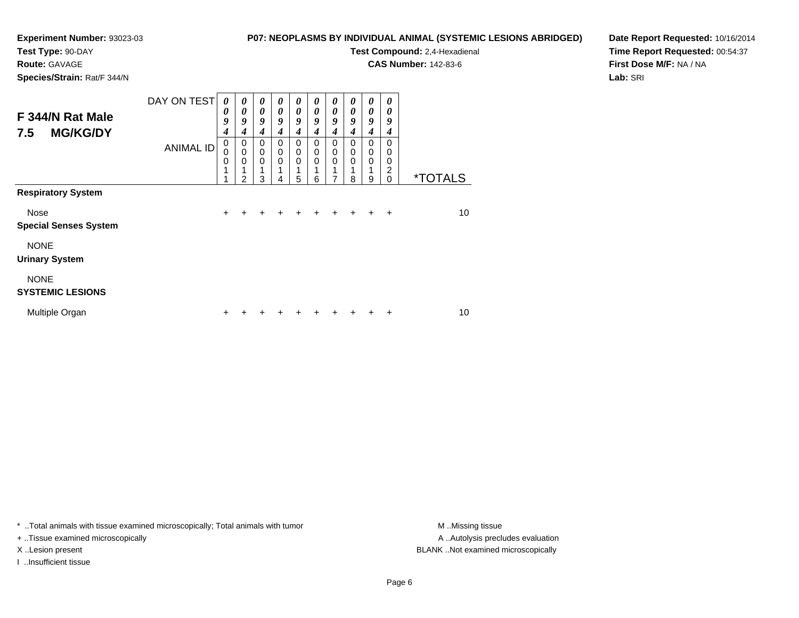**Test Type:** 90-DAY

#### **Route:** GAVAGE

**Species/Strain:** Rat/F 344/N

#### **P07: NEOPLASMS BY INDIVIDUAL ANIMAL (SYSTEMIC LESIONS ABRIDGED)**

**Test Compound:** 2,4-Hexadienal

**CAS Number:** 142-83-6

**Date Report Requested:** 10/16/2014**Time Report Requested:** 00:54:37**First Dose M/F:** NA / NA**Lab:** SRI

| F 344/N Rat Male<br><b>MG/KG/DY</b><br>7.5 | DAY ON TEST      | 0<br>0<br>9<br>$\boldsymbol{4}$ | $\boldsymbol{\theta}$<br>$\boldsymbol{\theta}$<br>9<br>4 | 0<br>$\boldsymbol{\theta}$<br>9<br>$\boldsymbol{4}$ | 0<br>0<br>9<br>4                     | 0<br>$\boldsymbol{\theta}$<br>9<br>4 | 0<br>0<br>9<br>4 | 0<br>$\boldsymbol{\theta}$<br>9<br>4      | $\boldsymbol{\theta}$<br>0<br>9<br>4 | $\boldsymbol{\theta}$<br>$\boldsymbol{\theta}$<br>9<br>4 | 0<br>0<br>9<br>4                                        |                       |
|--------------------------------------------|------------------|---------------------------------|----------------------------------------------------------|-----------------------------------------------------|--------------------------------------|--------------------------------------|------------------|-------------------------------------------|--------------------------------------|----------------------------------------------------------|---------------------------------------------------------|-----------------------|
| <b>Respiratory System</b>                  | <b>ANIMAL ID</b> | 0<br>0<br>0<br>1<br>◢           | 0<br>$\mathbf 0$<br>$\mathbf 0$<br>1<br>2                | 0<br>$\mathbf 0$<br>0<br>1<br>3                     | 0<br>$\mathbf 0$<br>$\mathbf 0$<br>4 | 0<br>$\mathbf 0$<br>$\mathbf 0$<br>5 | 0<br>0<br>0<br>6 | 0<br>$\mathbf 0$<br>$\mathbf 0$<br>1<br>7 | $\Omega$<br>0<br>$\Omega$<br>8       | 0<br>$\mathbf 0$<br>$\mathbf 0$<br>1<br>9                | $\Omega$<br>$\Omega$<br>0<br>$\overline{2}$<br>$\Omega$ | <i><b>*TOTALS</b></i> |
|                                            |                  |                                 |                                                          |                                                     |                                      |                                      |                  |                                           |                                      |                                                          |                                                         |                       |
| Nose<br><b>Special Senses System</b>       |                  | $\ddot{}$                       | ÷                                                        | $\ddot{}$                                           | $\ddot{}$                            | ÷                                    | $\ddot{}$        | $\pm$                                     | $\ddot{}$                            | $\ddot{}$                                                | $\ddot{}$                                               | 10                    |
| <b>NONE</b><br><b>Urinary System</b>       |                  |                                 |                                                          |                                                     |                                      |                                      |                  |                                           |                                      |                                                          |                                                         |                       |
| <b>NONE</b><br><b>SYSTEMIC LESIONS</b>     |                  |                                 |                                                          |                                                     |                                      |                                      |                  |                                           |                                      |                                                          |                                                         |                       |
| Multiple Organ                             |                  | ÷                               |                                                          |                                                     |                                      |                                      |                  |                                           |                                      |                                                          | +                                                       | 10                    |

\* ..Total animals with tissue examined microscopically; Total animals with tumor **M** . Missing tissue M ..Missing tissue

+ ..Tissue examined microscopically

I ..Insufficient tissue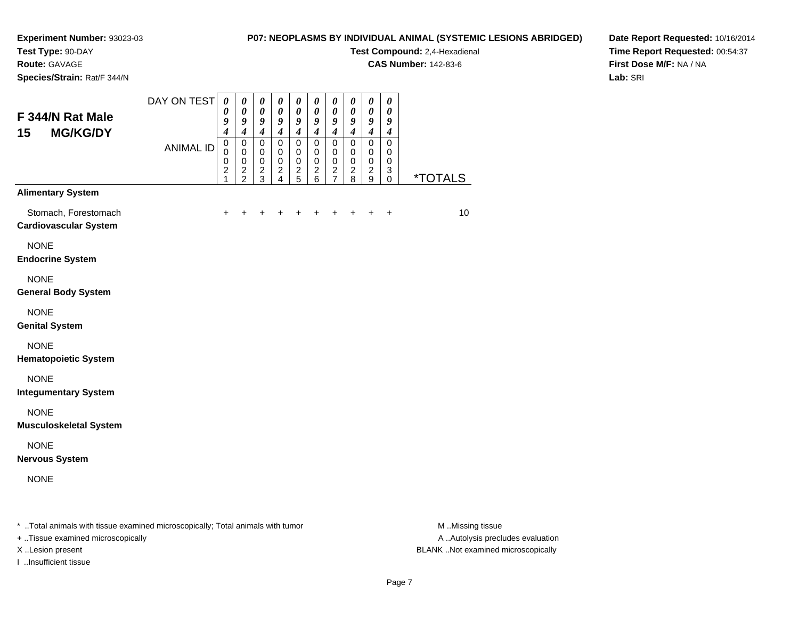**Test Type:** 90-DAY**Route:** GAVAGE

**Species/Strain:** Rat/F 344/N

#### **P07: NEOPLASMS BY INDIVIDUAL ANIMAL (SYSTEMIC LESIONS ABRIDGED)**

**Test Compound:** 2,4-Hexadienal

**CAS Number:** 142-83-6

**Date Report Requested:** 10/16/2014**Time Report Requested:** 00:54:37**First Dose M/F:** NA / NA**Lab:** SRI

| F 344/N Rat Male<br><b>MG/KG/DY</b><br>15            | DAY ON TEST      | $\pmb{\theta}$<br>$\boldsymbol{\theta}$<br>9<br>$\overline{4}$ | $\boldsymbol{\theta}$<br>$\boldsymbol{\theta}$<br>9<br>$\boldsymbol{4}$       | $\boldsymbol{\theta}$<br>$\boldsymbol{\theta}$<br>9<br>$\boldsymbol{4}$ | $\boldsymbol{\theta}$<br>$\boldsymbol{\theta}$<br>9<br>$\boldsymbol{4}$ | $\boldsymbol{\theta}$<br>$\pmb{\theta}$<br>9<br>$\boldsymbol{4}$ | $\pmb{\theta}$<br>$\boldsymbol{\theta}$<br>9<br>$\overline{\boldsymbol{4}}$ | $\pmb{\theta}$<br>$\pmb{\theta}$<br>$\boldsymbol{9}$<br>$\boldsymbol{4}$ | $\pmb{\theta}$<br>$\pmb{\theta}$<br>9<br>$\boldsymbol{4}$        | $\pmb{\theta}$<br>$\boldsymbol{\theta}$<br>9<br>$\boldsymbol{4}$ | $\pmb{\theta}$<br>$\boldsymbol{\theta}$<br>9<br>$\boldsymbol{4}$       |                       |
|------------------------------------------------------|------------------|----------------------------------------------------------------|-------------------------------------------------------------------------------|-------------------------------------------------------------------------|-------------------------------------------------------------------------|------------------------------------------------------------------|-----------------------------------------------------------------------------|--------------------------------------------------------------------------|------------------------------------------------------------------|------------------------------------------------------------------|------------------------------------------------------------------------|-----------------------|
|                                                      | <b>ANIMAL ID</b> | $\mathbf 0$<br>$\mathbf 0$<br>$\mathbf 0$<br>2<br>1            | $\pmb{0}$<br>$\mathbf 0$<br>$\mathbf 0$<br>$\boldsymbol{2}$<br>$\overline{2}$ | $\mathbf 0$<br>$\mathbf 0$<br>$\mathbf 0$<br>$\boldsymbol{2}$<br>3      | $\mathsf 0$<br>$\mathbf 0$<br>$\mathbf 0$<br>$\frac{2}{4}$              | $\mathsf 0$<br>$\mathbf 0$<br>$\mathbf 0$<br>$\frac{2}{5}$       | $\pmb{0}$<br>0<br>$\mathbf 0$<br>$\frac{2}{6}$                              | $\pmb{0}$<br>0<br>$\mathbf 0$<br>$\frac{2}{7}$                           | $\pmb{0}$<br>$\mathbf 0$<br>$\mathbf 0$<br>$\boldsymbol{2}$<br>8 | $\pmb{0}$<br>$\mathbf 0$<br>$\pmb{0}$<br>$\frac{2}{9}$           | $\mathbf 0$<br>$\mathbf 0$<br>$\mathbf 0$<br>$\sqrt{3}$<br>$\mathbf 0$ | <i><b>*TOTALS</b></i> |
| <b>Alimentary System</b>                             |                  |                                                                |                                                                               |                                                                         |                                                                         |                                                                  |                                                                             |                                                                          |                                                                  |                                                                  |                                                                        |                       |
| Stomach, Forestomach<br><b>Cardiovascular System</b> |                  | ÷                                                              |                                                                               |                                                                         |                                                                         |                                                                  |                                                                             |                                                                          |                                                                  | +                                                                | $\ddot{}$                                                              | 10                    |
| <b>NONE</b><br><b>Endocrine System</b>               |                  |                                                                |                                                                               |                                                                         |                                                                         |                                                                  |                                                                             |                                                                          |                                                                  |                                                                  |                                                                        |                       |
| <b>NONE</b><br><b>General Body System</b>            |                  |                                                                |                                                                               |                                                                         |                                                                         |                                                                  |                                                                             |                                                                          |                                                                  |                                                                  |                                                                        |                       |
| <b>NONE</b><br><b>Genital System</b>                 |                  |                                                                |                                                                               |                                                                         |                                                                         |                                                                  |                                                                             |                                                                          |                                                                  |                                                                  |                                                                        |                       |
| <b>NONE</b><br><b>Hematopoietic System</b>           |                  |                                                                |                                                                               |                                                                         |                                                                         |                                                                  |                                                                             |                                                                          |                                                                  |                                                                  |                                                                        |                       |
| <b>NONE</b><br><b>Integumentary System</b>           |                  |                                                                |                                                                               |                                                                         |                                                                         |                                                                  |                                                                             |                                                                          |                                                                  |                                                                  |                                                                        |                       |
| <b>NONE</b><br><b>Musculoskeletal System</b>         |                  |                                                                |                                                                               |                                                                         |                                                                         |                                                                  |                                                                             |                                                                          |                                                                  |                                                                  |                                                                        |                       |
| <b>NONE</b><br><b>Nervous System</b>                 |                  |                                                                |                                                                               |                                                                         |                                                                         |                                                                  |                                                                             |                                                                          |                                                                  |                                                                  |                                                                        |                       |
| <b>NONE</b>                                          |                  |                                                                |                                                                               |                                                                         |                                                                         |                                                                  |                                                                             |                                                                          |                                                                  |                                                                  |                                                                        |                       |
|                                                      |                  |                                                                |                                                                               |                                                                         |                                                                         |                                                                  |                                                                             |                                                                          |                                                                  |                                                                  |                                                                        |                       |

\* ..Total animals with tissue examined microscopically; Total animals with tumor **M** ...Missing tissue M ...Missing tissue

+ ..Tissue examined microscopically

I ..Insufficient tissue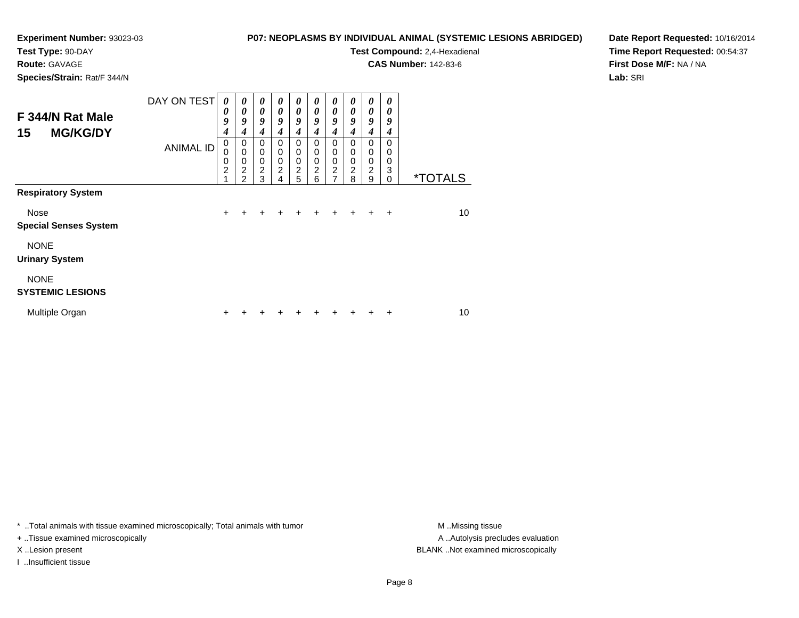#### **Test Type:** 90-DAY

**Route:** GAVAGE

**Species/Strain:** Rat/F 344/N

#### **P07: NEOPLASMS BY INDIVIDUAL ANIMAL (SYSTEMIC LESIONS ABRIDGED)**

**Test Compound:** 2,4-Hexadienal

**CAS Number:** 142-83-6

**Date Report Requested:** 10/16/2014**Time Report Requested:** 00:54:37**First Dose M/F:** NA / NA**Lab:** SRI

| F 344/N Rat Male<br><b>MG/KG/DY</b><br>15 | DAY ON TEST      | 0<br>0<br>9<br>$\boldsymbol{4}$         | 0<br>0<br>9<br>$\boldsymbol{4}$                                   | 0<br>$\boldsymbol{\theta}$<br>9<br>4         | 0<br>0<br>9<br>4                   | $\boldsymbol{\theta}$<br>$\boldsymbol{\theta}$<br>9<br>4 | 0<br>0<br>9<br>4                             | $\boldsymbol{\theta}$<br>$\boldsymbol{\theta}$<br>9<br>4   | 0<br>$\boldsymbol{\theta}$<br>9<br>4                   | 0<br>$\boldsymbol{\theta}$<br>9<br>4               | 0<br>0<br>9<br>4                           |                       |
|-------------------------------------------|------------------|-----------------------------------------|-------------------------------------------------------------------|----------------------------------------------|------------------------------------|----------------------------------------------------------|----------------------------------------------|------------------------------------------------------------|--------------------------------------------------------|----------------------------------------------------|--------------------------------------------|-----------------------|
|                                           | <b>ANIMAL ID</b> | $\mathbf 0$<br>0<br>0<br>$\overline{c}$ | 0<br>$\mathbf 0$<br>$\pmb{0}$<br>$\overline{2}$<br>$\mathfrak{p}$ | 0<br>$\mathbf 0$<br>0<br>$\overline{c}$<br>3 | 0<br>0<br>0<br>$\overline{c}$<br>4 | 0<br>$\mathbf 0$<br>$\mathbf 0$<br>$\frac{2}{5}$         | 0<br>$\mathbf 0$<br>0<br>$\overline{c}$<br>6 | $\mathbf 0$<br>$\mathbf 0$<br>$\mathbf 0$<br>$\frac{2}{7}$ | 0<br>$\mathbf 0$<br>$\mathbf 0$<br>$\overline{c}$<br>8 | 0<br>$\pmb{0}$<br>$\pmb{0}$<br>$\overline{2}$<br>9 | $\Omega$<br>$\Omega$<br>0<br>3<br>$\Omega$ | <i><b>*TOTALS</b></i> |
| <b>Respiratory System</b>                 |                  |                                         |                                                                   |                                              |                                    |                                                          |                                              |                                                            |                                                        |                                                    |                                            |                       |
| Nose<br><b>Special Senses System</b>      |                  | $\ddot{}$                               | ÷                                                                 | ÷                                            | ٠                                  | ÷                                                        | ٠                                            | ٠                                                          | +                                                      | ÷                                                  | $\ddot{}$                                  | 10                    |
| <b>NONE</b><br><b>Urinary System</b>      |                  |                                         |                                                                   |                                              |                                    |                                                          |                                              |                                                            |                                                        |                                                    |                                            |                       |
| <b>NONE</b><br><b>SYSTEMIC LESIONS</b>    |                  |                                         |                                                                   |                                              |                                    |                                                          |                                              |                                                            |                                                        |                                                    |                                            |                       |
| Multiple Organ                            |                  | ÷                                       |                                                                   |                                              |                                    |                                                          |                                              |                                                            |                                                        |                                                    | +                                          | 10                    |

\* ..Total animals with tissue examined microscopically; Total animals with tumor **M** . Missing tissue M ..Missing tissue

+ ..Tissue examined microscopically

I ..Insufficient tissue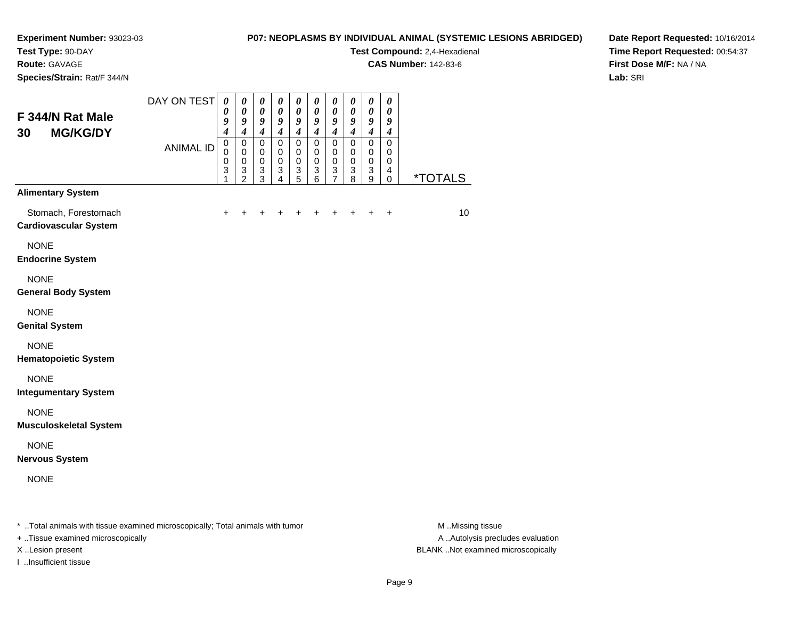### **Test Type:** 90-DAY

**Route:** GAVAGE

**Species/Strain:** Rat/F 344/N

#### **P07: NEOPLASMS BY INDIVIDUAL ANIMAL (SYSTEMIC LESIONS ABRIDGED)**

**Test Compound:** 2,4-Hexadienal

**CAS Number:** 142-83-6

**Date Report Requested:** 10/16/2014**Time Report Requested:** 00:54:37**First Dose M/F:** NA / NA**Lab:** SRI

| F 344/N Rat Male<br><b>MG/KG/DY</b><br>30            | DAY ON TEST                                                                                                   | $\boldsymbol{\theta}$<br>0<br>9<br>$\boldsymbol{4}$ | $\boldsymbol{\theta}$<br>$\boldsymbol{\theta}$<br>9<br>$\boldsymbol{4}$ | $\boldsymbol{\theta}$<br>$\boldsymbol{\theta}$<br>9<br>$\overline{\boldsymbol{4}}$ | $\boldsymbol{\theta}$<br>0<br>9<br>$\boldsymbol{4}$    | $\boldsymbol{\theta}$<br>$\boldsymbol{\theta}$<br>9<br>$\boldsymbol{4}$ | $\pmb{\theta}$<br>0<br>9<br>$\overline{4}$          | $\pmb{\theta}$<br>$\boldsymbol{\theta}$<br>9<br>$\boldsymbol{4}$ | $\pmb{\theta}$<br>$\boldsymbol{\theta}$<br>9<br>$\boldsymbol{4}$ | $\pmb{\theta}$<br>$\boldsymbol{\theta}$<br>9<br>$\overline{\boldsymbol{4}}$ | $\pmb{\theta}$<br>0<br>9<br>$\boldsymbol{4}$                     |                                                                                                                                                                                                                                                                                                                                    |
|------------------------------------------------------|---------------------------------------------------------------------------------------------------------------|-----------------------------------------------------|-------------------------------------------------------------------------|------------------------------------------------------------------------------------|--------------------------------------------------------|-------------------------------------------------------------------------|-----------------------------------------------------|------------------------------------------------------------------|------------------------------------------------------------------|-----------------------------------------------------------------------------|------------------------------------------------------------------|------------------------------------------------------------------------------------------------------------------------------------------------------------------------------------------------------------------------------------------------------------------------------------------------------------------------------------|
|                                                      | <b>ANIMAL ID</b>                                                                                              | $\mathbf 0$<br>$\mathbf 0$<br>$\mathbf 0$<br>3<br>1 | $\mathbf 0$<br>$\mathbf 0$<br>$\mathbf 0$<br>3<br>$\overline{2}$        | $\pmb{0}$<br>$\pmb{0}$<br>$\mathbf 0$<br>3<br>$\overline{3}$                       | $\mathbf 0$<br>0<br>$\mathbf 0$<br>3<br>$\overline{4}$ | $\pmb{0}$<br>$\pmb{0}$<br>$\pmb{0}$<br>$\frac{3}{5}$                    | $\mathbf 0$<br>$\mathbf 0$<br>$\mathbf 0$<br>3<br>6 | 0<br>0<br>0<br>3<br>$\overline{7}$                               | $\mathbf 0$<br>$\mathbf 0$<br>$\mathbf 0$<br>3<br>8              | $\pmb{0}$<br>$\pmb{0}$<br>$\mathbf 0$<br>$\ensuremath{\mathsf{3}}$<br>9     | $\mathbf 0$<br>0<br>$\mathbf 0$<br>$\overline{4}$<br>$\mathbf 0$ | <i><b>*TOTALS</b></i>                                                                                                                                                                                                                                                                                                              |
| <b>Alimentary System</b>                             |                                                                                                               |                                                     |                                                                         |                                                                                    |                                                        |                                                                         |                                                     |                                                                  |                                                                  |                                                                             |                                                                  |                                                                                                                                                                                                                                                                                                                                    |
| Stomach, Forestomach<br><b>Cardiovascular System</b> |                                                                                                               | +                                                   |                                                                         |                                                                                    |                                                        |                                                                         |                                                     |                                                                  |                                                                  |                                                                             | +                                                                | 10                                                                                                                                                                                                                                                                                                                                 |
| <b>NONE</b><br><b>Endocrine System</b>               |                                                                                                               |                                                     |                                                                         |                                                                                    |                                                        |                                                                         |                                                     |                                                                  |                                                                  |                                                                             |                                                                  |                                                                                                                                                                                                                                                                                                                                    |
| <b>NONE</b><br><b>General Body System</b>            |                                                                                                               |                                                     |                                                                         |                                                                                    |                                                        |                                                                         |                                                     |                                                                  |                                                                  |                                                                             |                                                                  |                                                                                                                                                                                                                                                                                                                                    |
| <b>NONE</b><br><b>Genital System</b>                 |                                                                                                               |                                                     |                                                                         |                                                                                    |                                                        |                                                                         |                                                     |                                                                  |                                                                  |                                                                             |                                                                  |                                                                                                                                                                                                                                                                                                                                    |
| <b>NONE</b><br><b>Hematopoietic System</b>           |                                                                                                               |                                                     |                                                                         |                                                                                    |                                                        |                                                                         |                                                     |                                                                  |                                                                  |                                                                             |                                                                  |                                                                                                                                                                                                                                                                                                                                    |
| <b>NONE</b><br><b>Integumentary System</b>           |                                                                                                               |                                                     |                                                                         |                                                                                    |                                                        |                                                                         |                                                     |                                                                  |                                                                  |                                                                             |                                                                  |                                                                                                                                                                                                                                                                                                                                    |
| <b>NONE</b><br><b>Musculoskeletal System</b>         |                                                                                                               |                                                     |                                                                         |                                                                                    |                                                        |                                                                         |                                                     |                                                                  |                                                                  |                                                                             |                                                                  |                                                                                                                                                                                                                                                                                                                                    |
| <b>NONE</b><br><b>Nervous System</b>                 |                                                                                                               |                                                     |                                                                         |                                                                                    |                                                        |                                                                         |                                                     |                                                                  |                                                                  |                                                                             |                                                                  |                                                                                                                                                                                                                                                                                                                                    |
| <b>NONE</b>                                          |                                                                                                               |                                                     |                                                                         |                                                                                    |                                                        |                                                                         |                                                     |                                                                  |                                                                  |                                                                             |                                                                  |                                                                                                                                                                                                                                                                                                                                    |
| エーティック こうきょうせん こうかしょうこう                              | a de la constancia de la constancia de la constancia de la constancia de la constancia de la constancia de la |                                                     |                                                                         |                                                                                    |                                                        |                                                                         |                                                     |                                                                  |                                                                  |                                                                             |                                                                  | $\mathbf{A}$ $\mathbf{A}$ $\mathbf{A}$ $\mathbf{A}$ $\mathbf{A}$ $\mathbf{A}$ $\mathbf{A}$ $\mathbf{A}$ $\mathbf{A}$ $\mathbf{A}$ $\mathbf{A}$ $\mathbf{A}$ $\mathbf{A}$ $\mathbf{A}$ $\mathbf{A}$ $\mathbf{A}$ $\mathbf{A}$ $\mathbf{A}$ $\mathbf{A}$ $\mathbf{A}$ $\mathbf{A}$ $\mathbf{A}$ $\mathbf{A}$ $\mathbf{A}$ $\mathbf{$ |

..Total animals with tissue examined microscopically; Total animals with tumor M ..Missing tissue M ..Missing tissue

+ ..Tissue examined microscopically

I ..Insufficient tissue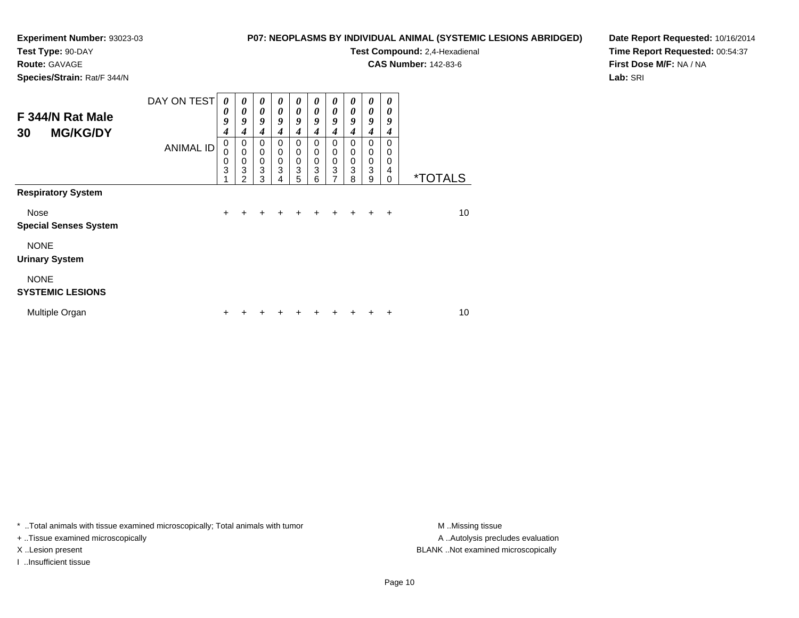## **Test Type:** 90-DAY

**Route:** GAVAGE

**Species/Strain:** Rat/F 344/N

#### **P07: NEOPLASMS BY INDIVIDUAL ANIMAL (SYSTEMIC LESIONS ABRIDGED)**

**Test Compound:** 2,4-Hexadienal

**CAS Number:** 142-83-6

**Date Report Requested:** 10/16/2014**Time Report Requested:** 00:54:37**First Dose M/F:** NA / NA**Lab:** SRI

| F 344/N Rat Male<br><b>MG/KG/DY</b><br>30 | DAY ON TEST      | 0<br>0<br>9<br>$\boldsymbol{4}$ | 0<br>0<br>9<br>4      | 0<br>$\boldsymbol{\theta}$<br>9<br>4 | $\boldsymbol{\theta}$<br>0<br>9<br>4      | $\boldsymbol{\theta}$<br>$\boldsymbol{\theta}$<br>9<br>4 | $\boldsymbol{\theta}$<br>$\boldsymbol{\theta}$<br>9<br>4 | 0<br>$\boldsymbol{\theta}$<br>9<br>4    | 0<br>$\boldsymbol{\theta}$<br>9<br>4   | $\boldsymbol{\theta}$<br>$\boldsymbol{\theta}$<br>9<br>4       | 0<br>0<br>9<br>4                           |                       |
|-------------------------------------------|------------------|---------------------------------|-----------------------|--------------------------------------|-------------------------------------------|----------------------------------------------------------|----------------------------------------------------------|-----------------------------------------|----------------------------------------|----------------------------------------------------------------|--------------------------------------------|-----------------------|
|                                           | <b>ANIMAL ID</b> | $\pmb{0}$<br>0<br>0<br>3        | 0<br>0<br>0<br>3<br>2 | 0<br>0<br>$\boldsymbol{0}$<br>3<br>3 | 0<br>$\mathbf 0$<br>$\mathbf 0$<br>3<br>4 | 0<br>$\mathbf 0$<br>$\mathbf 0$<br>3<br>5                | $\mathbf 0$<br>$\mathbf 0$<br>$\mathbf 0$<br>3<br>6      | 0<br>$\mathbf 0$<br>$\pmb{0}$<br>3<br>7 | $\Omega$<br>0<br>$\mathbf 0$<br>3<br>8 | $\mathbf 0$<br>$\mathbf 0$<br>$\pmb{0}$<br>$\overline{3}$<br>9 | $\Omega$<br>0<br>$\Omega$<br>4<br>$\Omega$ | <i><b>*TOTALS</b></i> |
| <b>Respiratory System</b>                 |                  |                                 |                       |                                      |                                           |                                                          |                                                          |                                         |                                        |                                                                |                                            |                       |
| Nose<br><b>Special Senses System</b>      |                  | $\ddot{}$                       | +                     | ٠                                    | ٠                                         | ٠                                                        | ٠                                                        | ٠                                       | ÷                                      | ÷                                                              | ÷                                          | 10                    |
| <b>NONE</b><br><b>Urinary System</b>      |                  |                                 |                       |                                      |                                           |                                                          |                                                          |                                         |                                        |                                                                |                                            |                       |
| <b>NONE</b><br><b>SYSTEMIC LESIONS</b>    |                  |                                 |                       |                                      |                                           |                                                          |                                                          |                                         |                                        |                                                                |                                            |                       |
| Multiple Organ                            |                  | ÷                               |                       |                                      |                                           |                                                          |                                                          |                                         |                                        |                                                                | +                                          | 10                    |

\* ..Total animals with tissue examined microscopically; Total animals with tumor **M** . Missing tissue M ..Missing tissue

+ ..Tissue examined microscopically

I ..Insufficient tissue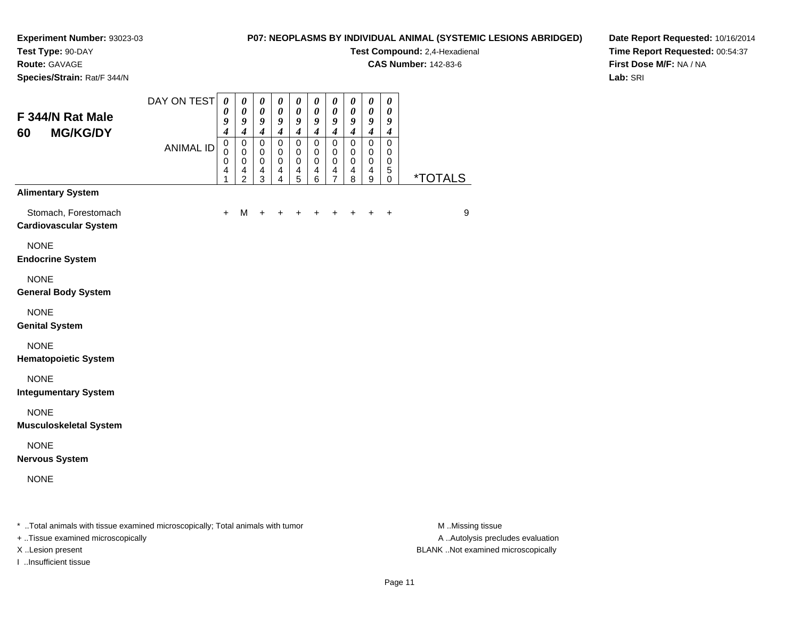# **Test Type:** 90-DAY

**Route:** GAVAGE

**Species/Strain:** Rat/F 344/N

#### **P07: NEOPLASMS BY INDIVIDUAL ANIMAL (SYSTEMIC LESIONS ABRIDGED)**

**Test Compound:** 2,4-Hexadienal

**CAS Number:** 142-83-6

**Date Report Requested:** 10/16/2014**Time Report Requested:** 00:54:37**First Dose M/F:** NA / NA**Lab:** SRI

| F 344/N Rat Male<br><b>MG/KG/DY</b><br>60                                      | DAY ON TEST      | $\boldsymbol{\theta}$<br>$\boldsymbol{\theta}$<br>9<br>$\boldsymbol{4}$ | $\boldsymbol{\theta}$<br>0<br>9<br>$\boldsymbol{4}$                                    | $\boldsymbol{\theta}$<br>$\boldsymbol{\theta}$<br>9<br>$\boldsymbol{4}$ | $\boldsymbol{\theta}$<br>$\boldsymbol{\theta}$<br>9<br>$\boldsymbol{4}$ | 0<br>$\boldsymbol{\theta}$<br>9<br>$\boldsymbol{4}$                     | $\boldsymbol{\theta}$<br>$\boldsymbol{\theta}$<br>9<br>$\boldsymbol{4}$ | $\boldsymbol{\theta}$<br>$\boldsymbol{\theta}$<br>9<br>$\boldsymbol{4}$      | 0<br>$\boldsymbol{\theta}$<br>9<br>$\boldsymbol{4}$   | $\boldsymbol{\theta}$<br>$\boldsymbol{\theta}$<br>9<br>$\boldsymbol{4}$ | $\boldsymbol{\theta}$<br>$\boldsymbol{\theta}$<br>9<br>$\boldsymbol{4}$ |                  |
|--------------------------------------------------------------------------------|------------------|-------------------------------------------------------------------------|----------------------------------------------------------------------------------------|-------------------------------------------------------------------------|-------------------------------------------------------------------------|-------------------------------------------------------------------------|-------------------------------------------------------------------------|------------------------------------------------------------------------------|-------------------------------------------------------|-------------------------------------------------------------------------|-------------------------------------------------------------------------|------------------|
|                                                                                | <b>ANIMAL ID</b> | $\mathbf 0$<br>$\mathbf 0$<br>$\mathbf 0$<br>$\overline{4}$<br>1        | $\mathbf 0$<br>$\mathbf 0$<br>$\mathbf 0$<br>$\overline{\mathbf{4}}$<br>$\overline{c}$ | $\mathbf 0$<br>$\mathbf 0$<br>$\pmb{0}$<br>$\overline{\mathbf{4}}$<br>3 | $\mathbf 0$<br>$\mathbf 0$<br>0<br>$\overline{\mathbf{4}}$<br>4         | $\mathbf 0$<br>$\mathbf 0$<br>$\pmb{0}$<br>$\overline{\mathbf{4}}$<br>5 | $\mathbf 0$<br>$\mathbf 0$<br>0<br>$\overline{\mathbf{4}}$<br>6         | $\mathbf 0$<br>$\mathbf 0$<br>0<br>$\overline{\mathbf{4}}$<br>$\overline{7}$ | 0<br>$\mathbf 0$<br>0<br>$\overline{\mathbf{4}}$<br>8 | $\mathbf 0$<br>$\mathbf 0$<br>0<br>$\overline{4}$<br>$\boldsymbol{9}$   | $\mathbf 0$<br>$\mathbf 0$<br>0<br>$\sqrt{5}$<br>$\mathbf 0$            | *TOTALS          |
| <b>Alimentary System</b>                                                       |                  |                                                                         |                                                                                        |                                                                         |                                                                         |                                                                         |                                                                         |                                                                              |                                                       |                                                                         |                                                                         |                  |
| Stomach, Forestomach<br><b>Cardiovascular System</b>                           |                  | $\ddot{}$                                                               | M                                                                                      | $\ddot{}$                                                               |                                                                         |                                                                         |                                                                         |                                                                              |                                                       |                                                                         | $\ddot{}$                                                               | 9                |
| <b>NONE</b><br><b>Endocrine System</b>                                         |                  |                                                                         |                                                                                        |                                                                         |                                                                         |                                                                         |                                                                         |                                                                              |                                                       |                                                                         |                                                                         |                  |
| <b>NONE</b><br><b>General Body System</b>                                      |                  |                                                                         |                                                                                        |                                                                         |                                                                         |                                                                         |                                                                         |                                                                              |                                                       |                                                                         |                                                                         |                  |
| <b>NONE</b><br><b>Genital System</b>                                           |                  |                                                                         |                                                                                        |                                                                         |                                                                         |                                                                         |                                                                         |                                                                              |                                                       |                                                                         |                                                                         |                  |
| <b>NONE</b><br><b>Hematopoietic System</b>                                     |                  |                                                                         |                                                                                        |                                                                         |                                                                         |                                                                         |                                                                         |                                                                              |                                                       |                                                                         |                                                                         |                  |
| <b>NONE</b><br><b>Integumentary System</b>                                     |                  |                                                                         |                                                                                        |                                                                         |                                                                         |                                                                         |                                                                         |                                                                              |                                                       |                                                                         |                                                                         |                  |
| <b>NONE</b><br><b>Musculoskeletal System</b>                                   |                  |                                                                         |                                                                                        |                                                                         |                                                                         |                                                                         |                                                                         |                                                                              |                                                       |                                                                         |                                                                         |                  |
| <b>NONE</b><br><b>Nervous System</b>                                           |                  |                                                                         |                                                                                        |                                                                         |                                                                         |                                                                         |                                                                         |                                                                              |                                                       |                                                                         |                                                                         |                  |
| <b>NONE</b>                                                                    |                  |                                                                         |                                                                                        |                                                                         |                                                                         |                                                                         |                                                                         |                                                                              |                                                       |                                                                         |                                                                         |                  |
| * Total animals with tissue examined microscopically; Total animals with tumor |                  |                                                                         |                                                                                        |                                                                         |                                                                         |                                                                         |                                                                         |                                                                              |                                                       |                                                                         |                                                                         | M Missing tissue |

+ ..Tissue examined microscopically

I ..Insufficient tissue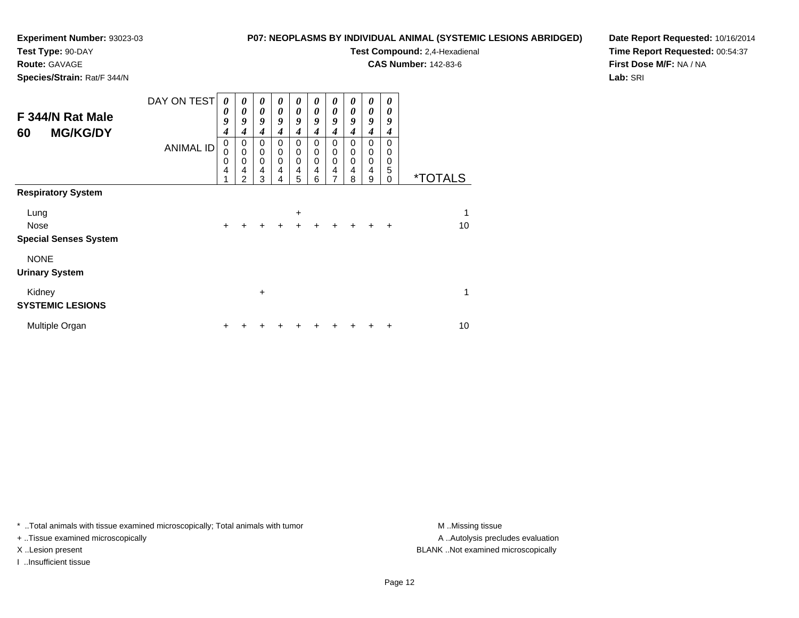**Test Type:** 90-DAY

**Route:** GAVAGE

**Species/Strain:** Rat/F 344/N

#### **P07: NEOPLASMS BY INDIVIDUAL ANIMAL (SYSTEMIC LESIONS ABRIDGED)**

**Test Compound:** 2,4-Hexadienal

**CAS Number:** 142-83-6

**Date Report Requested:** 10/16/2014**Time Report Requested:** 00:54:37**First Dose M/F:** NA / NA**Lab:** SRI

| F 344/N Rat Male<br><b>MG/KG/DY</b><br>60 | DAY ON TEST      | $\boldsymbol{\theta}$<br>0<br>9<br>4 | 0<br>0<br>9<br>4                | $\boldsymbol{\theta}$<br>$\boldsymbol{\theta}$<br>9<br>$\boldsymbol{4}$ | 0<br>0<br>9<br>4                | 0<br>0<br>9<br>$\boldsymbol{4}$                        | $\boldsymbol{\theta}$<br>$\boldsymbol{\theta}$<br>9<br>$\boldsymbol{4}$ | $\boldsymbol{\theta}$<br>0<br>9<br>$\boldsymbol{4}$    | 0<br>0<br>9<br>4      | 0<br>0<br>9<br>$\boldsymbol{4}$                                             | 0<br>0<br>9<br>4      |                       |
|-------------------------------------------|------------------|--------------------------------------|---------------------------------|-------------------------------------------------------------------------|---------------------------------|--------------------------------------------------------|-------------------------------------------------------------------------|--------------------------------------------------------|-----------------------|-----------------------------------------------------------------------------|-----------------------|-----------------------|
|                                           | <b>ANIMAL ID</b> | 0<br>0<br>0<br>4                     | 0<br>$\mathbf 0$<br>0<br>4<br>2 | 0<br>$\mathbf 0$<br>$\mathbf 0$<br>4<br>3                               | 0<br>$\mathbf 0$<br>0<br>4<br>4 | 0<br>$\mathbf 0$<br>$\mathbf 0$<br>$\overline{4}$<br>5 | 0<br>$\mathbf 0$<br>$\mathbf 0$<br>4<br>6                               | 0<br>$\mathbf 0$<br>$\mathbf 0$<br>$\overline{4}$<br>7 | 0<br>0<br>0<br>4<br>8 | $\pmb{0}$<br>$\mathbf 0$<br>$\pmb{0}$<br>$\overline{4}$<br>$\boldsymbol{9}$ | 0<br>0<br>0<br>5<br>0 | <i><b>*TOTALS</b></i> |
| <b>Respiratory System</b>                 |                  |                                      |                                 |                                                                         |                                 |                                                        |                                                                         |                                                        |                       |                                                                             |                       |                       |
| Lung                                      |                  |                                      |                                 |                                                                         |                                 | $\ddot{}$                                              |                                                                         |                                                        |                       |                                                                             |                       | 1                     |
| Nose<br><b>Special Senses System</b>      |                  | $\div$                               | +                               | ÷                                                                       | $\div$                          | $\ddot{}$                                              | ÷                                                                       | $\ddot{}$                                              | $\ddot{}$             | $+$                                                                         | $\ddot{}$             | 10                    |
| <b>NONE</b><br><b>Urinary System</b>      |                  |                                      |                                 |                                                                         |                                 |                                                        |                                                                         |                                                        |                       |                                                                             |                       |                       |
| Kidney<br><b>SYSTEMIC LESIONS</b>         |                  |                                      |                                 | $\ddot{}$                                                               |                                 |                                                        |                                                                         |                                                        |                       |                                                                             |                       | 1                     |
| Multiple Organ                            |                  | +                                    |                                 |                                                                         |                                 |                                                        |                                                                         |                                                        |                       | +                                                                           | ٠                     | 10                    |

\* ..Total animals with tissue examined microscopically; Total animals with tumor **M** . Missing tissue M ..Missing tissue

+ ..Tissue examined microscopically

I ..Insufficient tissue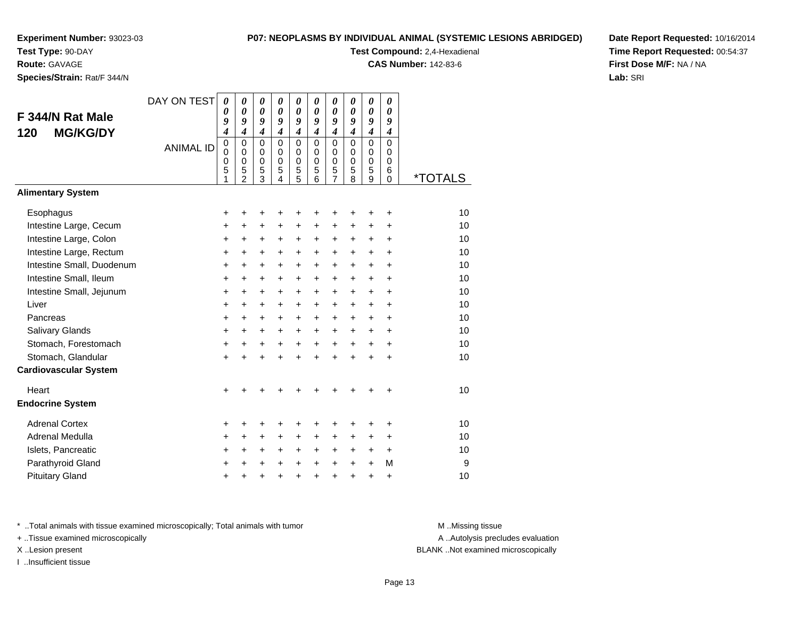**Test Type:** 90-DAY

**Route:** GAVAGE

**Species/Strain:** Rat/F 344/N

#### **P07: NEOPLASMS BY INDIVIDUAL ANIMAL (SYSTEMIC LESIONS ABRIDGED)**

**Test Compound:** 2,4-Hexadienal

**CAS Number:** 142-83-6

**Date Report Requested:** 10/16/2014**Time Report Requested:** 00:54:37**First Dose M/F:** NA / NA**Lab:** SRI

|                              | DAY ON TEST      | $\boldsymbol{\theta}$           | 0                                                             | 0                                                      | 0                                          | $\boldsymbol{\theta}$                     | 0                                                | 0                                                | 0                                                | 0                                                | 0                                                          |                       |
|------------------------------|------------------|---------------------------------|---------------------------------------------------------------|--------------------------------------------------------|--------------------------------------------|-------------------------------------------|--------------------------------------------------|--------------------------------------------------|--------------------------------------------------|--------------------------------------------------|------------------------------------------------------------|-----------------------|
| F 344/N Rat Male             |                  | 0<br>9                          | $\theta$<br>9                                                 | 0<br>9                                                 | 0<br>9                                     | $\boldsymbol{\theta}$<br>9                | 0<br>9                                           | 0<br>9                                           | 0<br>9                                           | $\boldsymbol{\theta}$<br>9                       | 0<br>9                                                     |                       |
| <b>MG/KG/DY</b><br>120       |                  | 4                               | $\boldsymbol{4}$                                              | 4                                                      | 4                                          | 4                                         | $\boldsymbol{4}$                                 | $\boldsymbol{4}$                                 | $\boldsymbol{4}$                                 | $\boldsymbol{4}$                                 | $\boldsymbol{4}$                                           |                       |
|                              | <b>ANIMAL ID</b> | $\mathbf 0$<br>0<br>0<br>5<br>1 | $\mathbf 0$<br>$\Omega$<br>$\mathbf 0$<br>5<br>$\overline{2}$ | 0<br>$\mathbf 0$<br>$\mathbf 0$<br>5<br>$\overline{3}$ | $\Omega$<br>$\Omega$<br>$\Omega$<br>5<br>4 | $\mathbf 0$<br>0<br>$\mathbf 0$<br>5<br>5 | $\mathbf 0$<br>$\Omega$<br>$\mathbf 0$<br>5<br>6 | $\mathbf 0$<br>$\Omega$<br>$\mathbf 0$<br>5<br>7 | $\mathbf 0$<br>$\Omega$<br>$\mathbf 0$<br>5<br>8 | $\mathbf 0$<br>$\Omega$<br>$\mathbf 0$<br>5<br>9 | $\mathbf 0$<br>$\Omega$<br>$\mathbf 0$<br>6<br>$\mathbf 0$ | <i><b>*TOTALS</b></i> |
| <b>Alimentary System</b>     |                  |                                 |                                                               |                                                        |                                            |                                           |                                                  |                                                  |                                                  |                                                  |                                                            |                       |
| Esophagus                    |                  | +                               | +                                                             | +                                                      | +                                          |                                           | +                                                | +                                                | +                                                | +                                                | $\ddot{}$                                                  | 10                    |
| Intestine Large, Cecum       |                  | $\ddot{}$                       | $\ddot{}$                                                     | $\ddot{}$                                              | $\ddot{}$                                  | $\ddot{}$                                 | $\ddot{}$                                        | $\ddot{}$                                        | $\ddot{}$                                        | $\ddot{}$                                        | $\ddot{}$                                                  | 10                    |
| Intestine Large, Colon       |                  | $\ddot{}$                       | +                                                             | +                                                      | +                                          | $\ddot{}$                                 | $\ddot{}$                                        | +                                                | $\ddot{}$                                        | $\ddot{}$                                        | $\ddot{}$                                                  | 10                    |
| Intestine Large, Rectum      |                  | +                               | +                                                             | +                                                      | $\ddot{}$                                  | $\ddot{}$                                 | $\ddot{}$                                        | +                                                | +                                                | $\ddot{}$                                        | +                                                          | 10                    |
| Intestine Small, Duodenum    |                  | $\ddot{}$                       | $\ddot{}$                                                     | $\ddot{}$                                              | $\ddot{}$                                  | $\ddot{}$                                 | $\ddot{}$                                        | $\ddot{}$                                        | $\ddot{}$                                        | $+$                                              | $\ddot{}$                                                  | 10                    |
| Intestine Small, Ileum       |                  | $\ddot{}$                       | +                                                             | +                                                      | +                                          | $\ddot{}$                                 | +                                                | +                                                | +                                                | $\ddot{}$                                        | +                                                          | 10                    |
| Intestine Small, Jejunum     |                  | $\ddot{}$                       | $\ddot{}$                                                     | +                                                      | $\ddot{}$                                  | $\ddot{}$                                 | +                                                | $\ddot{}$                                        | $\ddot{}$                                        | $+$                                              | $\ddot{}$                                                  | 10                    |
| Liver                        |                  | +                               | +                                                             | +                                                      | $\ddot{}$                                  | $\ddot{}$                                 | $\ddot{}$                                        | $\ddot{}$                                        | $\ddot{}$                                        | $\ddot{}$                                        | +                                                          | 10                    |
| Pancreas                     |                  | $\ddot{}$                       | $\ddot{}$                                                     | $\ddot{}$                                              | $+$                                        | $+$                                       | $\ddot{}$                                        | $\ddot{}$                                        | $\ddot{}$                                        | $\ddot{}$                                        | $\ddot{}$                                                  | 10                    |
| Salivary Glands              |                  | +                               | $\pm$                                                         | $\pm$                                                  | $\ddot{}$                                  | $\ddot{}$                                 | +                                                | +                                                | +                                                | $\ddot{}$                                        | $\ddot{}$                                                  | 10                    |
| Stomach, Forestomach         |                  | $\ddot{}$                       | $\ddot{}$                                                     | +                                                      | $\ddot{}$                                  | $\ddot{}$                                 | $\ddot{}$                                        | $\ddot{}$                                        | $\ddot{}$                                        | $\ddot{}$                                        | $\ddot{}$                                                  | 10                    |
| Stomach, Glandular           |                  | $\ddot{}$                       | $\ddot{}$                                                     | $\ddot{}$                                              | $\ddot{}$                                  | $\ddot{}$                                 | ÷                                                | $\ddot{}$                                        | ÷                                                | $\ddot{}$                                        | $\ddot{}$                                                  | 10                    |
| <b>Cardiovascular System</b> |                  |                                 |                                                               |                                                        |                                            |                                           |                                                  |                                                  |                                                  |                                                  |                                                            |                       |
| Heart                        |                  | $\ddot{}$                       |                                                               |                                                        |                                            |                                           |                                                  |                                                  |                                                  |                                                  | ÷                                                          | 10                    |
| <b>Endocrine System</b>      |                  |                                 |                                                               |                                                        |                                            |                                           |                                                  |                                                  |                                                  |                                                  |                                                            |                       |
| <b>Adrenal Cortex</b>        |                  | +                               | +                                                             | ٠                                                      | ÷                                          |                                           | +                                                | +                                                | +                                                | +                                                | +                                                          | 10                    |
| Adrenal Medulla              |                  | $\ddot{}$                       | $\pm$                                                         | $\pm$                                                  | $\ddot{}$                                  | $\ddot{}$                                 | +                                                | +                                                | $\ddot{}$                                        | $\pm$                                            | $\ddot{}$                                                  | 10                    |
| Islets, Pancreatic           |                  | $\ddot{}$                       | $\ddot{}$                                                     | +                                                      | $\ddot{}$                                  | $\ddot{}$                                 | +                                                | $\ddot{}$                                        | $\ddot{}$                                        | $\ddot{}$                                        | $\ddot{}$                                                  | 10                    |
| Parathyroid Gland            |                  | +                               | +                                                             | +                                                      | +                                          | $\ddot{}$                                 | $\ddot{}$                                        | $\ddot{}$                                        | $\ddot{}$                                        | $\ddot{}$                                        | М                                                          | 9                     |
| <b>Pituitary Gland</b>       |                  | $\pmb{+}$                       | +                                                             | +                                                      | +                                          | $\ddot{}$                                 | $\ddot{}$                                        | +                                                | $\ddot{}$                                        | $\ddot{}$                                        | +                                                          | 10                    |

\* ..Total animals with tissue examined microscopically; Total animals with tumor **M** . Missing tissue M ..Missing tissue

+ ..Tissue examined microscopically

I ..Insufficient tissue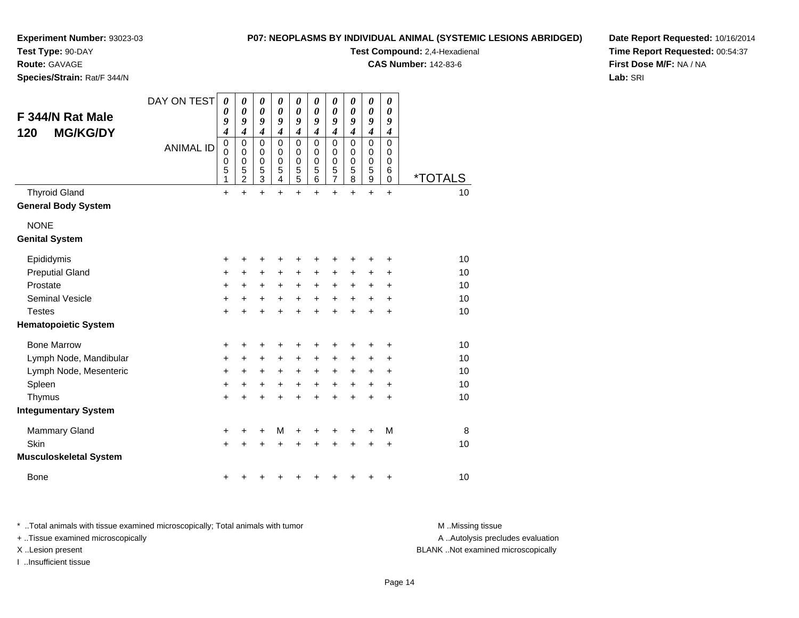**Test Type:** 90-DAY

**Route:** GAVAGE

**Species/Strain:** Rat/F 344/N

**P07: NEOPLASMS BY INDIVIDUAL ANIMAL (SYSTEMIC LESIONS ABRIDGED)**

**Test Compound:** 2,4-Hexadienal

**CAS Number:** 142-83-6

**Date Report Requested:** 10/16/2014**Time Report Requested:** 00:54:37**First Dose M/F:** NA / NA**Lab:** SRI

| F 344/N Rat Male<br><b>MG/KG/DY</b><br>120 | DAY ON TEST      | 0<br>0<br>9<br>4                | 0<br>0<br>9<br>$\overline{\boldsymbol{4}}$             | $\boldsymbol{\theta}$<br>$\boldsymbol{\theta}$<br>9<br>$\overline{\boldsymbol{4}}$ | 0<br>$\boldsymbol{\theta}$<br>9<br>$\overline{\boldsymbol{4}}$            | 0<br>$\boldsymbol{\theta}$<br>9<br>$\boldsymbol{4}$      | 0<br>$\pmb{\theta}$<br>9<br>$\overline{\boldsymbol{4}}$          | 0<br>0<br>9<br>$\overline{\boldsymbol{4}}$               | 0<br>$\boldsymbol{\theta}$<br>9<br>$\overline{\boldsymbol{4}}$ | 0<br>$\boldsymbol{\theta}$<br>9<br>$\boldsymbol{4}$            | 0<br>0<br>9<br>$\boldsymbol{4}$                     |                       |
|--------------------------------------------|------------------|---------------------------------|--------------------------------------------------------|------------------------------------------------------------------------------------|---------------------------------------------------------------------------|----------------------------------------------------------|------------------------------------------------------------------|----------------------------------------------------------|----------------------------------------------------------------|----------------------------------------------------------------|-----------------------------------------------------|-----------------------|
|                                            | <b>ANIMAL ID</b> | $\mathbf 0$<br>0<br>0<br>5<br>1 | 0<br>$\mathbf 0$<br>$\mathbf 0$<br>5<br>$\overline{2}$ | $\mathbf 0$<br>$\mathbf 0$<br>$\mathbf 0$<br>5<br>$\overline{3}$                   | $\mathbf 0$<br>$\mathbf 0$<br>$\mathbf 0$<br>5<br>$\overline{\mathbf{4}}$ | $\mathbf 0$<br>$\pmb{0}$<br>$\mathbf 0$<br>$\frac{5}{5}$ | $\mathbf 0$<br>$\mathbf 0$<br>$\mathbf 0$<br>5<br>$\overline{6}$ | $\mathbf 0$<br>$\mathbf 0$<br>$\pmb{0}$<br>$\frac{5}{7}$ | $\mathbf 0$<br>0<br>$\mathbf 0$<br>5<br>8                      | $\mathbf 0$<br>$\pmb{0}$<br>$\mathbf 0$<br>5<br>$\overline{9}$ | $\mathbf 0$<br>$\mathbf 0$<br>0<br>6<br>$\mathbf 0$ | <i><b>*TOTALS</b></i> |
| <b>Thyroid Gland</b>                       |                  | $\ddot{}$                       | $\ddot{}$                                              | $\ddot{}$                                                                          | +                                                                         | $\ddot{}$                                                | $\ddot{}$                                                        | $\ddot{}$                                                | ÷                                                              | $\ddot{}$                                                      | $\ddot{}$                                           | 10                    |
| <b>General Body System</b>                 |                  |                                 |                                                        |                                                                                    |                                                                           |                                                          |                                                                  |                                                          |                                                                |                                                                |                                                     |                       |
| <b>NONE</b>                                |                  |                                 |                                                        |                                                                                    |                                                                           |                                                          |                                                                  |                                                          |                                                                |                                                                |                                                     |                       |
| <b>Genital System</b>                      |                  |                                 |                                                        |                                                                                    |                                                                           |                                                          |                                                                  |                                                          |                                                                |                                                                |                                                     |                       |
| Epididymis                                 |                  | +                               | +                                                      | +                                                                                  | +                                                                         | +                                                        | +                                                                | +                                                        | +                                                              | +                                                              | +                                                   | 10                    |
| <b>Preputial Gland</b>                     |                  | +                               | +                                                      | $\ddot{}$                                                                          | $\ddot{}$                                                                 | $\ddot{}$                                                | +                                                                | $\ddot{}$                                                | +                                                              | $\ddot{}$                                                      | $\ddot{}$                                           | 10                    |
| Prostate                                   |                  | +                               | +                                                      | +                                                                                  | $\ddot{}$                                                                 | $\ddot{}$                                                | $\ddot{}$                                                        | $\ddot{}$                                                | +                                                              | +                                                              | +                                                   | 10                    |
| <b>Seminal Vesicle</b>                     |                  | $\pmb{+}$                       | +                                                      | $\ddot{}$                                                                          | $\ddot{}$                                                                 | $\ddot{}$                                                | $\ddot{}$                                                        | $\ddot{}$                                                | $\ddot{}$                                                      | $\ddot{}$                                                      | $\ddot{}$                                           | 10                    |
| <b>Testes</b>                              |                  | $\ddot{}$                       | +                                                      | $\ddot{}$                                                                          | +                                                                         | $\ddot{}$                                                | $\ddot{}$                                                        | $\ddot{}$                                                | $\ddot{}$                                                      | $\ddot{}$                                                      | $\ddot{}$                                           | 10                    |
| <b>Hematopoietic System</b>                |                  |                                 |                                                        |                                                                                    |                                                                           |                                                          |                                                                  |                                                          |                                                                |                                                                |                                                     |                       |
| <b>Bone Marrow</b>                         |                  | +                               | +                                                      | +                                                                                  | +                                                                         | +                                                        | +                                                                | +                                                        | +                                                              | +                                                              | +                                                   | 10                    |
| Lymph Node, Mandibular                     |                  | +                               | +                                                      | +                                                                                  | $\ddot{}$                                                                 | +                                                        | +                                                                | +                                                        | +                                                              | +                                                              | +                                                   | 10                    |
| Lymph Node, Mesenteric                     |                  | $\ddot{}$                       | +                                                      | $\ddot{}$                                                                          | $\ddot{}$                                                                 | $\ddot{}$                                                | $\ddot{}$                                                        | $\ddot{}$                                                | +                                                              | +                                                              | $\ddot{}$                                           | 10                    |
| Spleen                                     |                  | +                               | +                                                      | +                                                                                  | +                                                                         | $\ddot{}$                                                | +                                                                | $\ddot{}$                                                | +                                                              | +                                                              | $\pm$                                               | 10                    |
| Thymus                                     |                  | $\ddot{}$                       |                                                        | +                                                                                  |                                                                           | +                                                        |                                                                  | $\ddot{}$                                                | $\ddot{}$                                                      | $\ddot{}$                                                      | +                                                   | 10                    |
| <b>Integumentary System</b>                |                  |                                 |                                                        |                                                                                    |                                                                           |                                                          |                                                                  |                                                          |                                                                |                                                                |                                                     |                       |
| <b>Mammary Gland</b>                       |                  | +                               | +                                                      | +                                                                                  | M                                                                         | +                                                        | +                                                                | +                                                        | ٠                                                              | ٠                                                              | М                                                   | 8                     |
| Skin                                       |                  | $\ddot{}$                       |                                                        | $\ddot{}$                                                                          | +                                                                         | +                                                        |                                                                  | +                                                        | +                                                              | +                                                              | +                                                   | 10                    |
| <b>Musculoskeletal System</b>              |                  |                                 |                                                        |                                                                                    |                                                                           |                                                          |                                                                  |                                                          |                                                                |                                                                |                                                     |                       |
| <b>Bone</b>                                |                  | +                               |                                                        |                                                                                    |                                                                           |                                                          |                                                                  | ٠                                                        | +                                                              | +                                                              | +                                                   | 10                    |

\* ..Total animals with tissue examined microscopically; Total animals with tumor **M** . Missing tissue M ..Missing tissue + ..Tissue examined microscopically X ..Lesion present BLANK ..Not examined microscopically

I ..Insufficient tissue

A ..Autolysis precludes evaluation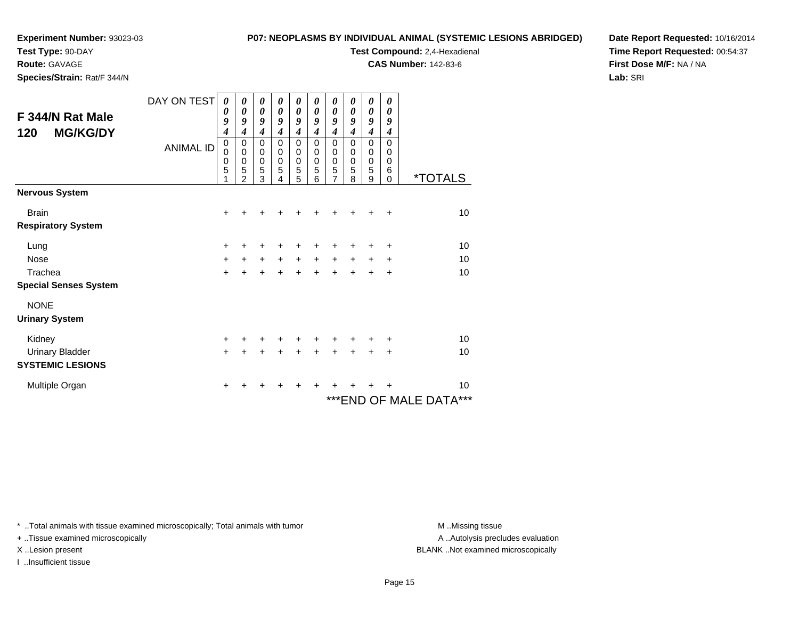**Test Type:** 90-DAY

**Route:** GAVAGE

**Species/Strain:** Rat/F 344/N

#### **P07: NEOPLASMS BY INDIVIDUAL ANIMAL (SYSTEMIC LESIONS ABRIDGED)**

**Test Compound:** 2,4-Hexadienal

**CAS Number:** 142-83-6

**Date Report Requested:** 10/16/2014**Time Report Requested:** 00:54:37**First Dose M/F:** NA / NA**Lab:** SRI

|                                                   | DAY ON TEST      | 0<br>0                          | 0<br>$\boldsymbol{\theta}$                                   | 0<br>$\boldsymbol{\theta}$                      | 0<br>$\boldsymbol{\theta}$                                | 0<br>$\boldsymbol{\theta}$                        | 0<br>0                                 | 0<br>0                                  | 0<br>0                              | 0<br>$\boldsymbol{\theta}$                     | 0<br>$\boldsymbol{\theta}$          |                               |
|---------------------------------------------------|------------------|---------------------------------|--------------------------------------------------------------|-------------------------------------------------|-----------------------------------------------------------|---------------------------------------------------|----------------------------------------|-----------------------------------------|-------------------------------------|------------------------------------------------|-------------------------------------|-------------------------------|
| F 344/N Rat Male<br><b>MG/KG/DY</b><br>120        |                  | 9<br>4                          | 9<br>4                                                       | 9<br>$\overline{\boldsymbol{4}}$                | 9<br>$\boldsymbol{4}$                                     | 9<br>$\boldsymbol{4}$                             | 9<br>4                                 | 9<br>4                                  | 9<br>4                              | $\boldsymbol{g}$<br>$\boldsymbol{4}$           | 9<br>$\boldsymbol{4}$               |                               |
|                                                   | <b>ANIMAL ID</b> | $\mathbf 0$<br>0<br>0<br>5<br>1 | $\mathbf 0$<br>$\pmb{0}$<br>$\pmb{0}$<br>5<br>$\overline{2}$ | $\mathbf 0$<br>$\pmb{0}$<br>$\pmb{0}$<br>5<br>3 | $\mathbf{0}$<br>$\boldsymbol{0}$<br>$\mathbf 0$<br>5<br>4 | $\mathbf 0$<br>$\pmb{0}$<br>$\mathbf 0$<br>5<br>5 | $\Omega$<br>0<br>$\mathbf 0$<br>5<br>6 | $\mathbf 0$<br>0<br>$\pmb{0}$<br>5<br>7 | $\Omega$<br>$\Omega$<br>0<br>5<br>8 | $\mathbf 0$<br>0<br>$\boldsymbol{0}$<br>5<br>9 | $\Omega$<br>0<br>0<br>6<br>$\Omega$ | <i><b>*TOTALS</b></i>         |
| <b>Nervous System</b>                             |                  |                                 |                                                              |                                                 |                                                           |                                                   |                                        |                                         |                                     |                                                |                                     |                               |
| <b>Brain</b><br><b>Respiratory System</b>         |                  | $\ddot{}$                       |                                                              |                                                 |                                                           |                                                   |                                        |                                         |                                     |                                                | $\div$                              | 10                            |
| Lung                                              |                  | +                               | +                                                            | +                                               |                                                           | +                                                 | +                                      | +                                       | +                                   | +                                              | $\ddot{}$                           | 10                            |
| <b>Nose</b>                                       |                  | +                               | $+$                                                          | $+$                                             | $+$                                                       | $+$                                               | $+$                                    | $\ddot{}$                               | $\ddot{}$                           | $\ddot{}$                                      | $\ddot{}$                           | 10                            |
| Trachea<br><b>Special Senses System</b>           |                  | $\ddot{}$                       | $\ddot{}$                                                    | $\ddot{}$                                       |                                                           |                                                   | ÷                                      | $\ddot{}$                               | ÷                                   | $\ddot{}$                                      | $\ddot{}$                           | 10                            |
| <b>NONE</b><br><b>Urinary System</b>              |                  |                                 |                                                              |                                                 |                                                           |                                                   |                                        |                                         |                                     |                                                |                                     |                               |
| Kidney                                            |                  | $\ddot{}$                       | +                                                            | +                                               | +                                                         | +                                                 | +                                      | +                                       | ٠                                   | ٠                                              | $\pm$                               | 10                            |
| <b>Urinary Bladder</b><br><b>SYSTEMIC LESIONS</b> |                  | $+$                             | $\ddot{}$                                                    | $\ddot{}$                                       | $\ddot{}$                                                 | $+$                                               | $\ddot{}$                              | $+$                                     | $+$                                 | $\ddot{}$                                      | $\ddot{}$                           | 10                            |
| Multiple Organ                                    |                  | +                               |                                                              |                                                 |                                                           |                                                   |                                        |                                         |                                     | ٠                                              | ٠                                   | 10<br>*** END OF MALE DATA*** |

\* ..Total animals with tissue examined microscopically; Total animals with tumor **M** . Missing tissue M ..Missing tissue

+ ..Tissue examined microscopically

I ..Insufficient tissue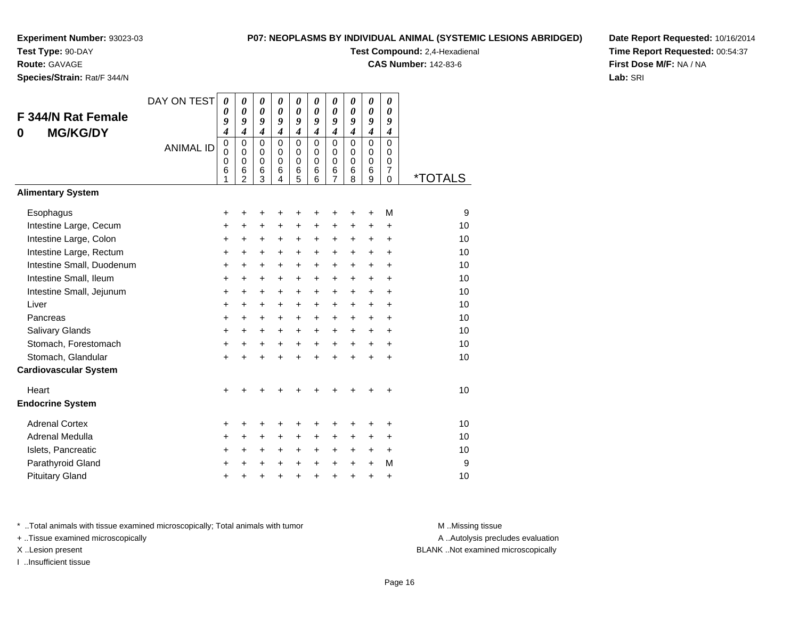**Test Type:** 90-DAY

**Route:** GAVAGE

**Species/Strain:** Rat/F 344/N

#### **P07: NEOPLASMS BY INDIVIDUAL ANIMAL (SYSTEMIC LESIONS ABRIDGED)**

**Test Compound:** 2,4-Hexadienal

**CAS Number:** 142-83-6

**Date Report Requested:** 10/16/2014**Time Report Requested:** 00:54:37**First Dose M/F:** NA / NA**Lab:** SRI

| F 344/N Rat Female<br><b>MG/KG/DY</b><br>0 | DAY ON TEST<br><b>ANIMAL ID</b> | $\boldsymbol{\theta}$<br>$\boldsymbol{\theta}$<br>9<br>$\overline{\boldsymbol{4}}$<br>$\pmb{0}$<br>0<br>$\mathbf 0$<br>6<br>1 | 0<br>$\boldsymbol{\theta}$<br>9<br>$\overline{\boldsymbol{4}}$<br>$\mathbf 0$<br>$\Omega$<br>$\pmb{0}$<br>6<br>$\mathfrak{p}$ | 0<br>$\boldsymbol{\theta}$<br>9<br>$\overline{\boldsymbol{4}}$<br>$\mathbf 0$<br>$\Omega$<br>$\pmb{0}$<br>6<br>3 | $\boldsymbol{\theta}$<br>0<br>9<br>$\boldsymbol{4}$<br>$\Omega$<br>$\Omega$<br>$\mathbf 0$<br>6<br>4 | $\boldsymbol{\theta}$<br>$\boldsymbol{\theta}$<br>9<br>$\overline{\boldsymbol{4}}$<br>$\mathbf 0$<br>$\mathbf 0$<br>0<br>6<br>5 | 0<br>$\boldsymbol{\theta}$<br>9<br>$\overline{4}$<br>0<br>$\Omega$<br>$\mathbf 0$<br>6<br>6 | 0<br>$\boldsymbol{\theta}$<br>9<br>$\overline{\mathbf{4}}$<br>0<br>0<br>0<br>6<br>7 | 0<br>$\boldsymbol{\theta}$<br>9<br>$\overline{4}$<br>$\Omega$<br>0<br>$\pmb{0}$<br>6<br>8 | 0<br>$\boldsymbol{\theta}$<br>9<br>$\overline{\boldsymbol{4}}$<br>$\mathbf 0$<br>$\mathbf 0$<br>$\mathbf 0$<br>6<br>9 | 0<br>$\boldsymbol{\theta}$<br>9<br>$\boldsymbol{4}$<br>0<br>0<br>0<br>$\overline{7}$<br>$\Omega$ | <i><b>*TOTALS</b></i> |
|--------------------------------------------|---------------------------------|-------------------------------------------------------------------------------------------------------------------------------|-------------------------------------------------------------------------------------------------------------------------------|------------------------------------------------------------------------------------------------------------------|------------------------------------------------------------------------------------------------------|---------------------------------------------------------------------------------------------------------------------------------|---------------------------------------------------------------------------------------------|-------------------------------------------------------------------------------------|-------------------------------------------------------------------------------------------|-----------------------------------------------------------------------------------------------------------------------|--------------------------------------------------------------------------------------------------|-----------------------|
| <b>Alimentary System</b>                   |                                 |                                                                                                                               |                                                                                                                               |                                                                                                                  |                                                                                                      |                                                                                                                                 |                                                                                             |                                                                                     |                                                                                           |                                                                                                                       |                                                                                                  |                       |
| Esophagus                                  |                                 | +                                                                                                                             | +                                                                                                                             | +                                                                                                                | +                                                                                                    | +                                                                                                                               | ٠                                                                                           | +                                                                                   | ٠                                                                                         | ÷                                                                                                                     | M                                                                                                | 9                     |
| Intestine Large, Cecum                     |                                 | $\ddot{}$                                                                                                                     | +                                                                                                                             | $\ddot{}$                                                                                                        | $\ddot{}$                                                                                            | $\ddot{}$                                                                                                                       | +                                                                                           | $\ddot{}$                                                                           | $\ddot{}$                                                                                 | $\ddot{}$                                                                                                             | $\ddot{}$                                                                                        | 10                    |
| Intestine Large, Colon                     |                                 | +                                                                                                                             | +                                                                                                                             | +                                                                                                                | +                                                                                                    | +                                                                                                                               | +                                                                                           | +                                                                                   | +                                                                                         | +                                                                                                                     | +                                                                                                | 10                    |
| Intestine Large, Rectum                    |                                 | $\ddot{}$                                                                                                                     | +                                                                                                                             | $\ddot{}$                                                                                                        | $\ddot{}$                                                                                            | $\ddot{}$                                                                                                                       | $\ddot{}$                                                                                   | +                                                                                   | $\ddot{}$                                                                                 | $\ddot{}$                                                                                                             | $\ddot{}$                                                                                        | 10                    |
| Intestine Small, Duodenum                  |                                 | $\ddot{}$                                                                                                                     | $\ddot{}$                                                                                                                     | $\ddot{}$                                                                                                        | $\ddot{}$                                                                                            | $\ddot{}$                                                                                                                       | $\ddot{}$                                                                                   | +                                                                                   | $\ddot{}$                                                                                 | $\ddot{}$                                                                                                             | +                                                                                                | 10                    |
| Intestine Small, Ileum                     |                                 | $\ddot{}$                                                                                                                     | $\ddot{}$                                                                                                                     | $\ddot{}$                                                                                                        | $\ddot{}$                                                                                            | $\ddot{}$                                                                                                                       | $\ddot{}$                                                                                   | $\ddot{}$                                                                           | $\ddot{}$                                                                                 | $\ddot{}$                                                                                                             | ÷                                                                                                | 10                    |
| Intestine Small, Jejunum                   |                                 | $\ddot{}$                                                                                                                     | $\ddot{}$                                                                                                                     | $\ddot{}$                                                                                                        | $\ddot{}$                                                                                            | $\ddot{}$                                                                                                                       | $\ddot{}$                                                                                   | +                                                                                   | $\ddot{}$                                                                                 | $\ddot{}$                                                                                                             | $\ddot{}$                                                                                        | 10                    |
| Liver                                      |                                 | $\ddot{}$                                                                                                                     | $\ddot{}$                                                                                                                     | $\ddot{}$                                                                                                        | $\ddot{}$                                                                                            | $\ddot{}$                                                                                                                       | $\ddot{}$                                                                                   | $\ddot{}$                                                                           | $\ddot{}$                                                                                 | $\ddot{}$                                                                                                             | +                                                                                                | 10                    |
| Pancreas                                   |                                 | +                                                                                                                             | $\ddot{}$                                                                                                                     | $\ddot{}$                                                                                                        | $\ddot{}$                                                                                            | +                                                                                                                               | +                                                                                           | +                                                                                   | $\ddot{}$                                                                                 | $\ddot{}$                                                                                                             | +                                                                                                | 10                    |
| Salivary Glands                            |                                 | $\ddot{}$                                                                                                                     | $\ddot{}$                                                                                                                     | $\ddot{}$                                                                                                        | $\ddot{}$                                                                                            | $\ddot{}$                                                                                                                       | $\ddot{}$                                                                                   | $\ddot{}$                                                                           | $\ddot{}$                                                                                 | $\ddot{}$                                                                                                             | $\ddot{}$                                                                                        | 10                    |
| Stomach, Forestomach                       |                                 | +                                                                                                                             | $\ddot{}$                                                                                                                     | $\ddot{}$                                                                                                        | $+$                                                                                                  | $\ddot{}$                                                                                                                       | $\ddot{}$                                                                                   | $\ddot{}$                                                                           | $+$                                                                                       | $+$                                                                                                                   | $\ddot{}$                                                                                        | 10                    |
| Stomach, Glandular                         |                                 | $\ddot{}$                                                                                                                     |                                                                                                                               | ÷                                                                                                                | $\ddot{}$                                                                                            | $\ddot{}$                                                                                                                       | $\ddot{}$                                                                                   | $\ddot{}$                                                                           | ÷                                                                                         | ÷                                                                                                                     | +                                                                                                | 10                    |
| <b>Cardiovascular System</b>               |                                 |                                                                                                                               |                                                                                                                               |                                                                                                                  |                                                                                                      |                                                                                                                                 |                                                                                             |                                                                                     |                                                                                           |                                                                                                                       |                                                                                                  |                       |
| Heart                                      |                                 | +                                                                                                                             |                                                                                                                               |                                                                                                                  |                                                                                                      |                                                                                                                                 |                                                                                             |                                                                                     |                                                                                           |                                                                                                                       | +                                                                                                | 10                    |
| <b>Endocrine System</b>                    |                                 |                                                                                                                               |                                                                                                                               |                                                                                                                  |                                                                                                      |                                                                                                                                 |                                                                                             |                                                                                     |                                                                                           |                                                                                                                       |                                                                                                  |                       |
| <b>Adrenal Cortex</b>                      |                                 | +                                                                                                                             | +                                                                                                                             | +                                                                                                                | +                                                                                                    | +                                                                                                                               | +                                                                                           | +                                                                                   | ٠                                                                                         | ٠                                                                                                                     | ٠                                                                                                | 10                    |
| Adrenal Medulla                            |                                 | +                                                                                                                             | $\ddot{}$                                                                                                                     | +                                                                                                                | $\ddot{}$                                                                                            | +                                                                                                                               | $\pm$                                                                                       | +                                                                                   | $\ddot{}$                                                                                 | $\ddot{}$                                                                                                             | $\ddot{}$                                                                                        | 10                    |
| Islets, Pancreatic                         |                                 | +                                                                                                                             | +                                                                                                                             | +                                                                                                                | +                                                                                                    | +                                                                                                                               | +                                                                                           | +                                                                                   | +                                                                                         | +                                                                                                                     | +                                                                                                | 10                    |
| Parathyroid Gland                          |                                 | $\ddot{}$                                                                                                                     | +                                                                                                                             | +                                                                                                                | $\ddot{}$                                                                                            | $\ddot{}$                                                                                                                       | $\ddot{}$                                                                                   | $\ddot{}$                                                                           | $\ddot{}$                                                                                 | $\ddot{}$                                                                                                             | M                                                                                                | 9                     |
| <b>Pituitary Gland</b>                     |                                 | $\pm$                                                                                                                         | +                                                                                                                             | +                                                                                                                | +                                                                                                    | +                                                                                                                               | +                                                                                           | +                                                                                   | +                                                                                         | +                                                                                                                     | +                                                                                                | 10                    |

\* ..Total animals with tissue examined microscopically; Total animals with tumor **M** . Missing tissue M ..Missing tissue

+ ..Tissue examined microscopically

I ..Insufficient tissue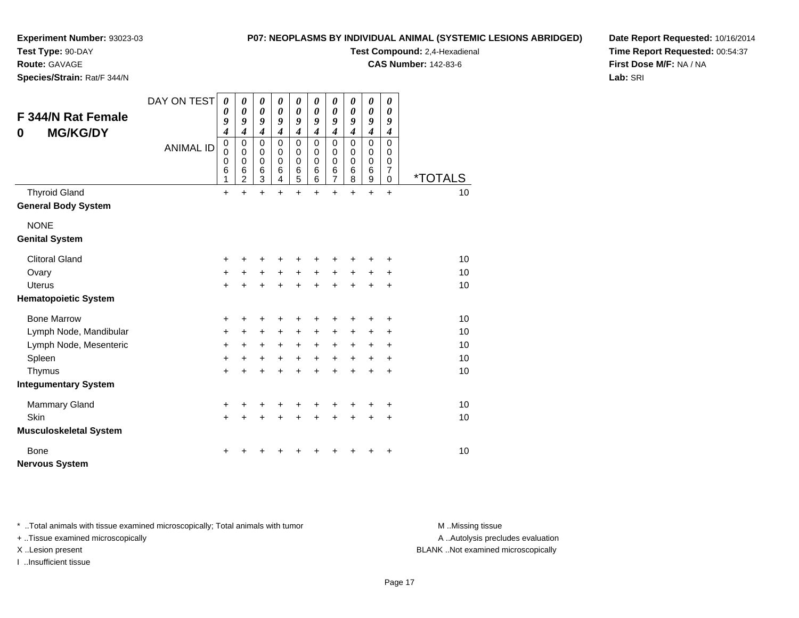**Test Type:** 90-DAY

**Route:** GAVAGE

**Species/Strain:** Rat/F 344/N

#### **P07: NEOPLASMS BY INDIVIDUAL ANIMAL (SYSTEMIC LESIONS ABRIDGED)**

**Test Compound:** 2,4-Hexadienal

**CAS Number:** 142-83-6

**Date Report Requested:** 10/16/2014**Time Report Requested:** 00:54:37**First Dose M/F:** NA / NA**Lab:** SRI

| <b>F 344/N Rat Female</b><br><b>MG/KG/DY</b><br>0 | DAY ON TEST      | $\boldsymbol{\theta}$<br>0<br>9<br>$\boldsymbol{4}$ | 0<br>0<br>9<br>$\boldsymbol{4}$              | 0<br>0<br>9<br>4                    | 0<br>0<br>9<br>$\boldsymbol{4}$               | 0<br>$\boldsymbol{\theta}$<br>9<br>4                 | 0<br>0<br>9<br>$\boldsymbol{4}$           | 0<br>0<br>9<br>$\boldsymbol{4}$              | 0<br>$\boldsymbol{\theta}$<br>9<br>$\boldsymbol{4}$ | 0<br>$\boldsymbol{\theta}$<br>9<br>$\boldsymbol{4}$     | $\boldsymbol{\theta}$<br>0<br>9<br>4                             |                       |
|---------------------------------------------------|------------------|-----------------------------------------------------|----------------------------------------------|-------------------------------------|-----------------------------------------------|------------------------------------------------------|-------------------------------------------|----------------------------------------------|-----------------------------------------------------|---------------------------------------------------------|------------------------------------------------------------------|-----------------------|
|                                                   | <b>ANIMAL ID</b> | $\mathbf 0$<br>$\mathbf 0$<br>0<br>6<br>1           | 0<br>$\mathbf 0$<br>0<br>6<br>$\overline{2}$ | $\mathbf 0$<br>0<br>0<br>$\,6$<br>3 | $\Omega$<br>$\Omega$<br>$\mathbf 0$<br>6<br>4 | $\mathbf 0$<br>0<br>$\pmb{0}$<br>6<br>$\overline{5}$ | $\mathbf 0$<br>0<br>$\mathbf 0$<br>6<br>6 | $\mathbf 0$<br>0<br>0<br>6<br>$\overline{7}$ | $\Omega$<br>0<br>$\mathbf 0$<br>6<br>8              | $\mathbf 0$<br>0<br>$\mathbf 0$<br>$6\phantom{1}6$<br>9 | $\mathbf 0$<br>0<br>$\mathbf 0$<br>$\overline{7}$<br>$\mathbf 0$ | <i><b>*TOTALS</b></i> |
| <b>Thyroid Gland</b>                              |                  | $\ddot{}$                                           | $\ddot{}$                                    | $\ddot{}$                           | $\ddot{}$                                     | $\ddot{}$                                            | $+$                                       | $\ddot{}$                                    | $\ddot{}$                                           | $\ddot{}$                                               | $\ddot{}$                                                        | 10                    |
| <b>General Body System</b>                        |                  |                                                     |                                              |                                     |                                               |                                                      |                                           |                                              |                                                     |                                                         |                                                                  |                       |
| <b>NONE</b>                                       |                  |                                                     |                                              |                                     |                                               |                                                      |                                           |                                              |                                                     |                                                         |                                                                  |                       |
| <b>Genital System</b>                             |                  |                                                     |                                              |                                     |                                               |                                                      |                                           |                                              |                                                     |                                                         |                                                                  |                       |
| <b>Clitoral Gland</b>                             |                  | +                                                   |                                              | +                                   | +                                             |                                                      |                                           |                                              |                                                     |                                                         | ٠                                                                | 10                    |
| Ovary                                             |                  | $\ddot{}$                                           | +                                            | $\ddot{}$                           | $\ddot{}$                                     | $\ddot{}$                                            | $\ddot{}$                                 | $\ddot{}$                                    | $\ddot{}$                                           | +                                                       | +                                                                | 10                    |
| <b>Uterus</b>                                     |                  | $\ddot{}$                                           | $\ddot{}$                                    | $\ddot{}$                           | $\ddot{}$                                     | $+$                                                  | $\ddot{}$                                 | $\ddot{}$                                    | $\ddot{}$                                           | $\ddot{}$                                               | $\ddot{}$                                                        | 10                    |
| <b>Hematopoietic System</b>                       |                  |                                                     |                                              |                                     |                                               |                                                      |                                           |                                              |                                                     |                                                         |                                                                  |                       |
| <b>Bone Marrow</b>                                |                  | $\ddot{}$                                           | +                                            | +                                   | +                                             | +                                                    | +                                         | +                                            | +                                                   |                                                         | +                                                                | 10                    |
| Lymph Node, Mandibular                            |                  | $\ddot{}$                                           | +                                            | +                                   | +                                             | $\ddot{}$                                            | $\ddot{}$                                 | $\ddot{}$                                    | +                                                   | +                                                       | ÷                                                                | 10                    |
| Lymph Node, Mesenteric                            |                  | $\ddot{}$                                           | $\ddot{}$                                    | $\ddot{}$                           | $\ddot{}$                                     | $\ddot{}$                                            | $+$                                       | $+$                                          | $\ddot{}$                                           | +                                                       | +                                                                | 10                    |
| Spleen                                            |                  | $\ddot{}$                                           | $\ddot{}$                                    | $\ddot{}$                           | $+$                                           | $+$                                                  | $+$                                       | $+$                                          | $\ddot{}$                                           | $\ddot{}$                                               | $\ddot{}$                                                        | 10                    |
| Thymus                                            |                  | $\ddot{}$                                           | +                                            | $\ddot{}$                           | $\ddot{}$                                     | $\ddot{}$                                            | $\ddot{}$                                 | $\ddot{}$                                    | $\ddot{}$                                           | ÷                                                       | $\ddot{}$                                                        | 10                    |
| <b>Integumentary System</b>                       |                  |                                                     |                                              |                                     |                                               |                                                      |                                           |                                              |                                                     |                                                         |                                                                  |                       |
| <b>Mammary Gland</b>                              |                  | $\ddot{}$                                           | +                                            | +                                   | +                                             | +                                                    |                                           |                                              |                                                     |                                                         | +                                                                | 10                    |
| Skin                                              |                  | $\ddot{}$                                           | $\ddot{}$                                    | $\ddot{}$                           | +                                             | $\pm$                                                | $\ddot{}$                                 | $\ddot{}$                                    | $\ddot{}$                                           | +                                                       | +                                                                | 10                    |
| <b>Musculoskeletal System</b>                     |                  |                                                     |                                              |                                     |                                               |                                                      |                                           |                                              |                                                     |                                                         |                                                                  |                       |
| <b>Bone</b>                                       |                  |                                                     |                                              |                                     |                                               |                                                      |                                           |                                              |                                                     |                                                         | ÷                                                                | 10                    |
| <b>Nervous System</b>                             |                  |                                                     |                                              |                                     |                                               |                                                      |                                           |                                              |                                                     |                                                         |                                                                  |                       |

\* ..Total animals with tissue examined microscopically; Total animals with tumor **M** . Missing tissue M ..Missing tissue

+ ..Tissue examined microscopically

I ..Insufficient tissue

A ..Autolysis precludes evaluation

X ..Lesion present BLANK ..Not examined microscopically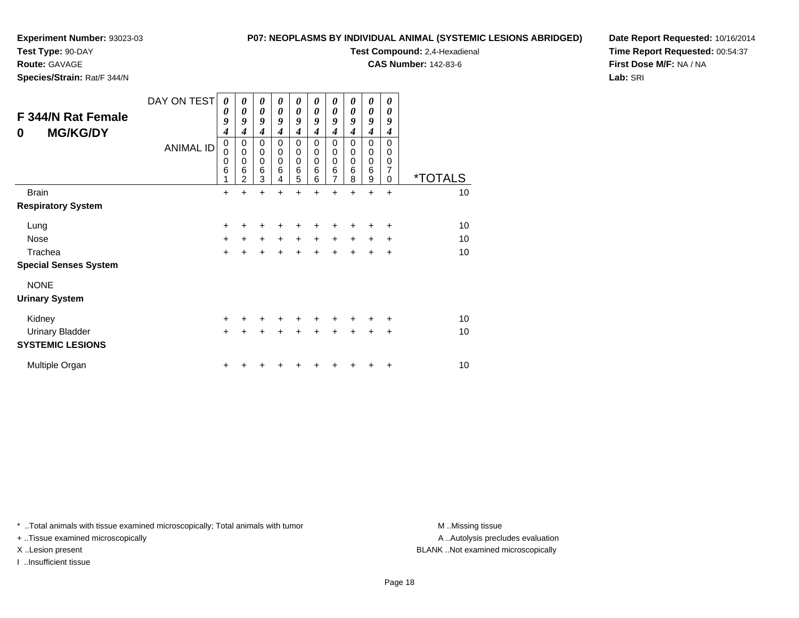#### **Test Type:** 90-DAY

**Route:** GAVAGE

**Species/Strain:** Rat/F 344/N

#### **P07: NEOPLASMS BY INDIVIDUAL ANIMAL (SYSTEMIC LESIONS ABRIDGED)**

**Test Compound:** 2,4-Hexadienal

**CAS Number:** 142-83-6

**Date Report Requested:** 10/16/2014**Time Report Requested:** 00:54:37**First Dose M/F:** NA / NA**Lab:** SRI

| F 344/N Rat Female<br><b>MG/KG/DY</b><br>0        | DAY ON TEST<br><b>ANIMAL ID</b> | 0<br>0<br>9<br>4<br>$\mathbf 0$<br>0<br>0<br>6<br>1 | 0<br>0<br>9<br>4<br>$\mathbf 0$<br>$\mathbf 0$<br>$\mathbf 0$<br>$6\phantom{1}6$<br>$\overline{2}$ | 0<br>0<br>9<br>$\boldsymbol{4}$<br>$\mathbf 0$<br>0<br>0<br>6<br>3 | 0<br>0<br>9<br>4<br>0<br>$\mathbf 0$<br>$\mathbf 0$<br>6<br>4 | 0<br>0<br>9<br>$\boldsymbol{4}$<br>0<br>0<br>$\mathbf 0$<br>6<br>5 | 0<br>0<br>9<br>4<br>0<br>0<br>$\mathbf 0$<br>6<br>6 | 0<br>$\boldsymbol{\theta}$<br>9<br>$\boldsymbol{4}$<br>$\mathbf 0$<br>$\mathbf 0$<br>$\mathbf 0$<br>6<br>$\overline{7}$ | $\boldsymbol{\theta}$<br>0<br>9<br>4<br>$\mathbf 0$<br>0<br>0<br>6<br>8 | $\boldsymbol{\theta}$<br>$\boldsymbol{\theta}$<br>9<br>4<br>$\mathbf 0$<br>$\mathbf 0$<br>$\mathbf 0$<br>6<br>9 | 0<br>0<br>9<br>4<br>$\Omega$<br>0<br>$\mathbf 0$<br>$\overline{7}$<br>$\Omega$ | <i><b>*TOTALS</b></i> |
|---------------------------------------------------|---------------------------------|-----------------------------------------------------|----------------------------------------------------------------------------------------------------|--------------------------------------------------------------------|---------------------------------------------------------------|--------------------------------------------------------------------|-----------------------------------------------------|-------------------------------------------------------------------------------------------------------------------------|-------------------------------------------------------------------------|-----------------------------------------------------------------------------------------------------------------|--------------------------------------------------------------------------------|-----------------------|
| <b>Brain</b>                                      |                                 | $\ddot{}$                                           | $\ddot{}$                                                                                          | $\ddot{}$                                                          | $\ddot{}$                                                     | +                                                                  | $\ddot{}$                                           | $\ddot{}$                                                                                                               | $\ddot{}$                                                               | $\ddot{}$                                                                                                       | $\ddot{}$                                                                      | 10                    |
| <b>Respiratory System</b>                         |                                 |                                                     |                                                                                                    |                                                                    |                                                               |                                                                    |                                                     |                                                                                                                         |                                                                         |                                                                                                                 |                                                                                |                       |
| Lung                                              |                                 | $\ddot{}$                                           | ÷                                                                                                  | +                                                                  | +                                                             | +                                                                  | +                                                   | +                                                                                                                       | +                                                                       | +                                                                                                               | +                                                                              | 10                    |
| Nose                                              |                                 | $\ddot{}$                                           | $\ddot{}$                                                                                          | $\ddot{}$                                                          | $\ddot{}$                                                     | $\ddot{}$                                                          | $\ddot{}$                                           | $\ddot{}$                                                                                                               | $\ddot{}$                                                               | $\ddot{}$                                                                                                       | $\ddot{}$                                                                      | 10                    |
| Trachea                                           |                                 | $\ddot{}$                                           | $\ddot{}$                                                                                          | $\ddot{}$                                                          | $\ddot{}$                                                     | $\ddot{}$                                                          | $\ddot{}$                                           | +                                                                                                                       | $\pm$                                                                   | $\ddot{}$                                                                                                       | +                                                                              | 10                    |
| <b>Special Senses System</b>                      |                                 |                                                     |                                                                                                    |                                                                    |                                                               |                                                                    |                                                     |                                                                                                                         |                                                                         |                                                                                                                 |                                                                                |                       |
| <b>NONE</b><br><b>Urinary System</b>              |                                 |                                                     |                                                                                                    |                                                                    |                                                               |                                                                    |                                                     |                                                                                                                         |                                                                         |                                                                                                                 |                                                                                |                       |
| Kidney                                            |                                 | +                                                   | ٠                                                                                                  | +                                                                  | $\ddot{}$                                                     | $\ddot{}$                                                          | +                                                   | +                                                                                                                       | +                                                                       | +                                                                                                               | +                                                                              | 10                    |
| <b>Urinary Bladder</b><br><b>SYSTEMIC LESIONS</b> |                                 | $\ddot{}$                                           | +                                                                                                  | +                                                                  | +                                                             | $\pm$                                                              | +                                                   | $\ddot{}$                                                                                                               | +                                                                       | +                                                                                                               | +                                                                              | 10                    |
| Multiple Organ                                    |                                 | $\ddot{}$                                           |                                                                                                    |                                                                    |                                                               |                                                                    |                                                     |                                                                                                                         |                                                                         |                                                                                                                 | +                                                                              | 10                    |

\* ..Total animals with tissue examined microscopically; Total animals with tumor **M** . Missing tissue M ..Missing tissue

+ ..Tissue examined microscopically

I ..Insufficient tissue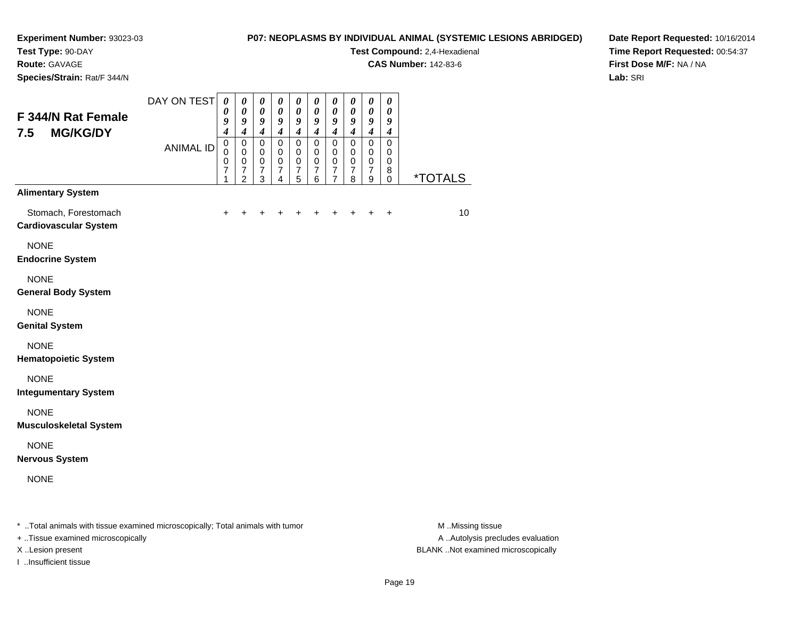**Test Type:** 90-DAY

**Route:** GAVAGE

**Species/Strain:** Rat/F 344/N

#### **P07: NEOPLASMS BY INDIVIDUAL ANIMAL (SYSTEMIC LESIONS ABRIDGED)**

**Test Compound:** 2,4-Hexadienal

**CAS Number:** 142-83-6

**Date Report Requested:** 10/16/2014**Time Report Requested:** 00:54:37**First Dose M/F:** NA / NA**Lab:** SRI

| F 344/N Rat Female<br>7.5<br><b>MG/KG/DY</b>         | DAY ON TEST      | $\pmb{\theta}$<br>$\pmb{\theta}$<br>9<br>$\boldsymbol{4}$ | $\boldsymbol{\theta}$<br>$\pmb{\theta}$<br>9<br>$\boldsymbol{4}$            | $\pmb{\theta}$<br>$\pmb{\theta}$<br>9<br>$\boldsymbol{4}$    | $\boldsymbol{\theta}$<br>$\boldsymbol{\theta}$<br>9<br>$\boldsymbol{4}$ | $\boldsymbol{\theta}$<br>$\pmb{\theta}$<br>9<br>$\boldsymbol{4}$ | $\pmb{\theta}$<br>$\pmb{\theta}$<br>9<br>$\boldsymbol{4}$    | $\pmb{\theta}$<br>$\pmb{\theta}$<br>9<br>$\boldsymbol{4}$                     | $\boldsymbol{\theta}$<br>$\pmb{\theta}$<br>9<br>$\boldsymbol{4}$ | $\pmb{\theta}$<br>$\boldsymbol{\theta}$<br>9<br>$\boldsymbol{4}$ | $\boldsymbol{\theta}$<br>$\boldsymbol{\theta}$<br>9<br>$\boldsymbol{4}$ |                       |
|------------------------------------------------------|------------------|-----------------------------------------------------------|-----------------------------------------------------------------------------|--------------------------------------------------------------|-------------------------------------------------------------------------|------------------------------------------------------------------|--------------------------------------------------------------|-------------------------------------------------------------------------------|------------------------------------------------------------------|------------------------------------------------------------------|-------------------------------------------------------------------------|-----------------------|
|                                                      | <b>ANIMAL ID</b> | $\mathbf 0$<br>0<br>$\mathbf 0$<br>$\overline{7}$<br>1    | $\pmb{0}$<br>$\mathbf 0$<br>$\pmb{0}$<br>$\boldsymbol{7}$<br>$\overline{2}$ | $\mathsf 0$<br>$\pmb{0}$<br>$\pmb{0}$<br>$\overline{7}$<br>3 | $\mathbf 0$<br>$\mathbf 0$<br>$\pmb{0}$<br>$\overline{7}$<br>4          | $\pmb{0}$<br>$\pmb{0}$<br>$\pmb{0}$<br>$\boldsymbol{7}$<br>5     | $\mathbf 0$<br>$\pmb{0}$<br>$\pmb{0}$<br>$\overline{7}$<br>6 | $\mathbf 0$<br>$\mathbf 0$<br>$\pmb{0}$<br>$\boldsymbol{7}$<br>$\overline{7}$ | $\mathbf 0$<br>$\pmb{0}$<br>$\,0\,$<br>$\boldsymbol{7}$<br>8     | $\mathsf 0$<br>$\pmb{0}$<br>$\pmb{0}$<br>$\boldsymbol{7}$<br>9   | $\mathbf 0$<br>$\mathbf 0$<br>$\mathbf 0$<br>8<br>$\mathbf 0$           | <i><b>*TOTALS</b></i> |
| <b>Alimentary System</b>                             |                  |                                                           |                                                                             |                                                              |                                                                         |                                                                  |                                                              |                                                                               |                                                                  |                                                                  |                                                                         |                       |
| Stomach, Forestomach<br><b>Cardiovascular System</b> |                  | +                                                         |                                                                             |                                                              |                                                                         |                                                                  |                                                              |                                                                               |                                                                  |                                                                  | $\ddot{}$                                                               | 10                    |
| <b>NONE</b><br><b>Endocrine System</b>               |                  |                                                           |                                                                             |                                                              |                                                                         |                                                                  |                                                              |                                                                               |                                                                  |                                                                  |                                                                         |                       |
| <b>NONE</b><br><b>General Body System</b>            |                  |                                                           |                                                                             |                                                              |                                                                         |                                                                  |                                                              |                                                                               |                                                                  |                                                                  |                                                                         |                       |
| <b>NONE</b><br><b>Genital System</b>                 |                  |                                                           |                                                                             |                                                              |                                                                         |                                                                  |                                                              |                                                                               |                                                                  |                                                                  |                                                                         |                       |
| <b>NONE</b><br><b>Hematopoietic System</b>           |                  |                                                           |                                                                             |                                                              |                                                                         |                                                                  |                                                              |                                                                               |                                                                  |                                                                  |                                                                         |                       |
| <b>NONE</b><br><b>Integumentary System</b>           |                  |                                                           |                                                                             |                                                              |                                                                         |                                                                  |                                                              |                                                                               |                                                                  |                                                                  |                                                                         |                       |
| <b>NONE</b><br><b>Musculoskeletal System</b>         |                  |                                                           |                                                                             |                                                              |                                                                         |                                                                  |                                                              |                                                                               |                                                                  |                                                                  |                                                                         |                       |
| <b>NONE</b><br><b>Nervous System</b>                 |                  |                                                           |                                                                             |                                                              |                                                                         |                                                                  |                                                              |                                                                               |                                                                  |                                                                  |                                                                         |                       |
| <b>NONE</b>                                          |                  |                                                           |                                                                             |                                                              |                                                                         |                                                                  |                                                              |                                                                               |                                                                  |                                                                  |                                                                         |                       |
|                                                      |                  |                                                           |                                                                             |                                                              |                                                                         |                                                                  |                                                              |                                                                               |                                                                  |                                                                  |                                                                         |                       |

\* ..Total animals with tissue examined microscopically; Total animals with tumor **M** . Missing tissue M ..Missing tissue

+ ..Tissue examined microscopically

I ..Insufficient tissue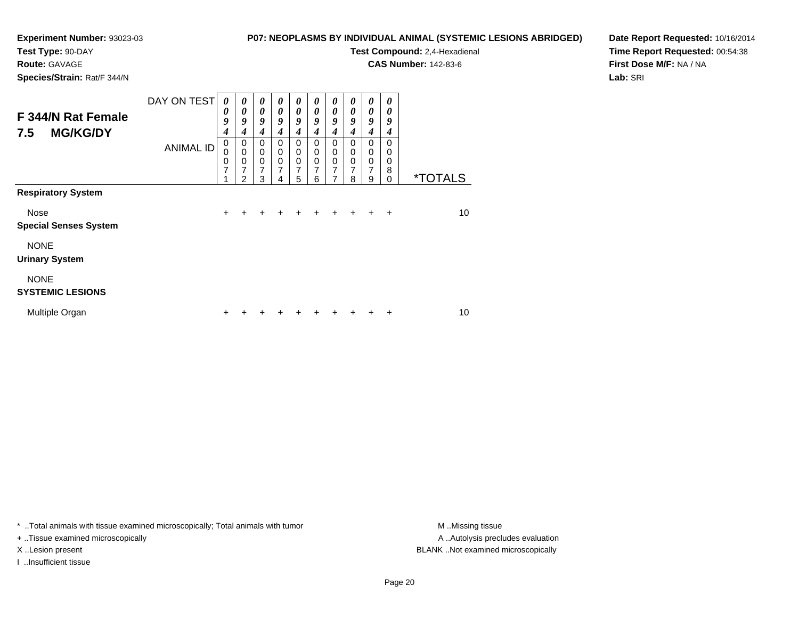# **Test Type:** 90-DAY

**Route:** GAVAGE

**Species/Strain:** Rat/F 344/N

#### **P07: NEOPLASMS BY INDIVIDUAL ANIMAL (SYSTEMIC LESIONS ABRIDGED)**

**Test Compound:** 2,4-Hexadienal

**CAS Number:** 142-83-6

**Date Report Requested:** 10/16/2014**Time Report Requested:** 00:54:38**First Dose M/F:** NA / NA**Lab:** SRI

| F 344/N Rat Female<br><b>MG/KG/DY</b><br>7.5 | DAY ON TEST      | 0<br>0<br>9<br>$\boldsymbol{4}$ | $\boldsymbol{\theta}$<br>$\boldsymbol{\theta}$<br>9<br>4  | 0<br>$\boldsymbol{\theta}$<br>9<br>4                   | 0<br>0<br>9<br>4                                       | 0<br>$\boldsymbol{\theta}$<br>9<br>4                          | 0<br>$\boldsymbol{\theta}$<br>9<br>4      | $\boldsymbol{\theta}$<br>$\boldsymbol{\theta}$<br>9<br>$\boldsymbol{4}$ | $\boldsymbol{\theta}$<br>0<br>9<br>4                | $\boldsymbol{\theta}$<br>$\boldsymbol{\theta}$<br>9<br>$\boldsymbol{4}$ | 0<br>0<br>9<br>4                    |                       |
|----------------------------------------------|------------------|---------------------------------|-----------------------------------------------------------|--------------------------------------------------------|--------------------------------------------------------|---------------------------------------------------------------|-------------------------------------------|-------------------------------------------------------------------------|-----------------------------------------------------|-------------------------------------------------------------------------|-------------------------------------|-----------------------|
|                                              | <b>ANIMAL ID</b> | $\mathbf 0$<br>0<br>0<br>7<br>4 | 0<br>$\mathbf 0$<br>0<br>$\overline{7}$<br>$\mathfrak{p}$ | $\mathbf 0$<br>$\mathbf 0$<br>0<br>$\overline{7}$<br>3 | $\mathbf 0$<br>$\mathbf 0$<br>0<br>$\overline{7}$<br>4 | $\Omega$<br>$\mathbf 0$<br>$\mathbf 0$<br>$\overline{7}$<br>5 | $\mathbf 0$<br>$\mathbf 0$<br>0<br>7<br>6 | $\mathbf 0$<br>$\mathbf 0$<br>$\mathbf 0$<br>7<br>7                     | $\Omega$<br>0<br>$\mathbf 0$<br>$\overline{7}$<br>8 | $\Omega$<br>$\mathbf 0$<br>$\mathbf 0$<br>$\overline{7}$<br>9           | $\Omega$<br>0<br>0<br>8<br>$\Omega$ | <i><b>*TOTALS</b></i> |
| <b>Respiratory System</b>                    |                  |                                 |                                                           |                                                        |                                                        |                                                               |                                           |                                                                         |                                                     |                                                                         |                                     |                       |
| Nose<br><b>Special Senses System</b>         |                  | $\ddot{}$                       | $\ddot{}$                                                 | $\ddot{}$                                              | $\ddot{}$                                              | ÷                                                             | ÷                                         | ٠                                                                       | $\ddot{}$                                           | $\pm$                                                                   | ÷                                   | 10                    |
| <b>NONE</b><br><b>Urinary System</b>         |                  |                                 |                                                           |                                                        |                                                        |                                                               |                                           |                                                                         |                                                     |                                                                         |                                     |                       |
| <b>NONE</b><br><b>SYSTEMIC LESIONS</b>       |                  |                                 |                                                           |                                                        |                                                        |                                                               |                                           |                                                                         |                                                     |                                                                         |                                     |                       |
| Multiple Organ                               |                  | ÷                               |                                                           |                                                        |                                                        |                                                               |                                           |                                                                         |                                                     |                                                                         | +                                   | 10                    |

\* ..Total animals with tissue examined microscopically; Total animals with tumor **M** . Missing tissue M ..Missing tissue

+ ..Tissue examined microscopically

I ..Insufficient tissue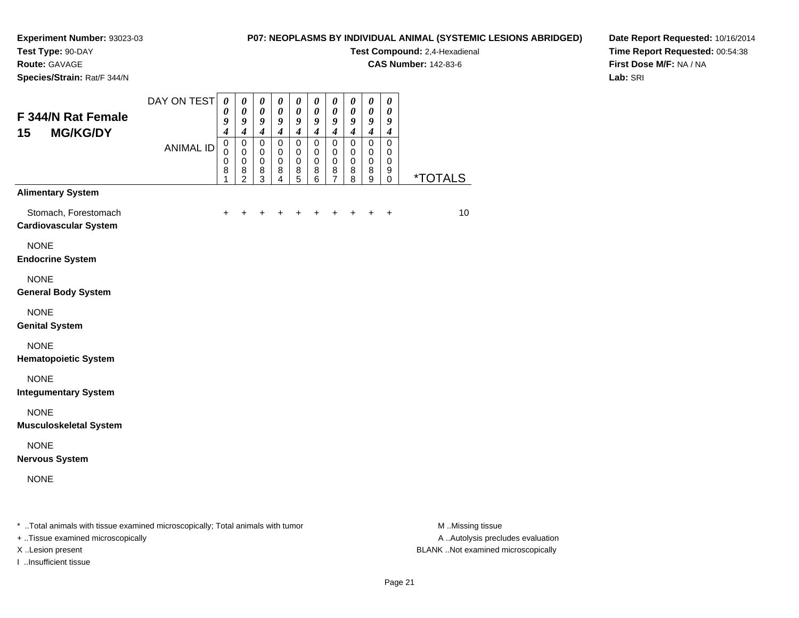# **Test Type:** 90-DAY

**Route:** GAVAGE

**Species/Strain:** Rat/F 344/N

### **P07: NEOPLASMS BY INDIVIDUAL ANIMAL (SYSTEMIC LESIONS ABRIDGED)**

**Test Compound:** 2,4-Hexadienal

**CAS Number:** 142-83-6

**Date Report Requested:** 10/16/2014**Time Report Requested:** 00:54:38**First Dose M/F:** NA / NA**Lab:** SRI

| F 344/N Rat Female<br><b>MG/KG/DY</b><br>15                                                                            | DAY ON TEST      | 0<br>0<br>9<br>$\boldsymbol{4}$<br>$\pmb{0}$ | $\boldsymbol{\theta}$<br>0<br>9<br>$\overline{\boldsymbol{4}}$<br>0 | $\boldsymbol{\theta}$<br>$\boldsymbol{\theta}$<br>9<br>$\boldsymbol{4}$<br>$\mathbf 0$ | $\boldsymbol{\theta}$<br>0<br>9<br>$\boldsymbol{4}$<br>$\mathbf 0$ | $\pmb{\theta}$<br>0<br>9<br>$\boldsymbol{4}$<br>$\pmb{0}$ | $\boldsymbol{\theta}$<br>$\boldsymbol{\theta}$<br>9<br>$\boldsymbol{4}$<br>$\mathbf 0$ | $\pmb{\theta}$<br>0<br>9<br>$\overline{4}$<br>$\mathsf 0$ | $\boldsymbol{\theta}$<br>$\boldsymbol{\theta}$<br>9<br>$\boldsymbol{4}$<br>$\mathbf 0$ | $\boldsymbol{\theta}$<br>0<br>9<br>$\boldsymbol{4}$<br>$\pmb{0}$ | $\boldsymbol{\theta}$<br>0<br>9<br>$\boldsymbol{4}$<br>$\mathbf 0$ |                       |
|------------------------------------------------------------------------------------------------------------------------|------------------|----------------------------------------------|---------------------------------------------------------------------|----------------------------------------------------------------------------------------|--------------------------------------------------------------------|-----------------------------------------------------------|----------------------------------------------------------------------------------------|-----------------------------------------------------------|----------------------------------------------------------------------------------------|------------------------------------------------------------------|--------------------------------------------------------------------|-----------------------|
|                                                                                                                        | <b>ANIMAL ID</b> | $\mathbf 0$<br>$\mathbf 0$<br>8<br>1         | $\mathbf 0$<br>0<br>8<br>$\overline{2}$                             | $\mathbf 0$<br>0<br>8<br>3                                                             | $\Omega$<br>0<br>8<br>$\overline{4}$                               | $\mathbf 0$<br>0<br>8<br>$\overline{5}$                   | $\mathbf 0$<br>0<br>8<br>6                                                             | 0<br>$\mathbf 0$<br>8<br>$\overline{7}$                   | 0<br>0<br>8<br>8                                                                       | $\mathbf 0$<br>$\mathbf 0$<br>8<br>9                             | 0<br>0<br>9<br>$\mathbf 0$                                         | <i><b>*TOTALS</b></i> |
| <b>Alimentary System</b>                                                                                               |                  |                                              |                                                                     |                                                                                        |                                                                    |                                                           |                                                                                        |                                                           |                                                                                        |                                                                  |                                                                    |                       |
| Stomach, Forestomach<br><b>Cardiovascular System</b>                                                                   |                  | $\ddot{}$                                    | +                                                                   | +                                                                                      |                                                                    | +                                                         | +                                                                                      | ٠                                                         |                                                                                        |                                                                  | $\ddot{}$                                                          | 10                    |
| <b>NONE</b><br><b>Endocrine System</b>                                                                                 |                  |                                              |                                                                     |                                                                                        |                                                                    |                                                           |                                                                                        |                                                           |                                                                                        |                                                                  |                                                                    |                       |
| <b>NONE</b><br><b>General Body System</b>                                                                              |                  |                                              |                                                                     |                                                                                        |                                                                    |                                                           |                                                                                        |                                                           |                                                                                        |                                                                  |                                                                    |                       |
| <b>NONE</b><br><b>Genital System</b>                                                                                   |                  |                                              |                                                                     |                                                                                        |                                                                    |                                                           |                                                                                        |                                                           |                                                                                        |                                                                  |                                                                    |                       |
| <b>NONE</b><br><b>Hematopoietic System</b>                                                                             |                  |                                              |                                                                     |                                                                                        |                                                                    |                                                           |                                                                                        |                                                           |                                                                                        |                                                                  |                                                                    |                       |
| <b>NONE</b><br><b>Integumentary System</b>                                                                             |                  |                                              |                                                                     |                                                                                        |                                                                    |                                                           |                                                                                        |                                                           |                                                                                        |                                                                  |                                                                    |                       |
| <b>NONE</b><br><b>Musculoskeletal System</b>                                                                           |                  |                                              |                                                                     |                                                                                        |                                                                    |                                                           |                                                                                        |                                                           |                                                                                        |                                                                  |                                                                    |                       |
| <b>NONE</b><br><b>Nervous System</b>                                                                                   |                  |                                              |                                                                     |                                                                                        |                                                                    |                                                           |                                                                                        |                                                           |                                                                                        |                                                                  |                                                                    |                       |
| <b>NONE</b>                                                                                                            |                  |                                              |                                                                     |                                                                                        |                                                                    |                                                           |                                                                                        |                                                           |                                                                                        |                                                                  |                                                                    |                       |
| $\pm$ . The second contract of the contract of the second contract of $\pm$ . The second contract of the second second |                  |                                              |                                                                     |                                                                                        |                                                                    |                                                           |                                                                                        |                                                           |                                                                                        |                                                                  |                                                                    | <b>BA BALLY</b>       |

..Total animals with tissue examined microscopically; Total animals with tumor M ..Missing tissue M ..Missing tissue

- + ..Tissue examined microscopically
- 
- I ..Insufficient tissue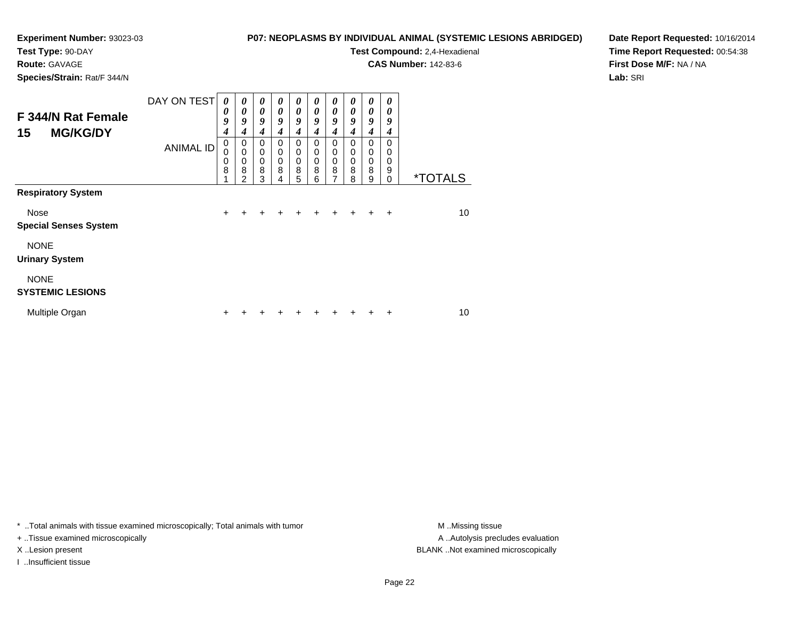## **Test Type:** 90-DAY

**Route:** GAVAGE

**Species/Strain:** Rat/F 344/N

#### **P07: NEOPLASMS BY INDIVIDUAL ANIMAL (SYSTEMIC LESIONS ABRIDGED)**

**Test Compound:** 2,4-Hexadienal

**CAS Number:** 142-83-6

**Date Report Requested:** 10/16/2014**Time Report Requested:** 00:54:38**First Dose M/F:** NA / NA**Lab:** SRI

| F 344/N Rat Female<br>15<br><b>MG/KG/DY</b> | DAY ON TEST      | 0<br>0<br>9<br>$\boldsymbol{4}$ | 0<br>0<br>9<br>4      | 0<br>$\boldsymbol{\theta}$<br>9<br>4 | $\boldsymbol{\theta}$<br>$\boldsymbol{\theta}$<br>9<br>4 | $\boldsymbol{\theta}$<br>$\boldsymbol{\theta}$<br>9<br>4 | $\boldsymbol{\theta}$<br>$\boldsymbol{\theta}$<br>9<br>4 | $\boldsymbol{\theta}$<br>$\boldsymbol{\theta}$<br>9<br>4 | 0<br>$\boldsymbol{\theta}$<br>9<br>4   | $\boldsymbol{\theta}$<br>$\boldsymbol{\theta}$<br>9<br>4 | 0<br>0<br>9<br>4                    |                       |
|---------------------------------------------|------------------|---------------------------------|-----------------------|--------------------------------------|----------------------------------------------------------|----------------------------------------------------------|----------------------------------------------------------|----------------------------------------------------------|----------------------------------------|----------------------------------------------------------|-------------------------------------|-----------------------|
| <b>Respiratory System</b>                   | <b>ANIMAL ID</b> | 0<br>0<br>0<br>8                | 0<br>0<br>0<br>8<br>2 | 0<br>0<br>0<br>8<br>3                | 0<br>$\mathbf 0$<br>$\mathbf 0$<br>8<br>4                | 0<br>$\mathbf 0$<br>$\mathbf 0$<br>8<br>5                | $\mathbf 0$<br>$\mathbf 0$<br>$\mathbf 0$<br>8<br>6      | 0<br>$\mathbf 0$<br>$\mathbf 0$<br>8<br>7                | $\Omega$<br>0<br>$\mathbf 0$<br>8<br>8 | $\Omega$<br>$\mathbf 0$<br>$\mathbf 0$<br>8<br>9         | $\Omega$<br>0<br>0<br>9<br>$\Omega$ | <i><b>*TOTALS</b></i> |
|                                             |                  |                                 |                       |                                      |                                                          |                                                          |                                                          |                                                          |                                        |                                                          |                                     |                       |
| Nose<br><b>Special Senses System</b>        |                  | $\ddot{}$                       | +                     | ٠                                    | ÷                                                        | ٠                                                        | ÷                                                        | ٠                                                        | ÷                                      | ÷                                                        | ÷                                   | 10                    |
| <b>NONE</b><br><b>Urinary System</b>        |                  |                                 |                       |                                      |                                                          |                                                          |                                                          |                                                          |                                        |                                                          |                                     |                       |
| <b>NONE</b><br><b>SYSTEMIC LESIONS</b>      |                  |                                 |                       |                                      |                                                          |                                                          |                                                          |                                                          |                                        |                                                          |                                     |                       |
| Multiple Organ                              |                  | ÷                               |                       |                                      |                                                          |                                                          |                                                          |                                                          |                                        |                                                          | +                                   | 10                    |

\* ..Total animals with tissue examined microscopically; Total animals with tumor **M** . Missing tissue M ..Missing tissue

+ ..Tissue examined microscopically

I ..Insufficient tissue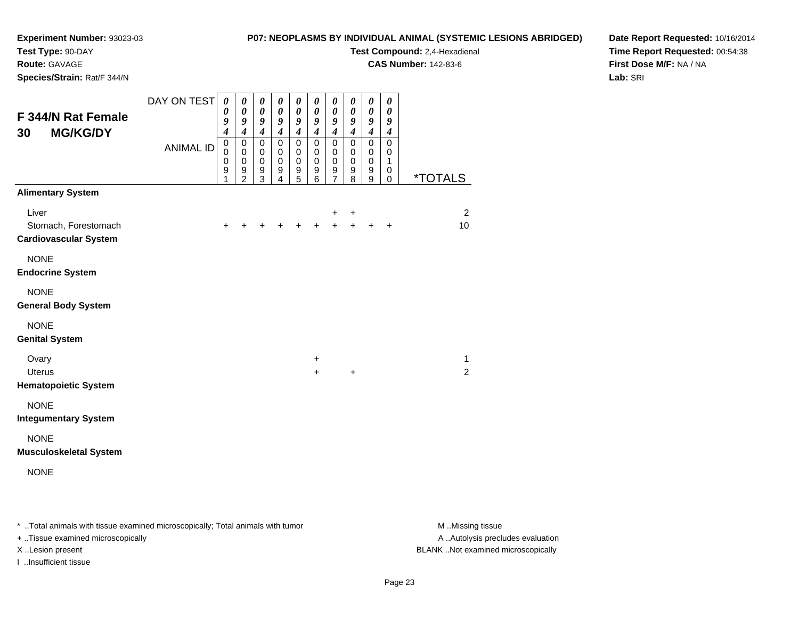# **Test Type:** 90-DAY

**Route:** GAVAGE

**Species/Strain:** Rat/F 344/N

#### **P07: NEOPLASMS BY INDIVIDUAL ANIMAL (SYSTEMIC LESIONS ABRIDGED)**

**Test Compound:** 2,4-Hexadienal

**CAS Number:** 142-83-6

**Date Report Requested:** 10/16/2014**Time Report Requested:** 00:54:38**First Dose M/F:** NA / NA**Lab:** SRI

| <b>F 344/N Rat Female</b><br><b>MG/KG/DY</b><br>30            | DAY ON TEST      | $\boldsymbol{\theta}$<br>$\boldsymbol{\theta}$<br>9<br>$\boldsymbol{4}$ | 0<br>$\boldsymbol{\theta}$<br>9<br>$\boldsymbol{4}$ | $\boldsymbol{\theta}$<br>$\pmb{\theta}$<br>9<br>$\overline{\boldsymbol{4}}$ | $\boldsymbol{\theta}$<br>$\boldsymbol{\theta}$<br>$\boldsymbol{g}$<br>$\overline{\boldsymbol{4}}$ | $\boldsymbol{\theta}$<br>$\boldsymbol{\theta}$<br>$\pmb{9}$<br>$\overline{\boldsymbol{4}}$ | $\boldsymbol{\theta}$<br>$\boldsymbol{\theta}$<br>9<br>$\overline{4}$ | $\boldsymbol{\theta}$<br>$\boldsymbol{\theta}$<br>$\boldsymbol{g}$<br>$\boldsymbol{4}$ | $\boldsymbol{\theta}$<br>$\boldsymbol{\theta}$<br>9<br>$\boldsymbol{4}$ | $\pmb{\theta}$<br>$\pmb{\theta}$<br>9<br>$\boldsymbol{4}$ | $\pmb{\theta}$<br>0<br>9<br>$\boldsymbol{4}$ |                       |
|---------------------------------------------------------------|------------------|-------------------------------------------------------------------------|-----------------------------------------------------|-----------------------------------------------------------------------------|---------------------------------------------------------------------------------------------------|--------------------------------------------------------------------------------------------|-----------------------------------------------------------------------|----------------------------------------------------------------------------------------|-------------------------------------------------------------------------|-----------------------------------------------------------|----------------------------------------------|-----------------------|
|                                                               | <b>ANIMAL ID</b> | $\mathbf 0$<br>$\mathbf 0$<br>$\mathbf 0$<br>9<br>1                     | $\pmb{0}$<br>$\pmb{0}$<br>$\,0\,$<br>$\frac{9}{2}$  | $\pmb{0}$<br>$\mathbf 0$<br>$\mathbf 0$<br>$\frac{9}{3}$                    | $\mathbf 0$<br>$\mathbf 0$<br>$\mathbf 0$<br>9<br>$\overline{\mathbf{4}}$                         | $\pmb{0}$<br>$\pmb{0}$<br>$\pmb{0}$<br>$\begin{array}{c} 9 \\ 5 \end{array}$               | $\mathbf 0$<br>$\mathbf 0$<br>$\pmb{0}$<br>9<br>6                     | 0<br>$\mathbf 0$<br>$\mathbf 0$<br>$\frac{9}{7}$                                       | $\pmb{0}$<br>$\mathbf 0$<br>$\mathbf 0$<br>9<br>8                       | $\pmb{0}$<br>$\pmb{0}$<br>$\mathbf 0$<br>9<br>9           | $\mathbf 0$<br>0<br>1<br>0<br>0              | <i><b>*TOTALS</b></i> |
| <b>Alimentary System</b>                                      |                  |                                                                         |                                                     |                                                                             |                                                                                                   |                                                                                            |                                                                       |                                                                                        |                                                                         |                                                           |                                              |                       |
| Liver<br>Stomach, Forestomach<br><b>Cardiovascular System</b> |                  | $\ddot{}$                                                               | +                                                   | $\pm$                                                                       | $\ddot{}$                                                                                         |                                                                                            |                                                                       | +<br>$+$                                                                               | $\ddot{}$<br>$+$                                                        | $\ddot{}$                                                 | $\ddot{}$                                    | $\overline{2}$<br>10  |
| <b>NONE</b><br><b>Endocrine System</b>                        |                  |                                                                         |                                                     |                                                                             |                                                                                                   |                                                                                            |                                                                       |                                                                                        |                                                                         |                                                           |                                              |                       |
| <b>NONE</b><br><b>General Body System</b>                     |                  |                                                                         |                                                     |                                                                             |                                                                                                   |                                                                                            |                                                                       |                                                                                        |                                                                         |                                                           |                                              |                       |
| <b>NONE</b><br><b>Genital System</b>                          |                  |                                                                         |                                                     |                                                                             |                                                                                                   |                                                                                            |                                                                       |                                                                                        |                                                                         |                                                           |                                              |                       |
| Ovary                                                         |                  |                                                                         |                                                     |                                                                             |                                                                                                   |                                                                                            | $\ddot{}$                                                             |                                                                                        |                                                                         |                                                           |                                              | $\mathbf{1}$          |
| <b>Uterus</b><br><b>Hematopoietic System</b>                  |                  |                                                                         |                                                     |                                                                             |                                                                                                   |                                                                                            | $+$                                                                   |                                                                                        | $\ddot{}$                                                               |                                                           |                                              | 2                     |
| <b>NONE</b><br><b>Integumentary System</b>                    |                  |                                                                         |                                                     |                                                                             |                                                                                                   |                                                                                            |                                                                       |                                                                                        |                                                                         |                                                           |                                              |                       |
| <b>NONE</b><br><b>Musculoskeletal System</b>                  |                  |                                                                         |                                                     |                                                                             |                                                                                                   |                                                                                            |                                                                       |                                                                                        |                                                                         |                                                           |                                              |                       |
| <b>NONE</b>                                                   |                  |                                                                         |                                                     |                                                                             |                                                                                                   |                                                                                            |                                                                       |                                                                                        |                                                                         |                                                           |                                              |                       |

\* ..Total animals with tissue examined microscopically; Total animals with tumor **M** . Missing tissue M ..Missing tissue

+ ..Tissue examined microscopically

I ..Insufficient tissue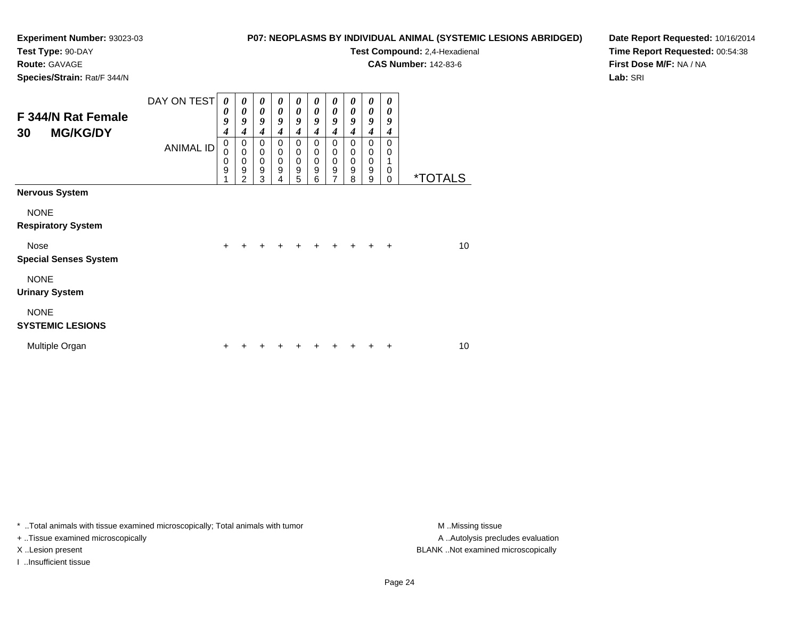## **Test Type:** 90-DAY

**Route:** GAVAGE

**Species/Strain:** Rat/F 344/N

#### **P07: NEOPLASMS BY INDIVIDUAL ANIMAL (SYSTEMIC LESIONS ABRIDGED)**

**Test Compound:** 2,4-Hexadienal

**CAS Number:** 142-83-6

**Date Report Requested:** 10/16/2014**Time Report Requested:** 00:54:38**First Dose M/F:** NA / NA**Lab:** SRI

| <b>F 344/N Rat Female</b><br><b>MG/KG/DY</b><br>30 | DAY ON TEST<br><b>ANIMAL ID</b> | 0<br>$\boldsymbol{\theta}$<br>9<br>$\boldsymbol{4}$<br>0<br>0<br>$\mathbf 0$ | 0<br>0<br>9<br>$\boldsymbol{4}$<br>0<br>$\mathbf 0$<br>$\pmb{0}$ | 0<br>0<br>9<br>$\boldsymbol{4}$<br>0<br>$\mathbf 0$<br>0 | $\boldsymbol{\theta}$<br>$\boldsymbol{\theta}$<br>9<br>4<br>0<br>0<br>$\mathbf 0$ | 0<br>$\boldsymbol{\theta}$<br>9<br>$\boldsymbol{4}$<br>0<br>$\mathbf 0$<br>$\mathbf 0$ | $\boldsymbol{\theta}$<br>$\boldsymbol{\theta}$<br>9<br>4<br>0<br>$\mathbf 0$<br>$\mathbf 0$ | $\boldsymbol{\theta}$<br>$\boldsymbol{\theta}$<br>9<br>$\boldsymbol{4}$<br>$\mathbf 0$<br>$\mathbf 0$<br>$\mathbf 0$ | $\boldsymbol{\theta}$<br>$\boldsymbol{\theta}$<br>9<br>4<br>0<br>$\mathbf 0$<br>$\mathbf 0$ | 0<br>$\boldsymbol{\theta}$<br>9<br>$\boldsymbol{4}$<br>$\mathbf 0$<br>$\pmb{0}$<br>$\mathbf 0$ | 0<br>$\boldsymbol{\theta}$<br>9<br>4<br>0<br>0<br>1 |                       |
|----------------------------------------------------|---------------------------------|------------------------------------------------------------------------------|------------------------------------------------------------------|----------------------------------------------------------|-----------------------------------------------------------------------------------|----------------------------------------------------------------------------------------|---------------------------------------------------------------------------------------------|----------------------------------------------------------------------------------------------------------------------|---------------------------------------------------------------------------------------------|------------------------------------------------------------------------------------------------|-----------------------------------------------------|-----------------------|
|                                                    |                                 | 9<br>4                                                                       | $\boldsymbol{9}$<br>$\overline{2}$                               | $\boldsymbol{9}$<br>3                                    | $\boldsymbol{9}$<br>4                                                             | $\boldsymbol{9}$<br>5                                                                  | 9<br>6                                                                                      | $\boldsymbol{9}$<br>$\overline{7}$                                                                                   | $\boldsymbol{9}$<br>8                                                                       | $\boldsymbol{9}$<br>9                                                                          | 0<br>$\Omega$                                       | <i><b>*TOTALS</b></i> |
| <b>Nervous System</b>                              |                                 |                                                                              |                                                                  |                                                          |                                                                                   |                                                                                        |                                                                                             |                                                                                                                      |                                                                                             |                                                                                                |                                                     |                       |
| <b>NONE</b><br><b>Respiratory System</b>           |                                 |                                                                              |                                                                  |                                                          |                                                                                   |                                                                                        |                                                                                             |                                                                                                                      |                                                                                             |                                                                                                |                                                     |                       |
| Nose<br><b>Special Senses System</b>               |                                 | $\ddot{}$                                                                    | $\div$                                                           |                                                          |                                                                                   | ٠                                                                                      | +                                                                                           | $\ddot{}$                                                                                                            |                                                                                             |                                                                                                | $\ddot{}$                                           | 10                    |
| <b>NONE</b><br><b>Urinary System</b>               |                                 |                                                                              |                                                                  |                                                          |                                                                                   |                                                                                        |                                                                                             |                                                                                                                      |                                                                                             |                                                                                                |                                                     |                       |
| <b>NONE</b><br><b>SYSTEMIC LESIONS</b>             |                                 |                                                                              |                                                                  |                                                          |                                                                                   |                                                                                        |                                                                                             |                                                                                                                      |                                                                                             |                                                                                                |                                                     |                       |
| Multiple Organ                                     |                                 | +                                                                            |                                                                  |                                                          |                                                                                   |                                                                                        |                                                                                             |                                                                                                                      |                                                                                             |                                                                                                |                                                     | 10                    |

\* ..Total animals with tissue examined microscopically; Total animals with tumor **M** . Missing tissue M ..Missing tissue

+ ..Tissue examined microscopically

I ..Insufficient tissue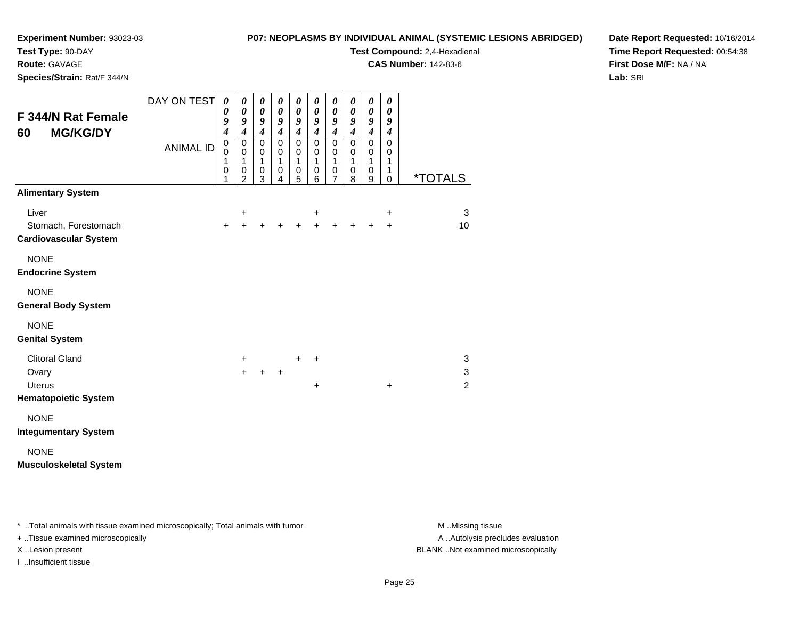## **Test Type:** 90-DAY

**Route:** GAVAGE

**Species/Strain:** Rat/F 344/N

#### **P07: NEOPLASMS BY INDIVIDUAL ANIMAL (SYSTEMIC LESIONS ABRIDGED)**

**Test Compound:** 2,4-Hexadienal

**CAS Number:** 142-83-6

**Date Report Requested:** 10/16/2014**Time Report Requested:** 00:54:38**First Dose M/F:** NA / NA**Lab:** SRI

| <b>F 344/N Rat Female</b><br><b>MG/KG/DY</b><br>60            | DAY ON TEST      | $\boldsymbol{\theta}$<br>0<br>$\boldsymbol{g}$<br>$\overline{\boldsymbol{4}}$ | $\boldsymbol{\theta}$<br>$\boldsymbol{\theta}$<br>$\boldsymbol{g}$<br>$\boldsymbol{4}$ | $\boldsymbol{\theta}$<br>$\boldsymbol{\theta}$<br>$\boldsymbol{g}$<br>$\boldsymbol{4}$ | 0<br>$\boldsymbol{\theta}$<br>$\boldsymbol{g}$<br>$\boldsymbol{4}$ | $\boldsymbol{\theta}$<br>$\boldsymbol{\theta}$<br>9<br>$\boldsymbol{4}$ | $\boldsymbol{\theta}$<br>0<br>$\boldsymbol{g}$<br>$\boldsymbol{4}$ | $\boldsymbol{\theta}$<br>$\boldsymbol{\theta}$<br>9<br>$\boldsymbol{4}$ | $\boldsymbol{\theta}$<br>0<br>9<br>$\boldsymbol{4}$ | $\pmb{\theta}$<br>$\pmb{\theta}$<br>9<br>$\boldsymbol{4}$ | 0<br>0<br>9<br>$\boldsymbol{4}$                                |                                |
|---------------------------------------------------------------|------------------|-------------------------------------------------------------------------------|----------------------------------------------------------------------------------------|----------------------------------------------------------------------------------------|--------------------------------------------------------------------|-------------------------------------------------------------------------|--------------------------------------------------------------------|-------------------------------------------------------------------------|-----------------------------------------------------|-----------------------------------------------------------|----------------------------------------------------------------|--------------------------------|
|                                                               | <b>ANIMAL ID</b> | $\mathsf 0$<br>$\mathbf 0$<br>1<br>$\pmb{0}$<br>1                             | $\mathbf 0$<br>$\mathbf 0$<br>$\mathbf 1$<br>$\mathbf 0$<br>2                          | $\mathbf 0$<br>$\mathbf 0$<br>$\mathbf{1}$<br>$\mathbf 0$<br>3                         | $\mathbf 0$<br>$\mathbf 0$<br>$\mathbf{1}$<br>$\pmb{0}$<br>4       | $\mathbf 0$<br>0<br>1<br>$\pmb{0}$<br>$\overline{5}$                    | $\mathbf 0$<br>0<br>1<br>$\pmb{0}$<br>6                            | $\pmb{0}$<br>$\mathbf 0$<br>1<br>$\pmb{0}$<br>7                         | $\mathbf 0$<br>0<br>1<br>$\pmb{0}$<br>8             | $\mathsf 0$<br>$\mathbf 0$<br>1<br>$\,0\,$<br>9           | $\mathbf 0$<br>$\mathbf 0$<br>1<br>$\mathbf{1}$<br>$\mathsf 0$ | <i><b>*TOTALS</b></i>          |
| <b>Alimentary System</b>                                      |                  |                                                                               |                                                                                        |                                                                                        |                                                                    |                                                                         |                                                                    |                                                                         |                                                     |                                                           |                                                                |                                |
| Liver<br>Stomach, Forestomach<br><b>Cardiovascular System</b> |                  | $\ddot{}$                                                                     | $\ddot{}$<br>$+$                                                                       |                                                                                        |                                                                    | $\ddot{}$                                                               | +<br>$\ddot{}$                                                     |                                                                         |                                                     | +                                                         | +<br>$\ddot{}$                                                 | 3<br>10                        |
| <b>NONE</b><br><b>Endocrine System</b>                        |                  |                                                                               |                                                                                        |                                                                                        |                                                                    |                                                                         |                                                                    |                                                                         |                                                     |                                                           |                                                                |                                |
| <b>NONE</b><br><b>General Body System</b>                     |                  |                                                                               |                                                                                        |                                                                                        |                                                                    |                                                                         |                                                                    |                                                                         |                                                     |                                                           |                                                                |                                |
| <b>NONE</b><br><b>Genital System</b>                          |                  |                                                                               |                                                                                        |                                                                                        |                                                                    |                                                                         |                                                                    |                                                                         |                                                     |                                                           |                                                                |                                |
| <b>Clitoral Gland</b>                                         |                  |                                                                               | $\ddot{}$                                                                              |                                                                                        |                                                                    | $\ddot{}$                                                               | +                                                                  |                                                                         |                                                     |                                                           |                                                                | 3                              |
| Ovary<br><b>Uterus</b>                                        |                  |                                                                               | $+$                                                                                    | $\ddot{}$                                                                              | $\ddot{}$                                                          |                                                                         | $\ddot{}$                                                          |                                                                         |                                                     |                                                           | $\ddot{}$                                                      | $\mathbf{3}$<br>$\overline{2}$ |
| <b>Hematopoietic System</b>                                   |                  |                                                                               |                                                                                        |                                                                                        |                                                                    |                                                                         |                                                                    |                                                                         |                                                     |                                                           |                                                                |                                |
| <b>NONE</b><br><b>Integumentary System</b>                    |                  |                                                                               |                                                                                        |                                                                                        |                                                                    |                                                                         |                                                                    |                                                                         |                                                     |                                                           |                                                                |                                |
| <b>NONE</b><br><b>Musculoskeletal System</b>                  |                  |                                                                               |                                                                                        |                                                                                        |                                                                    |                                                                         |                                                                    |                                                                         |                                                     |                                                           |                                                                |                                |
|                                                               |                  |                                                                               |                                                                                        |                                                                                        |                                                                    |                                                                         |                                                                    |                                                                         |                                                     |                                                           |                                                                |                                |

\* ..Total animals with tissue examined microscopically; Total animals with tumor **M** . Missing tissue M ..Missing tissue

+ ..Tissue examined microscopically

I ..Insufficient tissue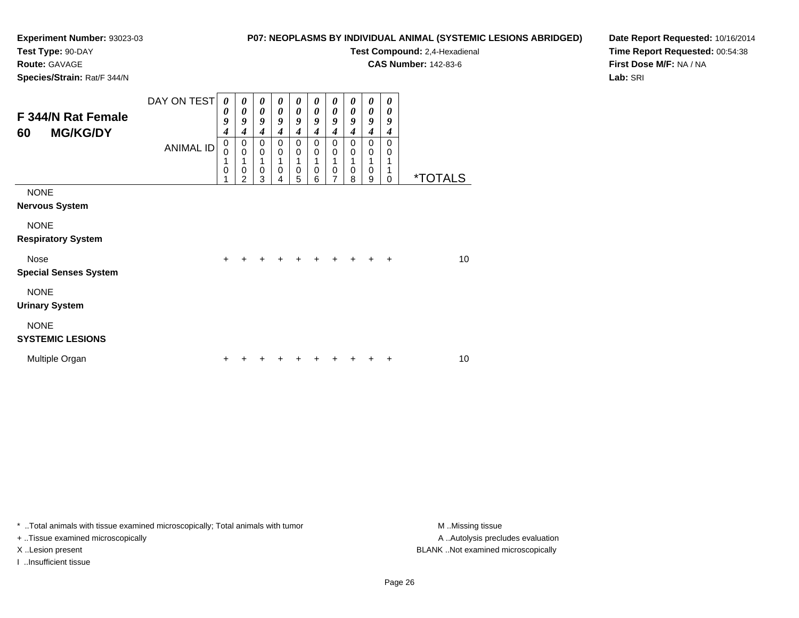# **Test Type:** 90-DAY

**Route:** GAVAGE

**Species/Strain:** Rat/F 344/N

#### **P07: NEOPLASMS BY INDIVIDUAL ANIMAL (SYSTEMIC LESIONS ABRIDGED)**

**Test Compound:** 2,4-Hexadienal

**CAS Number:** 142-83-6

**Date Report Requested:** 10/16/2014**Time Report Requested:** 00:54:38**First Dose M/F:** NA / NA**Lab:** SRI

| F 344/N Rat Female<br><b>MG/KG/DY</b><br>60 | DAY ON TEST<br><b>ANIMAL ID</b> | $\boldsymbol{\theta}$<br>0<br>9<br>$\boldsymbol{4}$<br>$\mathbf 0$<br>$\mathbf 0$<br>1<br>$\mathbf 0$<br>1 | $\boldsymbol{\theta}$<br>$\boldsymbol{\theta}$<br>9<br>4<br>0<br>$\mathbf 0$<br>1<br>$\mathbf 0$<br>$\overline{c}$ | 0<br>$\boldsymbol{\theta}$<br>9<br>$\boldsymbol{4}$<br>$\pmb{0}$<br>$\pmb{0}$<br>1<br>$\pmb{0}$<br>3 | 0<br>0<br>9<br>4<br>0<br>$\mathbf 0$<br>$\mathbf 0$<br>4 | 0<br>0<br>9<br>4<br>0<br>$\mathbf 0$<br>$\mathbf 0$<br>5 | 0<br>$\boldsymbol{\theta}$<br>9<br>4<br>0<br>$\mathbf 0$<br>$\mathbf 0$<br>6 | 0<br>$\boldsymbol{\theta}$<br>9<br>$\boldsymbol{4}$<br>0<br>$\mathbf 0$<br>1<br>$\mathbf 0$<br>7 | 0<br>0<br>9<br>4<br>$\mathbf 0$<br>0<br>1<br>$\mathbf 0$<br>8 | 0<br>$\boldsymbol{\theta}$<br>9<br>4<br>$\pmb{0}$<br>$\mathbf 0$<br>$\mathbf{1}$<br>0<br>9 | 0<br>0<br>9<br>4<br>$\Omega$<br>0<br>1<br>1<br>0 | <i><b>*TOTALS</b></i> |
|---------------------------------------------|---------------------------------|------------------------------------------------------------------------------------------------------------|--------------------------------------------------------------------------------------------------------------------|------------------------------------------------------------------------------------------------------|----------------------------------------------------------|----------------------------------------------------------|------------------------------------------------------------------------------|--------------------------------------------------------------------------------------------------|---------------------------------------------------------------|--------------------------------------------------------------------------------------------|--------------------------------------------------|-----------------------|
| <b>NONE</b><br><b>Nervous System</b>        |                                 |                                                                                                            |                                                                                                                    |                                                                                                      |                                                          |                                                          |                                                                              |                                                                                                  |                                                               |                                                                                            |                                                  |                       |
| <b>NONE</b><br><b>Respiratory System</b>    |                                 |                                                                                                            |                                                                                                                    |                                                                                                      |                                                          |                                                          |                                                                              |                                                                                                  |                                                               |                                                                                            |                                                  |                       |
| <b>Nose</b><br><b>Special Senses System</b> |                                 | ÷.                                                                                                         |                                                                                                                    |                                                                                                      |                                                          |                                                          |                                                                              |                                                                                                  |                                                               |                                                                                            | $\ddot{}$                                        | 10                    |
| <b>NONE</b><br><b>Urinary System</b>        |                                 |                                                                                                            |                                                                                                                    |                                                                                                      |                                                          |                                                          |                                                                              |                                                                                                  |                                                               |                                                                                            |                                                  |                       |
| <b>NONE</b><br><b>SYSTEMIC LESIONS</b>      |                                 |                                                                                                            |                                                                                                                    |                                                                                                      |                                                          |                                                          |                                                                              |                                                                                                  |                                                               |                                                                                            |                                                  |                       |
| Multiple Organ                              |                                 |                                                                                                            |                                                                                                                    |                                                                                                      |                                                          |                                                          |                                                                              |                                                                                                  |                                                               |                                                                                            | +                                                | 10                    |

\* ..Total animals with tissue examined microscopically; Total animals with tumor **M** . Missing tissue M ..Missing tissue

+ ..Tissue examined microscopically

I ..Insufficient tissue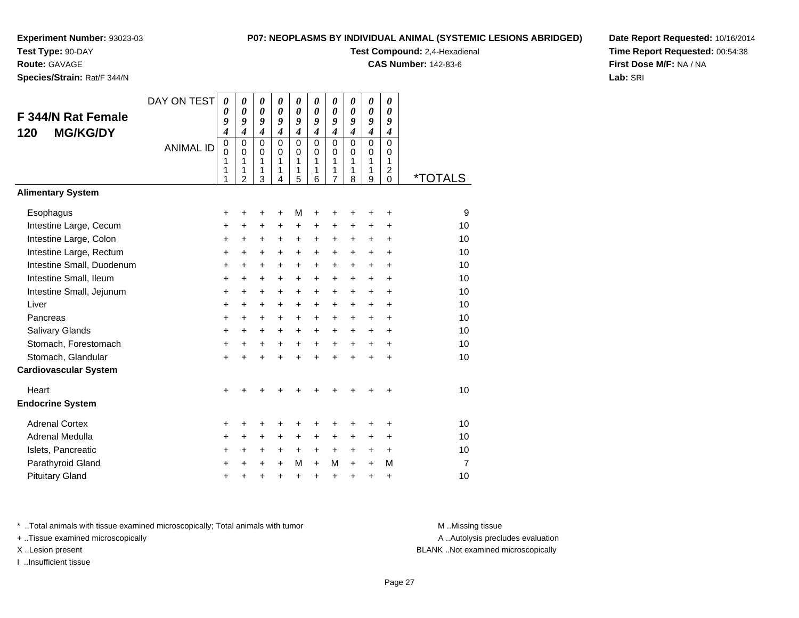**Test Type:** 90-DAY

#### **Route:** GAVAGE

**Species/Strain:** Rat/F 344/N

#### **P07: NEOPLASMS BY INDIVIDUAL ANIMAL (SYSTEMIC LESIONS ABRIDGED)**

**Test Compound:** 2,4-Hexadienal

**CAS Number:** 142-83-6

**Date Report Requested:** 10/16/2014**Time Report Requested:** 00:54:38**First Dose M/F:** NA / NA**Lab:** SRI

| F 344/N Rat Female<br><b>MG/KG/DY</b><br>120 | DAY ON TEST<br><b>ANIMAL ID</b> | 0<br>0<br>9<br>$\boldsymbol{4}$<br>$\pmb{0}$<br>$\Omega$<br>1<br>1<br>1 | 0<br>0<br>9<br>$\boldsymbol{4}$<br>$\mathbf 0$<br>$\Omega$<br>1<br>1<br>$\overline{2}$ | 0<br>$\boldsymbol{\theta}$<br>9<br>$\boldsymbol{4}$<br>$\mathbf 0$<br>$\Omega$<br>1<br>1<br>3 | 0<br>0<br>9<br>$\boldsymbol{4}$<br>$\mathbf 0$<br>$\Omega$<br>1<br>1<br>4 | 0<br>0<br>9<br>$\boldsymbol{4}$<br>0<br>$\Omega$<br>1<br>1<br>5 | 0<br>0<br>9<br>$\boldsymbol{4}$<br>$\Omega$<br>$\Omega$<br>1<br>1<br>6 | 0<br>$\boldsymbol{\theta}$<br>9<br>$\boldsymbol{4}$<br>$\mathbf 0$<br>$\Omega$<br>1<br>1<br>$\overline{7}$ | 0<br>$\boldsymbol{\theta}$<br>9<br>$\boldsymbol{4}$<br>$\Omega$<br>$\Omega$<br>1<br>1<br>8 | 0<br>$\boldsymbol{\theta}$<br>9<br>$\boldsymbol{4}$<br>$\Omega$<br>$\Omega$<br>1<br>1<br>9 | 0<br>0<br>9<br>$\boldsymbol{4}$<br>$\Omega$<br>$\Omega$<br>1<br>$\overline{c}$<br>0 | <i><b>*TOTALS</b></i> |
|----------------------------------------------|---------------------------------|-------------------------------------------------------------------------|----------------------------------------------------------------------------------------|-----------------------------------------------------------------------------------------------|---------------------------------------------------------------------------|-----------------------------------------------------------------|------------------------------------------------------------------------|------------------------------------------------------------------------------------------------------------|--------------------------------------------------------------------------------------------|--------------------------------------------------------------------------------------------|-------------------------------------------------------------------------------------|-----------------------|
| <b>Alimentary System</b>                     |                                 |                                                                         |                                                                                        |                                                                                               |                                                                           |                                                                 |                                                                        |                                                                                                            |                                                                                            |                                                                                            |                                                                                     |                       |
| Esophagus                                    |                                 | +                                                                       | +                                                                                      | +                                                                                             | +                                                                         | М                                                               | +                                                                      | ٠                                                                                                          | +                                                                                          | +                                                                                          | +                                                                                   | 9                     |
| Intestine Large, Cecum                       |                                 | +                                                                       | +                                                                                      | +                                                                                             | $\pm$                                                                     | +                                                               | +                                                                      | +                                                                                                          | +                                                                                          | +                                                                                          | +                                                                                   | 10                    |
| Intestine Large, Colon                       |                                 | $\ddot{}$                                                               | $\ddot{}$                                                                              | $\ddot{}$                                                                                     | $\ddot{}$                                                                 | $\ddot{}$                                                       | $\ddot{}$                                                              | $\ddot{}$                                                                                                  | $\ddot{}$                                                                                  | $\ddot{}$                                                                                  | $\ddot{}$                                                                           | 10                    |
| Intestine Large, Rectum                      |                                 | $\ddot{}$                                                               | $\ddot{}$                                                                              | $\ddot{}$                                                                                     | $\ddot{}$                                                                 | $\ddot{}$                                                       | $\ddot{}$                                                              | $\ddot{}$                                                                                                  | $\ddot{}$                                                                                  | $\ddot{}$                                                                                  | $\ddot{}$                                                                           | 10                    |
| Intestine Small, Duodenum                    |                                 | $\ddot{}$                                                               | $\ddot{}$                                                                              | $\ddot{}$                                                                                     | +                                                                         | +                                                               | $\ddot{}$                                                              | +                                                                                                          | $\ddot{}$                                                                                  | $\ddot{}$                                                                                  | $\ddot{}$                                                                           | 10                    |
| Intestine Small, Ileum                       |                                 | $\ddot{}$                                                               | +                                                                                      | $\ddot{}$                                                                                     | $\pm$                                                                     | $\pm$                                                           | $\ddot{}$                                                              | $\pm$                                                                                                      | $\ddot{}$                                                                                  | +                                                                                          | +                                                                                   | 10                    |
| Intestine Small, Jejunum                     |                                 | $\ddot{}$                                                               | $\ddot{}$                                                                              | $\ddot{}$                                                                                     | $\ddot{}$                                                                 | +                                                               | $\ddot{}$                                                              | $\ddot{}$                                                                                                  | $\ddot{}$                                                                                  | $\ddot{}$                                                                                  | $\ddot{}$                                                                           | 10                    |
| Liver                                        |                                 | $\ddot{}$                                                               | +                                                                                      | $\ddot{}$                                                                                     | $\ddot{}$                                                                 | +                                                               | $\ddot{}$                                                              | $\ddot{}$                                                                                                  | $\ddot{}$                                                                                  | $\ddot{}$                                                                                  | +                                                                                   | 10                    |
| Pancreas                                     |                                 | $\ddot{}$                                                               | $\ddot{}$                                                                              | $\ddot{}$                                                                                     | $\ddot{}$                                                                 | $\pm$                                                           | $\ddot{}$                                                              | $\ddot{}$                                                                                                  | $\ddot{}$                                                                                  | $\ddot{}$                                                                                  | +                                                                                   | 10                    |
| Salivary Glands                              |                                 | $\ddot{}$                                                               | $\ddot{}$                                                                              | $\ddot{}$                                                                                     | $\ddot{}$                                                                 | $\ddot{}$                                                       | $\ddot{}$                                                              | $\ddot{}$                                                                                                  | $\ddot{}$                                                                                  | $\ddot{}$                                                                                  | $\ddot{}$                                                                           | 10                    |
| Stomach, Forestomach                         |                                 | +                                                                       | $\ddot{}$                                                                              | $\ddot{}$                                                                                     | $+$                                                                       | $\ddot{}$                                                       | $+$                                                                    | $+$                                                                                                        | $+$                                                                                        | $+$                                                                                        | $\ddot{}$                                                                           | 10                    |
| Stomach, Glandular                           |                                 | $\ddot{}$                                                               | $\ddot{}$                                                                              | $\ddot{}$                                                                                     | $\ddot{}$                                                                 | $\ddot{}$                                                       | $\ddot{}$                                                              | ÷                                                                                                          | ÷                                                                                          | $\ddot{}$                                                                                  | +                                                                                   | 10                    |
| <b>Cardiovascular System</b>                 |                                 |                                                                         |                                                                                        |                                                                                               |                                                                           |                                                                 |                                                                        |                                                                                                            |                                                                                            |                                                                                            |                                                                                     |                       |
| Heart                                        |                                 | $\ddot{}$                                                               |                                                                                        |                                                                                               |                                                                           |                                                                 |                                                                        |                                                                                                            |                                                                                            |                                                                                            | $\ddot{}$                                                                           | 10                    |
| <b>Endocrine System</b>                      |                                 |                                                                         |                                                                                        |                                                                                               |                                                                           |                                                                 |                                                                        |                                                                                                            |                                                                                            |                                                                                            |                                                                                     |                       |
| <b>Adrenal Cortex</b>                        |                                 | +                                                                       | +                                                                                      | +                                                                                             | +                                                                         | +                                                               | +                                                                      | +                                                                                                          | +                                                                                          | +                                                                                          | +                                                                                   | 10                    |
| Adrenal Medulla                              |                                 | $\pm$                                                                   | +                                                                                      | $\ddot{}$                                                                                     | $\pm$                                                                     | $\pm$                                                           | +                                                                      | +                                                                                                          | $\ddot{}$                                                                                  | $\ddot{}$                                                                                  | +                                                                                   | 10                    |
| Islets, Pancreatic                           |                                 | +                                                                       | +                                                                                      | +                                                                                             | $\ddot{}$                                                                 | $+$                                                             | $\ddot{}$                                                              | $\ddot{}$                                                                                                  | $+$                                                                                        | $\ddot{}$                                                                                  | $\ddot{}$                                                                           | 10                    |
| Parathyroid Gland                            |                                 | +                                                                       | +                                                                                      | +                                                                                             | $\ddot{}$                                                                 | М                                                               | $\ddot{}$                                                              | М                                                                                                          | $\ddot{}$                                                                                  | $\ddot{}$                                                                                  | М                                                                                   | $\overline{7}$        |
| <b>Pituitary Gland</b>                       |                                 | $\pm$                                                                   | +                                                                                      | +                                                                                             | +                                                                         | +                                                               | $\ddot{}$                                                              | $\ddot{}$                                                                                                  | $\ddot{}$                                                                                  | +                                                                                          | +                                                                                   | 10                    |

\* ..Total animals with tissue examined microscopically; Total animals with tumor **M** . Missing tissue M ..Missing tissue

+ ..Tissue examined microscopically

I ..Insufficient tissue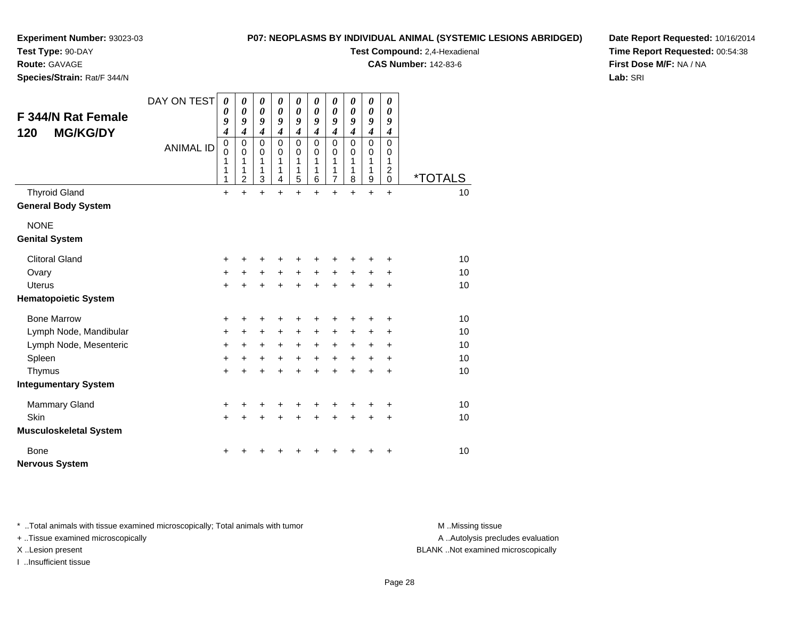#### **P07: NEOPLASMS BY INDIVIDUAL ANIMAL (SYSTEMIC LESIONS ABRIDGED)**

**Experiment Number:** 93023-03

**Test Type:** 90-DAY**Route:** GAVAGE

**Species/Strain:** Rat/F 344/N

**Test Compound:** 2,4-Hexadienal

**CAS Number:** 142-83-6

**Date Report Requested:** 10/16/2014**Time Report Requested:** 00:54:38**First Dose M/F:** NA / NA**Lab:** SRI

| <b>F 344/N Rat Female</b><br><b>MG/KG/DY</b><br>120 | DAY ON TEST      | $\boldsymbol{\theta}$<br>0<br>9<br>4      | 0<br>0<br>9<br>$\boldsymbol{4}$                        | $\boldsymbol{\theta}$<br>$\pmb{\theta}$<br>9<br>$\boldsymbol{4}$ | 0<br>$\boldsymbol{\theta}$<br>9<br>$\boldsymbol{4}$ | 0<br>$\boldsymbol{\theta}$<br>9<br>$\boldsymbol{4}$ | 0<br>$\boldsymbol{\theta}$<br>9<br>4 | 0<br>0<br>9<br>4                          | 0<br>0<br>9<br>4             | $\boldsymbol{\theta}$<br>$\boldsymbol{\theta}$<br>9<br>$\boldsymbol{4}$ | 0<br>0<br>9<br>4                                      |                       |
|-----------------------------------------------------|------------------|-------------------------------------------|--------------------------------------------------------|------------------------------------------------------------------|-----------------------------------------------------|-----------------------------------------------------|--------------------------------------|-------------------------------------------|------------------------------|-------------------------------------------------------------------------|-------------------------------------------------------|-----------------------|
|                                                     | <b>ANIMAL ID</b> | $\mathbf 0$<br>$\mathbf 0$<br>1<br>1<br>1 | $\mathbf 0$<br>$\mathbf 0$<br>1<br>1<br>$\overline{c}$ | $\Omega$<br>$\Omega$<br>1<br>1<br>$\mathbf{3}$                   | $\Omega$<br>$\Omega$<br>1<br>1<br>$\overline{4}$    | $\mathbf 0$<br>$\mathbf 0$<br>1<br>1<br>5           | $\Omega$<br>$\Omega$<br>1<br>1<br>6  | 0<br>$\Omega$<br>1<br>1<br>$\overline{7}$ | $\Omega$<br>0<br>1<br>1<br>8 | $\mathbf 0$<br>0<br>1<br>$\mathbf{1}$<br>$\boldsymbol{9}$               | $\Omega$<br>0<br>1<br>$\boldsymbol{2}$<br>$\mathbf 0$ | <i><b>*TOTALS</b></i> |
| <b>Thyroid Gland</b>                                |                  | $\ddot{}$                                 | $\ddot{}$                                              | $\ddot{}$                                                        | $\ddot{}$                                           | $\ddot{}$                                           | $\ddot{}$                            | $\ddot{}$                                 | $\ddot{}$                    | $+$                                                                     | $+$                                                   | 10                    |
| <b>General Body System</b>                          |                  |                                           |                                                        |                                                                  |                                                     |                                                     |                                      |                                           |                              |                                                                         |                                                       |                       |
| <b>NONE</b>                                         |                  |                                           |                                                        |                                                                  |                                                     |                                                     |                                      |                                           |                              |                                                                         |                                                       |                       |
| <b>Genital System</b>                               |                  |                                           |                                                        |                                                                  |                                                     |                                                     |                                      |                                           |                              |                                                                         |                                                       |                       |
| <b>Clitoral Gland</b>                               |                  | +                                         | +                                                      | +                                                                |                                                     |                                                     | +                                    | +                                         |                              |                                                                         | +                                                     | 10                    |
| Ovary                                               |                  | +                                         | $\ddot{}$                                              | $\ddot{}$                                                        | $\ddot{}$                                           | $\ddot{}$                                           | $\ddot{}$                            | $\ddot{}$                                 | $\ddot{}$                    | $\ddot{}$                                                               | $\ddot{}$                                             | 10                    |
| <b>Uterus</b>                                       |                  | +                                         | +                                                      | $\ddot{}$                                                        | ÷                                                   | $\ddot{}$                                           | $\ddot{}$                            | $\ddot{}$                                 | $\ddot{}$                    | $\ddot{}$                                                               | $\ddot{}$                                             | 10                    |
| <b>Hematopoietic System</b>                         |                  |                                           |                                                        |                                                                  |                                                     |                                                     |                                      |                                           |                              |                                                                         |                                                       |                       |
| <b>Bone Marrow</b>                                  |                  | +                                         | +                                                      | +                                                                | +                                                   | +                                                   | +                                    | +                                         | +                            | +                                                                       | +                                                     | 10                    |
| Lymph Node, Mandibular                              |                  | +                                         | +                                                      | $\ddot{}$                                                        | $\ddot{}$                                           | $\ddot{}$                                           | $\ddot{}$                            | +                                         | $\pm$                        | $\ddot{}$                                                               | $\ddot{}$                                             | 10                    |
| Lymph Node, Mesenteric                              |                  | +                                         | $+$                                                    | $\ddot{}$                                                        | $+$                                                 | $\ddot{}$                                           | $+$                                  | $+$                                       | $+$                          | $\ddot{}$                                                               | $\ddot{}$                                             | 10                    |
| Spleen                                              |                  | +                                         | $\ddot{}$                                              | $\ddot{}$                                                        | $\ddot{}$                                           | $\ddot{}$                                           | $+$                                  | $\ddot{}$                                 | $\ddot{}$                    | $\ddot{}$                                                               | $\pm$                                                 | 10                    |
| Thymus                                              |                  | $\ddot{}$                                 | $\ddot{}$                                              | $\ddot{}$                                                        | $\ddot{}$                                           | $\ddot{}$                                           | $\ddot{}$                            | $\ddot{}$                                 | $\ddot{}$                    | $\ddot{}$                                                               | $\ddot{}$                                             | 10                    |
| <b>Integumentary System</b>                         |                  |                                           |                                                        |                                                                  |                                                     |                                                     |                                      |                                           |                              |                                                                         |                                                       |                       |
| <b>Mammary Gland</b>                                |                  | +                                         | +                                                      | +                                                                | +                                                   | +                                                   | +                                    | +                                         |                              | ٠                                                                       | +                                                     | 10                    |
| Skin                                                |                  | $+$                                       | $\ddot{}$                                              | $\ddot{}$                                                        | $\ddot{}$                                           | $+$                                                 | $\ddot{}$                            | $\ddot{}$                                 | $\ddot{}$                    | $\ddot{}$                                                               | $\ddot{}$                                             | 10                    |
| <b>Musculoskeletal System</b>                       |                  |                                           |                                                        |                                                                  |                                                     |                                                     |                                      |                                           |                              |                                                                         |                                                       |                       |
| Bone<br><b>Nervous System</b>                       |                  | ٠                                         |                                                        |                                                                  |                                                     |                                                     |                                      | +                                         | +                            | ٠                                                                       | +                                                     | 10                    |

\* ..Total animals with tissue examined microscopically; Total animals with tumor **M** . Missing tissue M ..Missing tissue

+ ..Tissue examined microscopically

I ..Insufficient tissue

A ..Autolysis precludes evaluation

X ..Lesion present BLANK ..Not examined microscopically